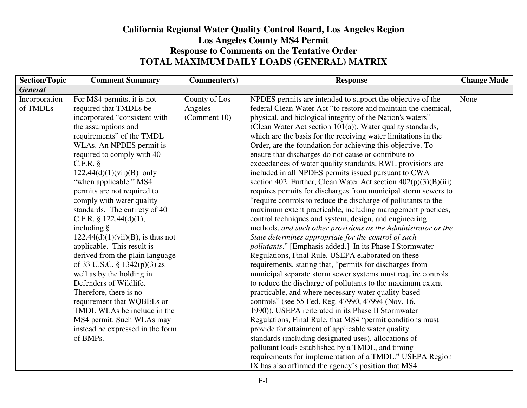## **California Regional Water Quality Control Board, Los Angeles RegionLos Angeles County MS4 Permit Response to Comments on the Tentative Order TOTAL MAXIMUM DAILY LOADS (GENERAL) MATRIX**

| <b>Section/Topic</b> | <b>Comment Summary</b>               | Commenter(s)  | <b>Response</b>                                                   | <b>Change Made</b> |
|----------------------|--------------------------------------|---------------|-------------------------------------------------------------------|--------------------|
| <b>General</b>       |                                      |               |                                                                   |                    |
| Incorporation        | For MS4 permits, it is not           | County of Los | NPDES permits are intended to support the objective of the        | None               |
| of TMDLs             | required that TMDLs be               | Angeles       | federal Clean Water Act "to restore and maintain the chemical,    |                    |
|                      | incorporated "consistent with        | (Comment 10)  | physical, and biological integrity of the Nation's waters"        |                    |
|                      | the assumptions and                  |               | (Clean Water Act section 101(a)). Water quality standards,        |                    |
|                      | requirements" of the TMDL            |               | which are the basis for the receiving water limitations in the    |                    |
|                      | WLAs. An NPDES permit is             |               | Order, are the foundation for achieving this objective. To        |                    |
|                      | required to comply with 40           |               | ensure that discharges do not cause or contribute to              |                    |
|                      | C.F.R. §                             |               | exceedances of water quality standards, RWL provisions are        |                    |
|                      | $122.44(d)(1)(vii)(B)$ only          |               | included in all NPDES permits issued pursuant to CWA              |                    |
|                      | "when applicable." MS4               |               | section 402. Further, Clean Water Act section $402(p)(3)(B)(iii)$ |                    |
|                      | permits are not required to          |               | requires permits for discharges from municipal storm sewers to    |                    |
|                      | comply with water quality            |               | "require controls to reduce the discharge of pollutants to the    |                    |
|                      | standards. The entirety of 40        |               | maximum extent practicable, including management practices,       |                    |
|                      | C.F.R. § $122.44(d)(1)$ ,            |               | control techniques and system, design, and engineering            |                    |
|                      | including §                          |               | methods, and such other provisions as the Administrator or the    |                    |
|                      | $122.44(d)(1)(vii)(B)$ , is thus not |               | State determines appropriate for the control of such              |                    |
|                      | applicable. This result is           |               | pollutants." [Emphasis added.] In its Phase I Stormwater          |                    |
|                      | derived from the plain language      |               | Regulations, Final Rule, USEPA elaborated on these                |                    |
|                      | of 33 U.S.C. § 1342(p)(3) as         |               | requirements, stating that, "permits for discharges from          |                    |
|                      | well as by the holding in            |               | municipal separate storm sewer systems must require controls      |                    |
|                      | Defenders of Wildlife.               |               | to reduce the discharge of pollutants to the maximum extent       |                    |
|                      | Therefore, there is no               |               | practicable, and where necessary water quality-based              |                    |
|                      | requirement that WQBELs or           |               | controls" (see 55 Fed. Reg. 47990, 47994 (Nov. 16,                |                    |
|                      | TMDL WLAs be include in the          |               | 1990)). USEPA reiterated in its Phase II Stormwater               |                    |
|                      | MS4 permit. Such WLAs may            |               | Regulations, Final Rule, that MS4 "permit conditions must         |                    |
|                      | instead be expressed in the form     |               | provide for attainment of applicable water quality                |                    |
|                      | of BMPs.                             |               | standards (including designated uses), allocations of             |                    |
|                      |                                      |               | pollutant loads established by a TMDL, and timing                 |                    |
|                      |                                      |               | requirements for implementation of a TMDL." USEPA Region          |                    |
|                      |                                      |               | IX has also affirmed the agency's position that MS4               |                    |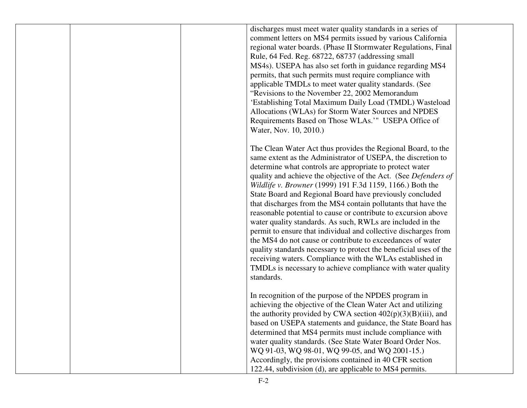|  | discharges must meet water quality standards in a series of<br>comment letters on MS4 permits issued by various California<br>regional water boards. (Phase II Stormwater Regulations, Final<br>Rule, 64 Fed. Reg. 68722, 68737 (addressing small<br>MS4s). USEPA has also set forth in guidance regarding MS4<br>permits, that such permits must require compliance with<br>applicable TMDLs to meet water quality standards. (See<br>"Revisions to the November 22, 2002 Memorandum<br>'Establishing Total Maximum Daily Load (TMDL) Wasteload<br>Allocations (WLAs) for Storm Water Sources and NPDES<br>Requirements Based on Those WLAs.'" USEPA Office of<br>Water, Nov. 10, 2010.)                                                                                                                                                                                                                                             |  |
|--|---------------------------------------------------------------------------------------------------------------------------------------------------------------------------------------------------------------------------------------------------------------------------------------------------------------------------------------------------------------------------------------------------------------------------------------------------------------------------------------------------------------------------------------------------------------------------------------------------------------------------------------------------------------------------------------------------------------------------------------------------------------------------------------------------------------------------------------------------------------------------------------------------------------------------------------|--|
|  | The Clean Water Act thus provides the Regional Board, to the<br>same extent as the Administrator of USEPA, the discretion to<br>determine what controls are appropriate to protect water<br>quality and achieve the objective of the Act. (See Defenders of<br>Wildlife v. Browner (1999) 191 F.3d 1159, 1166.) Both the<br>State Board and Regional Board have previously concluded<br>that discharges from the MS4 contain pollutants that have the<br>reasonable potential to cause or contribute to excursion above<br>water quality standards. As such, RWLs are included in the<br>permit to ensure that individual and collective discharges from<br>the MS4 do not cause or contribute to exceedances of water<br>quality standards necessary to protect the beneficial uses of the<br>receiving waters. Compliance with the WLAs established in<br>TMDLs is necessary to achieve compliance with water quality<br>standards. |  |
|  | In recognition of the purpose of the NPDES program in<br>achieving the objective of the Clean Water Act and utilizing<br>the authority provided by CWA section $402(p)(3)(B)(iii)$ , and<br>based on USEPA statements and guidance, the State Board has<br>determined that MS4 permits must include compliance with<br>water quality standards. (See State Water Board Order Nos.<br>WQ 91-03, WQ 98-01, WQ 99-05, and WQ 2001-15.)<br>Accordingly, the provisions contained in 40 CFR section<br>122.44, subdivision (d), are applicable to MS4 permits.                                                                                                                                                                                                                                                                                                                                                                             |  |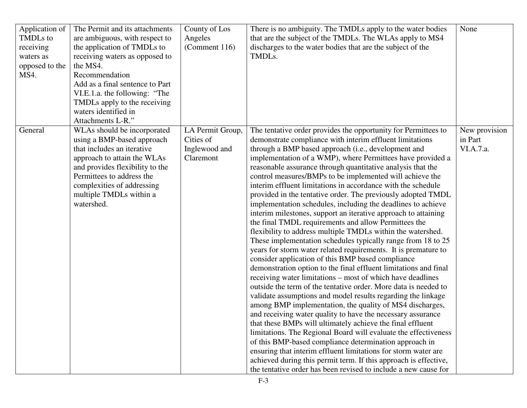| Application of<br><b>TMDLs</b> to<br>receiving<br>waters as<br>opposed to the<br>MS4. | The Permit and its attachments<br>are ambiguous, with respect to<br>the application of TMDLs to<br>receiving waters as opposed to<br>the MS4.<br>Recommendation<br>Add as a final sentence to Part<br>VI.E.1.a. the following: "The<br>TMDLs apply to the receiving<br>waters identified in<br>Attachments L-R." | County of Los<br>Angeles<br>(Comment 116)                   | There is no ambiguity. The TMDLs apply to the water bodies<br>that are the subject of the TMDLs. The WLAs apply to MS4<br>discharges to the water bodies that are the subject of the<br>TMDLs.                                                                                                                                                                                                                                                                                                                                                                                                                                                                                                                                                                                                                                                                                                                                                                                                                                                                                                                                                                                                                                                                                                                                                                                                                                                                                                                                                                                                                                                                                                                                                                 | None                                  |
|---------------------------------------------------------------------------------------|------------------------------------------------------------------------------------------------------------------------------------------------------------------------------------------------------------------------------------------------------------------------------------------------------------------|-------------------------------------------------------------|----------------------------------------------------------------------------------------------------------------------------------------------------------------------------------------------------------------------------------------------------------------------------------------------------------------------------------------------------------------------------------------------------------------------------------------------------------------------------------------------------------------------------------------------------------------------------------------------------------------------------------------------------------------------------------------------------------------------------------------------------------------------------------------------------------------------------------------------------------------------------------------------------------------------------------------------------------------------------------------------------------------------------------------------------------------------------------------------------------------------------------------------------------------------------------------------------------------------------------------------------------------------------------------------------------------------------------------------------------------------------------------------------------------------------------------------------------------------------------------------------------------------------------------------------------------------------------------------------------------------------------------------------------------------------------------------------------------------------------------------------------------|---------------------------------------|
| General                                                                               | WLAs should be incorporated<br>using a BMP-based approach<br>that includes an iterative<br>approach to attain the WLAs<br>and provides flexibility to the<br>Permittees to address the<br>complexities of addressing<br>multiple TMDLs within a<br>watershed.                                                    | LA Permit Group,<br>Cities of<br>Inglewood and<br>Claremont | The tentative order provides the opportunity for Permittees to<br>demonstrate compliance with interim effluent limitations<br>through a BMP based approach (i.e., development and<br>implementation of a WMP), where Permittees have provided a<br>reasonable assurance through quantitative analysis that the<br>control measures/BMPs to be implemented will achieve the<br>interim effluent limitations in accordance with the schedule<br>provided in the tentative order. The previously adopted TMDL<br>implementation schedules, including the deadlines to achieve<br>interim milestones, support an iterative approach to attaining<br>the final TMDL requirements and allow Permittees the<br>flexibility to address multiple TMDLs within the watershed.<br>These implementation schedules typically range from 18 to 25<br>years for storm water related requirements. It is premature to<br>consider application of this BMP based compliance<br>demonstration option to the final effluent limitations and final<br>receiving water limitations – most of which have deadlines<br>outside the term of the tentative order. More data is needed to<br>validate assumptions and model results regarding the linkage<br>among BMP implementation, the quality of MS4 discharges,<br>and receiving water quality to have the necessary assurance<br>that these BMPs will ultimately achieve the final effluent<br>limitations. The Regional Board will evaluate the effectiveness<br>of this BMP-based compliance determination approach in<br>ensuring that interim effluent limitations for storm water are<br>achieved during this permit term. If this approach is effective,<br>the tentative order has been revised to include a new cause for | New provision<br>in Part<br>VI.A.7.a. |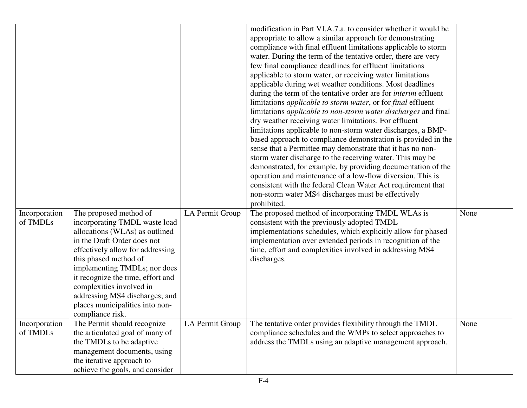|               |                                   |                 | modification in Part VI.A.7.a. to consider whether it would be              |      |
|---------------|-----------------------------------|-----------------|-----------------------------------------------------------------------------|------|
|               |                                   |                 | appropriate to allow a similar approach for demonstrating                   |      |
|               |                                   |                 | compliance with final effluent limitations applicable to storm              |      |
|               |                                   |                 | water. During the term of the tentative order, there are very               |      |
|               |                                   |                 | few final compliance deadlines for effluent limitations                     |      |
|               |                                   |                 | applicable to storm water, or receiving water limitations                   |      |
|               |                                   |                 | applicable during wet weather conditions. Most deadlines                    |      |
|               |                                   |                 | during the term of the tentative order are for <i>interim</i> effluent      |      |
|               |                                   |                 | limitations <i>applicable to storm water</i> , or for <i>final</i> effluent |      |
|               |                                   |                 | limitations applicable to non-storm water discharges and final              |      |
|               |                                   |                 | dry weather receiving water limitations. For effluent                       |      |
|               |                                   |                 | limitations applicable to non-storm water discharges, a BMP-                |      |
|               |                                   |                 | based approach to compliance demonstration is provided in the               |      |
|               |                                   |                 | sense that a Permittee may demonstrate that it has no non-                  |      |
|               |                                   |                 | storm water discharge to the receiving water. This may be                   |      |
|               |                                   |                 | demonstrated, for example, by providing documentation of the                |      |
|               |                                   |                 | operation and maintenance of a low-flow diversion. This is                  |      |
|               |                                   |                 | consistent with the federal Clean Water Act requirement that                |      |
|               |                                   |                 | non-storm water MS4 discharges must be effectively                          |      |
|               |                                   |                 | prohibited.                                                                 |      |
| Incorporation | The proposed method of            | LA Permit Group | The proposed method of incorporating TMDL WLAs is                           | None |
| of TMDLs      | incorporating TMDL waste load     |                 | consistent with the previously adopted TMDL                                 |      |
|               | allocations (WLAs) as outlined    |                 | implementations schedules, which explicitly allow for phased                |      |
|               | in the Draft Order does not       |                 | implementation over extended periods in recognition of the                  |      |
|               | effectively allow for addressing  |                 | time, effort and complexities involved in addressing MS4                    |      |
|               | this phased method of             |                 | discharges.                                                                 |      |
|               | implementing TMDLs; nor does      |                 |                                                                             |      |
|               | it recognize the time, effort and |                 |                                                                             |      |
|               | complexities involved in          |                 |                                                                             |      |
|               | addressing MS4 discharges; and    |                 |                                                                             |      |
|               | places municipalities into non-   |                 |                                                                             |      |
|               | compliance risk.                  |                 |                                                                             |      |
| Incorporation | The Permit should recognize       | LA Permit Group | The tentative order provides flexibility through the TMDL                   | None |
| of TMDLs      | the articulated goal of many of   |                 | compliance schedules and the WMPs to select approaches to                   |      |
|               | the TMDLs to be adaptive          |                 | address the TMDLs using an adaptive management approach.                    |      |
|               | management documents, using       |                 |                                                                             |      |
|               | the iterative approach to         |                 |                                                                             |      |
|               | achieve the goals, and consider   |                 |                                                                             |      |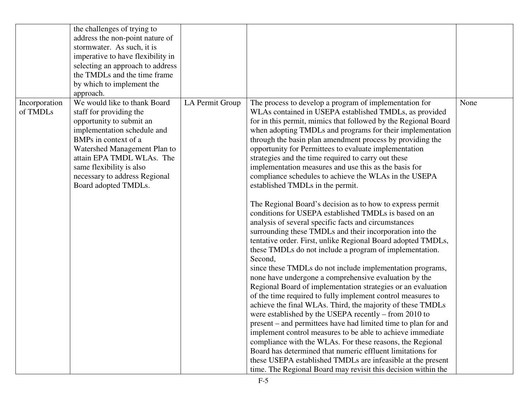|               | the challenges of trying to       |                 |                                                                |      |
|---------------|-----------------------------------|-----------------|----------------------------------------------------------------|------|
|               | address the non-point nature of   |                 |                                                                |      |
|               | stormwater. As such, it is        |                 |                                                                |      |
|               | imperative to have flexibility in |                 |                                                                |      |
|               | selecting an approach to address  |                 |                                                                |      |
|               | the TMDLs and the time frame      |                 |                                                                |      |
|               | by which to implement the         |                 |                                                                |      |
|               | approach.                         |                 |                                                                |      |
| Incorporation | We would like to thank Board      | LA Permit Group | The process to develop a program of implementation for         | None |
| of TMDLs      | staff for providing the           |                 | WLAs contained in USEPA established TMDLs, as provided         |      |
|               | opportunity to submit an          |                 | for in this permit, mimics that followed by the Regional Board |      |
|               | implementation schedule and       |                 | when adopting TMDLs and programs for their implementation      |      |
|               | BMPs in context of a              |                 | through the basin plan amendment process by providing the      |      |
|               | Watershed Management Plan to      |                 | opportunity for Permittees to evaluate implementation          |      |
|               | attain EPA TMDL WLAs. The         |                 | strategies and the time required to carry out these            |      |
|               | same flexibility is also          |                 | implementation measures and use this as the basis for          |      |
|               | necessary to address Regional     |                 | compliance schedules to achieve the WLAs in the USEPA          |      |
|               | Board adopted TMDLs.              |                 |                                                                |      |
|               |                                   |                 | established TMDLs in the permit.                               |      |
|               |                                   |                 | The Regional Board's decision as to how to express permit      |      |
|               |                                   |                 | conditions for USEPA established TMDLs is based on an          |      |
|               |                                   |                 | analysis of several specific facts and circumstances           |      |
|               |                                   |                 | surrounding these TMDLs and their incorporation into the       |      |
|               |                                   |                 | tentative order. First, unlike Regional Board adopted TMDLs,   |      |
|               |                                   |                 | these TMDLs do not include a program of implementation.        |      |
|               |                                   |                 | Second,                                                        |      |
|               |                                   |                 | since these TMDLs do not include implementation programs,      |      |
|               |                                   |                 | none have undergone a comprehensive evaluation by the          |      |
|               |                                   |                 | Regional Board of implementation strategies or an evaluation   |      |
|               |                                   |                 | of the time required to fully implement control measures to    |      |
|               |                                   |                 | achieve the final WLAs. Third, the majority of these TMDLs     |      |
|               |                                   |                 | were established by the USEPA recently – from 2010 to          |      |
|               |                                   |                 | present – and permittees have had limited time to plan for and |      |
|               |                                   |                 | implement control measures to be able to achieve immediate     |      |
|               |                                   |                 | compliance with the WLAs. For these reasons, the Regional      |      |
|               |                                   |                 | Board has determined that numeric effluent limitations for     |      |
|               |                                   |                 | these USEPA established TMDLs are infeasible at the present    |      |
|               |                                   |                 | time. The Regional Board may revisit this decision within the  |      |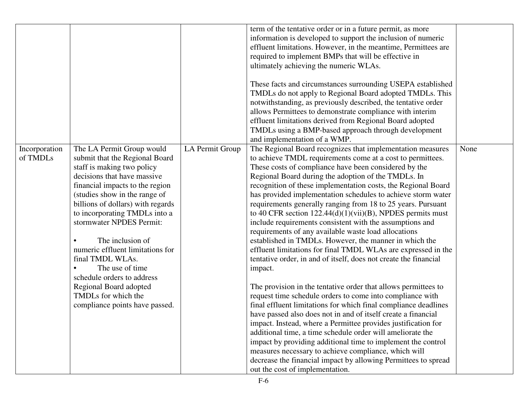|               |                                   |                 | term of the tentative order or in a future permit, as more       |      |
|---------------|-----------------------------------|-----------------|------------------------------------------------------------------|------|
|               |                                   |                 | information is developed to support the inclusion of numeric     |      |
|               |                                   |                 | effluent limitations. However, in the meantime, Permittees are   |      |
|               |                                   |                 | required to implement BMPs that will be effective in             |      |
|               |                                   |                 | ultimately achieving the numeric WLAs.                           |      |
|               |                                   |                 |                                                                  |      |
|               |                                   |                 | These facts and circumstances surrounding USEPA established      |      |
|               |                                   |                 | TMDLs do not apply to Regional Board adopted TMDLs. This         |      |
|               |                                   |                 | notwithstanding, as previously described, the tentative order    |      |
|               |                                   |                 | allows Permittees to demonstrate compliance with interim         |      |
|               |                                   |                 | effluent limitations derived from Regional Board adopted         |      |
|               |                                   |                 | TMDLs using a BMP-based approach through development             |      |
|               |                                   |                 | and implementation of a WMP.                                     |      |
| Incorporation | The LA Permit Group would         | LA Permit Group | The Regional Board recognizes that implementation measures       | None |
| of TMDLs      | submit that the Regional Board    |                 | to achieve TMDL requirements come at a cost to permittees.       |      |
|               | staff is making two policy        |                 | These costs of compliance have been considered by the            |      |
|               | decisions that have massive       |                 | Regional Board during the adoption of the TMDLs. In              |      |
|               | financial impacts to the region   |                 | recognition of these implementation costs, the Regional Board    |      |
|               | (studies show in the range of     |                 | has provided implementation schedules to achieve storm water     |      |
|               | billions of dollars) with regards |                 | requirements generally ranging from 18 to 25 years. Pursuant     |      |
|               | to incorporating TMDLs into a     |                 | to 40 CFR section $122.44(d)(1)(vii)(B)$ , NPDES permits must    |      |
|               | stormwater NPDES Permit:          |                 | include requirements consistent with the assumptions and         |      |
|               |                                   |                 | requirements of any available waste load allocations             |      |
|               | The inclusion of                  |                 | established in TMDLs. However, the manner in which the           |      |
|               | numeric effluent limitations for  |                 | effluent limitations for final TMDL WLAs are expressed in the    |      |
|               | final TMDL WLAs.                  |                 | tentative order, in and of itself, does not create the financial |      |
|               | The use of time                   |                 | impact.                                                          |      |
|               | schedule orders to address        |                 |                                                                  |      |
|               | Regional Board adopted            |                 | The provision in the tentative order that allows permittees to   |      |
|               | TMDLs for which the               |                 | request time schedule orders to come into compliance with        |      |
|               | compliance points have passed.    |                 | final effluent limitations for which final compliance deadlines  |      |
|               |                                   |                 | have passed also does not in and of itself create a financial    |      |
|               |                                   |                 | impact. Instead, where a Permittee provides justification for    |      |
|               |                                   |                 | additional time, a time schedule order will ameliorate the       |      |
|               |                                   |                 | impact by providing additional time to implement the control     |      |
|               |                                   |                 | measures necessary to achieve compliance, which will             |      |
|               |                                   |                 | decrease the financial impact by allowing Permittees to spread   |      |
|               |                                   |                 | out the cost of implementation.                                  |      |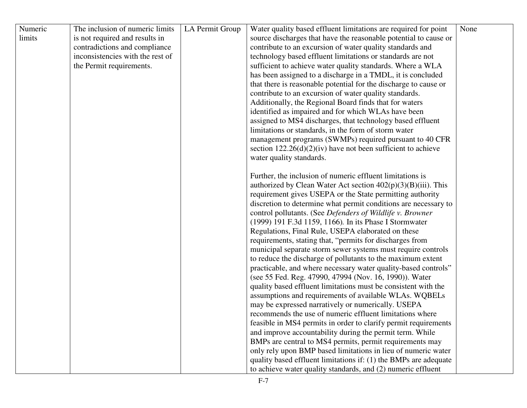| Numeric | The inclusion of numeric limits  |                 |                                                                  | None |
|---------|----------------------------------|-----------------|------------------------------------------------------------------|------|
|         |                                  | LA Permit Group | Water quality based effluent limitations are required for point  |      |
| limits  | is not required and results in   |                 | source discharges that have the reasonable potential to cause or |      |
|         | contradictions and compliance    |                 | contribute to an excursion of water quality standards and        |      |
|         | inconsistencies with the rest of |                 | technology based effluent limitations or standards are not       |      |
|         | the Permit requirements.         |                 | sufficient to achieve water quality standards. Where a WLA       |      |
|         |                                  |                 | has been assigned to a discharge in a TMDL, it is concluded      |      |
|         |                                  |                 | that there is reasonable potential for the discharge to cause or |      |
|         |                                  |                 | contribute to an excursion of water quality standards.           |      |
|         |                                  |                 | Additionally, the Regional Board finds that for waters           |      |
|         |                                  |                 | identified as impaired and for which WLAs have been              |      |
|         |                                  |                 | assigned to MS4 discharges, that technology based effluent       |      |
|         |                                  |                 | limitations or standards, in the form of storm water             |      |
|         |                                  |                 | management programs (SWMPs) required pursuant to 40 CFR          |      |
|         |                                  |                 | section $122.26(d)(2)(iv)$ have not been sufficient to achieve   |      |
|         |                                  |                 | water quality standards.                                         |      |
|         |                                  |                 |                                                                  |      |
|         |                                  |                 | Further, the inclusion of numeric effluent limitations is        |      |
|         |                                  |                 | authorized by Clean Water Act section $402(p)(3)(B)(iii)$ . This |      |
|         |                                  |                 | requirement gives USEPA or the State permitting authority        |      |
|         |                                  |                 | discretion to determine what permit conditions are necessary to  |      |
|         |                                  |                 | control pollutants. (See Defenders of Wildlife v. Browner        |      |
|         |                                  |                 | (1999) 191 F.3d 1159, 1166). In its Phase I Stormwater           |      |
|         |                                  |                 | Regulations, Final Rule, USEPA elaborated on these               |      |
|         |                                  |                 | requirements, stating that, "permits for discharges from         |      |
|         |                                  |                 | municipal separate storm sewer systems must require controls     |      |
|         |                                  |                 | to reduce the discharge of pollutants to the maximum extent      |      |
|         |                                  |                 | practicable, and where necessary water quality-based controls"   |      |
|         |                                  |                 | (see 55 Fed. Reg. 47990, 47994 (Nov. 16, 1990)). Water           |      |
|         |                                  |                 | quality based effluent limitations must be consistent with the   |      |
|         |                                  |                 | assumptions and requirements of available WLAs. WQBELs           |      |
|         |                                  |                 | may be expressed narratively or numerically. USEPA               |      |
|         |                                  |                 | recommends the use of numeric effluent limitations where         |      |
|         |                                  |                 | feasible in MS4 permits in order to clarify permit requirements  |      |
|         |                                  |                 | and improve accountability during the permit term. While         |      |
|         |                                  |                 | BMPs are central to MS4 permits, permit requirements may         |      |
|         |                                  |                 | only rely upon BMP based limitations in lieu of numeric water    |      |
|         |                                  |                 | quality based effluent limitations if: (1) the BMPs are adequate |      |
|         |                                  |                 | to achieve water quality standards, and (2) numeric effluent     |      |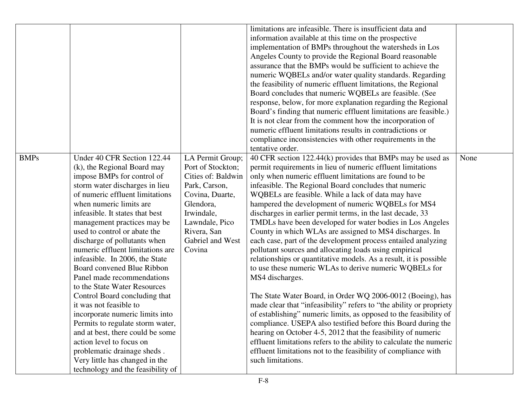|             |                                                                                                                                                                                                                                                                                                                                                                                                                                                                                                                                                                                                                                                                                                                                                                                                      |                                                                                                                                                                                           | limitations are infeasible. There is insufficient data and<br>information available at this time on the prospective<br>implementation of BMPs throughout the watersheds in Los<br>Angeles County to provide the Regional Board reasonable<br>assurance that the BMPs would be sufficient to achieve the<br>numeric WQBELs and/or water quality standards. Regarding<br>the feasibility of numeric effluent limitations, the Regional<br>Board concludes that numeric WQBELs are feasible. (See<br>response, below, for more explanation regarding the Regional<br>Board's finding that numeric effluent limitations are feasible.)<br>It is not clear from the comment how the incorporation of<br>numeric effluent limitations results in contradictions or<br>compliance inconsistencies with other requirements in the<br>tentative order.                                                                                                                                                                                                                                                                                                                                                                                                                                                                                        |      |
|-------------|------------------------------------------------------------------------------------------------------------------------------------------------------------------------------------------------------------------------------------------------------------------------------------------------------------------------------------------------------------------------------------------------------------------------------------------------------------------------------------------------------------------------------------------------------------------------------------------------------------------------------------------------------------------------------------------------------------------------------------------------------------------------------------------------------|-------------------------------------------------------------------------------------------------------------------------------------------------------------------------------------------|--------------------------------------------------------------------------------------------------------------------------------------------------------------------------------------------------------------------------------------------------------------------------------------------------------------------------------------------------------------------------------------------------------------------------------------------------------------------------------------------------------------------------------------------------------------------------------------------------------------------------------------------------------------------------------------------------------------------------------------------------------------------------------------------------------------------------------------------------------------------------------------------------------------------------------------------------------------------------------------------------------------------------------------------------------------------------------------------------------------------------------------------------------------------------------------------------------------------------------------------------------------------------------------------------------------------------------------|------|
| <b>BMPs</b> | Under 40 CFR Section 122.44<br>(k), the Regional Board may<br>impose BMPs for control of<br>storm water discharges in lieu<br>of numeric effluent limitations<br>when numeric limits are<br>infeasible. It states that best<br>management practices may be<br>used to control or abate the<br>discharge of pollutants when<br>numeric effluent limitations are<br>infeasible. In 2006, the State<br>Board convened Blue Ribbon<br>Panel made recommendations<br>to the State Water Resources<br>Control Board concluding that<br>it was not feasible to<br>incorporate numeric limits into<br>Permits to regulate storm water,<br>and at best, there could be some<br>action level to focus on<br>problematic drainage sheds.<br>Very little has changed in the<br>technology and the feasibility of | LA Permit Group;<br>Port of Stockton;<br>Cities of: Baldwin<br>Park, Carson,<br>Covina, Duarte,<br>Glendora,<br>Irwindale,<br>Lawndale, Pico<br>Rivera, San<br>Gabriel and West<br>Covina | 40 CFR section 122.44(k) provides that BMPs may be used as<br>permit requirements in lieu of numeric effluent limitations<br>only when numeric effluent limitations are found to be<br>infeasible. The Regional Board concludes that numeric<br>WQBELs are feasible. While a lack of data may have<br>hampered the development of numeric WQBELs for MS4<br>discharges in earlier permit terms, in the last decade, 33<br>TMDLs have been developed for water bodies in Los Angeles<br>County in which WLAs are assigned to MS4 discharges. In<br>each case, part of the development process entailed analyzing<br>pollutant sources and allocating loads using empirical<br>relationships or quantitative models. As a result, it is possible<br>to use these numeric WLAs to derive numeric WQBELs for<br>MS4 discharges.<br>The State Water Board, in Order WQ 2006-0012 (Boeing), has<br>made clear that "infeasibility" refers to "the ability or propriety<br>of establishing" numeric limits, as opposed to the feasibility of<br>compliance. USEPA also testified before this Board during the<br>hearing on October 4-5, 2012 that the feasibility of numeric<br>effluent limitations refers to the ability to calculate the numeric<br>effluent limitations not to the feasibility of compliance with<br>such limitations. | None |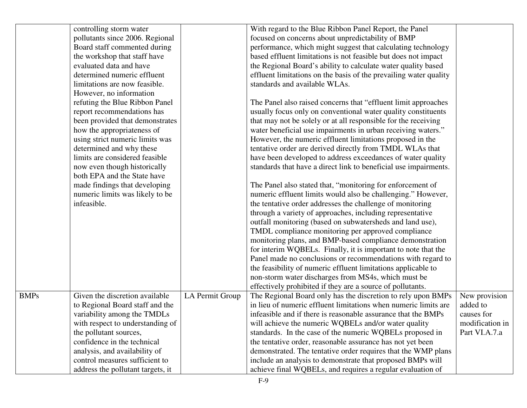|             | controlling storm water           |                 | With regard to the Blue Ribbon Panel Report, the Panel            |                 |
|-------------|-----------------------------------|-----------------|-------------------------------------------------------------------|-----------------|
|             | pollutants since 2006. Regional   |                 | focused on concerns about unpredictability of BMP                 |                 |
|             | Board staff commented during      |                 | performance, which might suggest that calculating technology      |                 |
|             | the workshop that staff have      |                 | based effluent limitations is not feasible but does not impact    |                 |
|             | evaluated data and have           |                 | the Regional Board's ability to calculate water quality based     |                 |
|             | determined numeric effluent       |                 | effluent limitations on the basis of the prevailing water quality |                 |
|             | limitations are now feasible.     |                 | standards and available WLAs.                                     |                 |
|             | However, no information           |                 |                                                                   |                 |
|             | refuting the Blue Ribbon Panel    |                 | The Panel also raised concerns that "effluent limit approaches"   |                 |
|             | report recommendations has        |                 | usually focus only on conventional water quality constituents     |                 |
|             | been provided that demonstrates   |                 | that may not be solely or at all responsible for the receiving    |                 |
|             | how the appropriateness of        |                 | water beneficial use impairments in urban receiving waters."      |                 |
|             | using strict numeric limits was   |                 | However, the numeric effluent limitations proposed in the         |                 |
|             | determined and why these          |                 | tentative order are derived directly from TMDL WLAs that          |                 |
|             | limits are considered feasible    |                 | have been developed to address exceedances of water quality       |                 |
|             | now even though historically      |                 | standards that have a direct link to beneficial use impairments.  |                 |
|             | both EPA and the State have       |                 |                                                                   |                 |
|             | made findings that developing     |                 | The Panel also stated that, "monitoring for enforcement of        |                 |
|             | numeric limits was likely to be   |                 | numeric effluent limits would also be challenging." However,      |                 |
|             | infeasible.                       |                 | the tentative order addresses the challenge of monitoring         |                 |
|             |                                   |                 | through a variety of approaches, including representative         |                 |
|             |                                   |                 | outfall monitoring (based on subwatersheds and land use),         |                 |
|             |                                   |                 | TMDL compliance monitoring per approved compliance                |                 |
|             |                                   |                 | monitoring plans, and BMP-based compliance demonstration          |                 |
|             |                                   |                 | for interim WQBELs. Finally, it is important to note that the     |                 |
|             |                                   |                 | Panel made no conclusions or recommendations with regard to       |                 |
|             |                                   |                 | the feasibility of numeric effluent limitations applicable to     |                 |
|             |                                   |                 | non-storm water discharges from MS4s, which must be               |                 |
|             |                                   |                 | effectively prohibited if they are a source of pollutants.        |                 |
| <b>BMPs</b> | Given the discretion available    | LA Permit Group | The Regional Board only has the discretion to rely upon BMPs      | New provision   |
|             | to Regional Board staff and the   |                 | in lieu of numeric effluent limitations when numeric limits are   | added to        |
|             | variability among the TMDLs       |                 | infeasible and if there is reasonable assurance that the BMPs     | causes for      |
|             | with respect to understanding of  |                 | will achieve the numeric WQBELs and/or water quality              | modification in |
|             | the pollutant sources,            |                 | standards. In the case of the numeric WQBELs proposed in          | Part VI.A.7.a   |
|             | confidence in the technical       |                 | the tentative order, reasonable assurance has not yet been        |                 |
|             | analysis, and availability of     |                 | demonstrated. The tentative order requires that the WMP plans     |                 |
|             | control measures sufficient to    |                 | include an analysis to demonstrate that proposed BMPs will        |                 |
|             | address the pollutant targets, it |                 | achieve final WQBELs, and requires a regular evaluation of        |                 |
|             |                                   |                 |                                                                   |                 |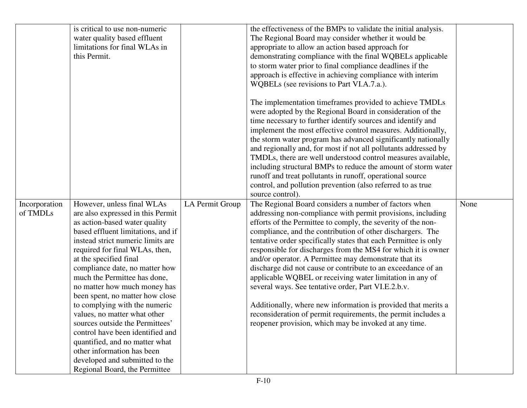|                           | is critical to use non-numeric<br>water quality based effluent<br>limitations for final WLAs in<br>this Permit.                                                                                                                                                                                                                                                                                                                                                                                                                                                                                                                                         |                 | the effectiveness of the BMPs to validate the initial analysis.<br>The Regional Board may consider whether it would be<br>appropriate to allow an action based approach for<br>demonstrating compliance with the final WQBELs applicable<br>to storm water prior to final compliance deadlines if the<br>approach is effective in achieving compliance with interim                                                                                                                                                                                                                                                                                                                                                                                                                                                           |      |
|---------------------------|---------------------------------------------------------------------------------------------------------------------------------------------------------------------------------------------------------------------------------------------------------------------------------------------------------------------------------------------------------------------------------------------------------------------------------------------------------------------------------------------------------------------------------------------------------------------------------------------------------------------------------------------------------|-----------------|-------------------------------------------------------------------------------------------------------------------------------------------------------------------------------------------------------------------------------------------------------------------------------------------------------------------------------------------------------------------------------------------------------------------------------------------------------------------------------------------------------------------------------------------------------------------------------------------------------------------------------------------------------------------------------------------------------------------------------------------------------------------------------------------------------------------------------|------|
|                           |                                                                                                                                                                                                                                                                                                                                                                                                                                                                                                                                                                                                                                                         |                 | WQBELs (see revisions to Part VI.A.7.a.).<br>The implementation timeframes provided to achieve TMDLs<br>were adopted by the Regional Board in consideration of the<br>time necessary to further identify sources and identify and<br>implement the most effective control measures. Additionally,<br>the storm water program has advanced significantly nationally<br>and regionally and, for most if not all pollutants addressed by<br>TMDLs, there are well understood control measures available,<br>including structural BMPs to reduce the amount of storm water<br>runoff and treat pollutants in runoff, operational source<br>control, and pollution prevention (also referred to as true<br>source control).                                                                                                        |      |
| Incorporation<br>of TMDLs | However, unless final WLAs<br>are also expressed in this Permit<br>as action-based water quality<br>based effluent limitations, and if<br>instead strict numeric limits are<br>required for final WLAs, then,<br>at the specified final<br>compliance date, no matter how<br>much the Permittee has done,<br>no matter how much money has<br>been spent, no matter how close<br>to complying with the numeric<br>values, no matter what other<br>sources outside the Permittees'<br>control have been identified and<br>quantified, and no matter what<br>other information has been<br>developed and submitted to the<br>Regional Board, the Permittee | LA Permit Group | The Regional Board considers a number of factors when<br>addressing non-compliance with permit provisions, including<br>efforts of the Permittee to comply, the severity of the non-<br>compliance, and the contribution of other dischargers. The<br>tentative order specifically states that each Permittee is only<br>responsible for discharges from the MS4 for which it is owner<br>and/or operator. A Permittee may demonstrate that its<br>discharge did not cause or contribute to an exceedance of an<br>applicable WQBEL or receiving water limitation in any of<br>several ways. See tentative order, Part VI.E.2.b.v.<br>Additionally, where new information is provided that merits a<br>reconsideration of permit requirements, the permit includes a<br>reopener provision, which may be invoked at any time. | None |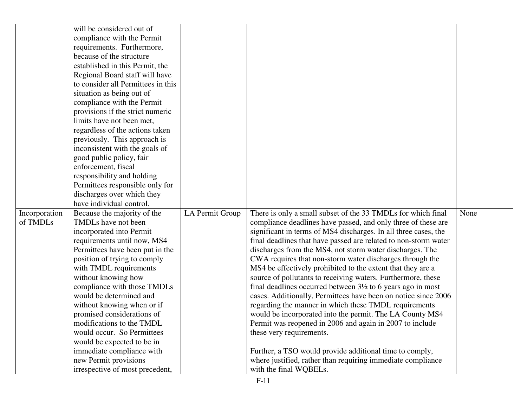|               | will be considered out of          |                 |                                                                        |      |
|---------------|------------------------------------|-----------------|------------------------------------------------------------------------|------|
|               | compliance with the Permit         |                 |                                                                        |      |
|               | requirements. Furthermore,         |                 |                                                                        |      |
|               | because of the structure           |                 |                                                                        |      |
|               | established in this Permit, the    |                 |                                                                        |      |
|               | Regional Board staff will have     |                 |                                                                        |      |
|               | to consider all Permittees in this |                 |                                                                        |      |
|               | situation as being out of          |                 |                                                                        |      |
|               | compliance with the Permit         |                 |                                                                        |      |
|               | provisions if the strict numeric   |                 |                                                                        |      |
|               | limits have not been met,          |                 |                                                                        |      |
|               | regardless of the actions taken    |                 |                                                                        |      |
|               | previously. This approach is       |                 |                                                                        |      |
|               | inconsistent with the goals of     |                 |                                                                        |      |
|               | good public policy, fair           |                 |                                                                        |      |
|               | enforcement, fiscal                |                 |                                                                        |      |
|               | responsibility and holding         |                 |                                                                        |      |
|               | Permittees responsible only for    |                 |                                                                        |      |
|               | discharges over which they         |                 |                                                                        |      |
|               | have individual control.           |                 |                                                                        |      |
| Incorporation | Because the majority of the        | LA Permit Group | There is only a small subset of the 33 TMDLs for which final           | None |
| of TMDLs      | TMDLs have not been                |                 | compliance deadlines have passed, and only three of these are          |      |
|               | incorporated into Permit           |                 | significant in terms of MS4 discharges. In all three cases, the        |      |
|               | requirements until now, MS4        |                 | final deadlines that have passed are related to non-storm water        |      |
|               | Permittees have been put in the    |                 | discharges from the MS4, not storm water discharges. The               |      |
|               | position of trying to comply       |                 | CWA requires that non-storm water discharges through the               |      |
|               | with TMDL requirements             |                 | MS4 be effectively prohibited to the extent that they are a            |      |
|               | without knowing how                |                 | source of pollutants to receiving waters. Furthermore, these           |      |
|               | compliance with those TMDLs        |                 | final deadlines occurred between $3\frac{1}{2}$ to 6 years ago in most |      |
|               | would be determined and            |                 | cases. Additionally, Permittees have been on notice since 2006         |      |
|               | without knowing when or if         |                 | regarding the manner in which these TMDL requirements                  |      |
|               | promised considerations of         |                 | would be incorporated into the permit. The LA County MS4               |      |
|               | modifications to the TMDL          |                 | Permit was reopened in 2006 and again in 2007 to include               |      |
|               | would occur. So Permittees         |                 | these very requirements.                                               |      |
|               | would be expected to be in         |                 |                                                                        |      |
|               | immediate compliance with          |                 | Further, a TSO would provide additional time to comply,                |      |
|               | new Permit provisions              |                 | where justified, rather than requiring immediate compliance            |      |
|               | irrespective of most precedent,    |                 | with the final WQBELs.                                                 |      |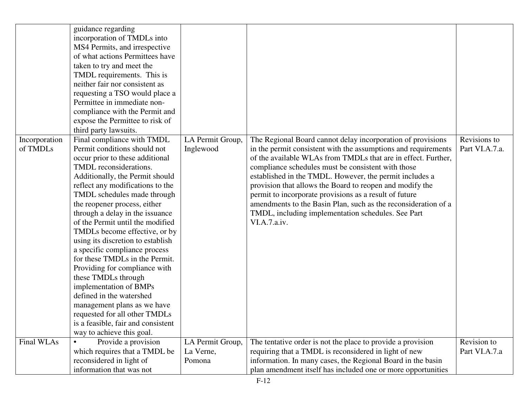|                           | guidance regarding<br>incorporation of TMDLs into<br>MS4 Permits, and irrespective<br>of what actions Permittees have<br>taken to try and meet the<br>TMDL requirements. This is<br>neither fair nor consistent as<br>requesting a TSO would place a<br>Permittee in immediate non-<br>compliance with the Permit and<br>expose the Permittee to risk of<br>third party lawsuits.                                                                                                                                                                                                                                                                                                                                              |                               |                                                                                                                                                                                                                                                                                                                                                                                                                                                                                                                                                                               |                                |
|---------------------------|--------------------------------------------------------------------------------------------------------------------------------------------------------------------------------------------------------------------------------------------------------------------------------------------------------------------------------------------------------------------------------------------------------------------------------------------------------------------------------------------------------------------------------------------------------------------------------------------------------------------------------------------------------------------------------------------------------------------------------|-------------------------------|-------------------------------------------------------------------------------------------------------------------------------------------------------------------------------------------------------------------------------------------------------------------------------------------------------------------------------------------------------------------------------------------------------------------------------------------------------------------------------------------------------------------------------------------------------------------------------|--------------------------------|
| Incorporation<br>of TMDLs | Final compliance with TMDL<br>Permit conditions should not<br>occur prior to these additional<br>TMDL reconsiderations.<br>Additionally, the Permit should<br>reflect any modifications to the<br>TMDL schedules made through<br>the reopener process, either<br>through a delay in the issuance<br>of the Permit until the modified<br>TMDLs become effective, or by<br>using its discretion to establish<br>a specific compliance process<br>for these TMDLs in the Permit.<br>Providing for compliance with<br>these TMDLs through<br>implementation of BMPs<br>defined in the watershed<br>management plans as we have<br>requested for all other TMDLs<br>is a feasible, fair and consistent<br>way to achieve this goal. | LA Permit Group,<br>Inglewood | The Regional Board cannot delay incorporation of provisions<br>in the permit consistent with the assumptions and requirements<br>of the available WLAs from TMDLs that are in effect. Further,<br>compliance schedules must be consistent with those<br>established in the TMDL. However, the permit includes a<br>provision that allows the Board to reopen and modify the<br>permit to incorporate provisions as a result of future<br>amendments to the Basin Plan, such as the reconsideration of a<br>TMDL, including implementation schedules. See Part<br>VI.A.7.a.iv. | Revisions to<br>Part VI.A.7.a. |
| Final WLAs                | Provide a provision<br>which requires that a TMDL be                                                                                                                                                                                                                                                                                                                                                                                                                                                                                                                                                                                                                                                                           | LA Permit Group,<br>La Verne, | The tentative order is not the place to provide a provision<br>requiring that a TMDL is reconsidered in light of new                                                                                                                                                                                                                                                                                                                                                                                                                                                          | Revision to<br>Part VI.A.7.a   |
|                           | reconsidered in light of<br>information that was not                                                                                                                                                                                                                                                                                                                                                                                                                                                                                                                                                                                                                                                                           | Pomona                        | information. In many cases, the Regional Board in the basin<br>plan amendment itself has included one or more opportunities                                                                                                                                                                                                                                                                                                                                                                                                                                                   |                                |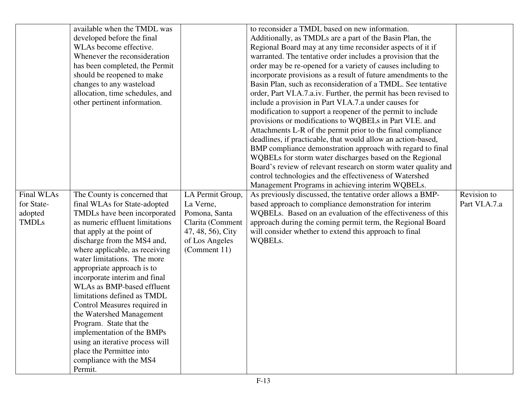|              | available when the TMDL was                           |                   | to reconsider a TMDL based on new information.                   |               |
|--------------|-------------------------------------------------------|-------------------|------------------------------------------------------------------|---------------|
|              | developed before the final                            |                   | Additionally, as TMDLs are a part of the Basin Plan, the         |               |
|              | WLAs become effective.                                |                   | Regional Board may at any time reconsider aspects of it if       |               |
|              | Whenever the reconsideration                          |                   | warranted. The tentative order includes a provision that the     |               |
|              | has been completed, the Permit                        |                   | order may be re-opened for a variety of causes including to      |               |
|              | should be reopened to make                            |                   | incorporate provisions as a result of future amendments to the   |               |
|              | changes to any wasteload                              |                   | Basin Plan, such as reconsideration of a TMDL. See tentative     |               |
|              | allocation, time schedules, and                       |                   | order, Part VI.A.7.a.iv. Further, the permit has been revised to |               |
|              | other pertinent information.                          |                   | include a provision in Part VI.A.7.a under causes for            |               |
|              |                                                       |                   | modification to support a reopener of the permit to include      |               |
|              |                                                       |                   | provisions or modifications to WQBELs in Part VI.E. and          |               |
|              |                                                       |                   | Attachments L-R of the permit prior to the final compliance      |               |
|              |                                                       |                   | deadlines, if practicable, that would allow an action-based,     |               |
|              |                                                       |                   | BMP compliance demonstration approach with regard to final       |               |
|              |                                                       |                   | WQBELs for storm water discharges based on the Regional          |               |
|              |                                                       |                   | Board's review of relevant research on storm water quality and   |               |
|              |                                                       |                   | control technologies and the effectiveness of Watershed          |               |
|              |                                                       |                   | Management Programs in achieving interim WQBELs.                 |               |
| Final WLAs   | The County is concerned that                          | LA Permit Group,  | As previously discussed, the tentative order allows a BMP-       | Revision to   |
| for State-   | final WLAs for State-adopted                          | La Verne,         | based approach to compliance demonstration for interim           | Part VI.A.7.a |
| adopted      | TMDLs have been incorporated                          | Pomona, Santa     | WQBELs. Based on an evaluation of the effectiveness of this      |               |
| <b>TMDLs</b> | as numeric effluent limitations                       | Clarita (Comment  | approach during the coming permit term, the Regional Board       |               |
|              | that apply at the point of                            | 47, 48, 56), City | will consider whether to extend this approach to final           |               |
|              | discharge from the MS4 and,                           | of Los Angeles    | WQBELs.                                                          |               |
|              | where applicable, as receiving                        | (Comment 11)      |                                                                  |               |
|              | water limitations. The more                           |                   |                                                                  |               |
|              | appropriate approach is to                            |                   |                                                                  |               |
|              | incorporate interim and final                         |                   |                                                                  |               |
|              | WLAs as BMP-based effluent                            |                   |                                                                  |               |
|              | limitations defined as TMDL                           |                   |                                                                  |               |
|              | Control Measures required in                          |                   |                                                                  |               |
|              | the Watershed Management                              |                   |                                                                  |               |
|              |                                                       |                   |                                                                  |               |
|              | Program. State that the<br>implementation of the BMPs |                   |                                                                  |               |
|              | using an iterative process will                       |                   |                                                                  |               |
|              | place the Permittee into                              |                   |                                                                  |               |
|              |                                                       |                   |                                                                  |               |
|              | compliance with the MS4                               |                   |                                                                  |               |
|              | Permit.                                               |                   |                                                                  |               |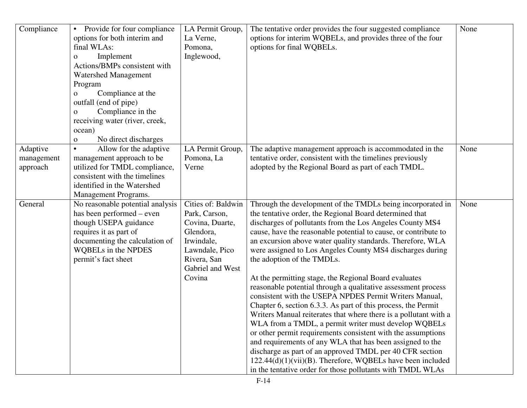| Compliance                         | Provide for four compliance<br>$\bullet$<br>options for both interim and<br>final WLAs:<br>Implement<br>0<br>Actions/BMPs consistent with<br><b>Watershed Management</b><br>Program<br>Compliance at the<br>$\mathbf{O}$<br>outfall (end of pipe)<br>Compliance in the<br>0<br>receiving water (river, creek,<br>ocean)<br>No direct discharges<br>0 | LA Permit Group,<br>La Verne,<br>Pomona,<br>Inglewood,                                                                                           | The tentative order provides the four suggested compliance<br>options for interim WQBELs, and provides three of the four<br>options for final WQBELs.                                                                                                                                                                                                                                                                                                                                                                                                                                                                                                                                                                                                                                                                                                                                                                                                                                                                                                                                                                  | None |
|------------------------------------|------------------------------------------------------------------------------------------------------------------------------------------------------------------------------------------------------------------------------------------------------------------------------------------------------------------------------------------------------|--------------------------------------------------------------------------------------------------------------------------------------------------|------------------------------------------------------------------------------------------------------------------------------------------------------------------------------------------------------------------------------------------------------------------------------------------------------------------------------------------------------------------------------------------------------------------------------------------------------------------------------------------------------------------------------------------------------------------------------------------------------------------------------------------------------------------------------------------------------------------------------------------------------------------------------------------------------------------------------------------------------------------------------------------------------------------------------------------------------------------------------------------------------------------------------------------------------------------------------------------------------------------------|------|
| Adaptive<br>management<br>approach | Allow for the adaptive<br>$\bullet$<br>management approach to be<br>utilized for TMDL compliance,<br>consistent with the timelines<br>identified in the Watershed<br>Management Programs.                                                                                                                                                            | LA Permit Group,<br>Pomona, La<br>Verne                                                                                                          | The adaptive management approach is accommodated in the<br>tentative order, consistent with the timelines previously<br>adopted by the Regional Board as part of each TMDL.                                                                                                                                                                                                                                                                                                                                                                                                                                                                                                                                                                                                                                                                                                                                                                                                                                                                                                                                            | None |
| General                            | No reasonable potential analysis<br>has been performed – even<br>though USEPA guidance<br>requires it as part of<br>documenting the calculation of<br>WQBELs in the NPDES<br>permit's fact sheet                                                                                                                                                     | Cities of: Baldwin<br>Park, Carson,<br>Covina, Duarte,<br>Glendora,<br>Irwindale,<br>Lawndale, Pico<br>Rivera, San<br>Gabriel and West<br>Covina | Through the development of the TMDLs being incorporated in<br>the tentative order, the Regional Board determined that<br>discharges of pollutants from the Los Angeles County MS4<br>cause, have the reasonable potential to cause, or contribute to<br>an excursion above water quality standards. Therefore, WLA<br>were assigned to Los Angeles County MS4 discharges during<br>the adoption of the TMDLs.<br>At the permitting stage, the Regional Board evaluates<br>reasonable potential through a qualitative assessment process<br>consistent with the USEPA NPDES Permit Writers Manual,<br>Chapter 6, section 6.3.3. As part of this process, the Permit<br>Writers Manual reiterates that where there is a pollutant with a<br>WLA from a TMDL, a permit writer must develop WQBELs<br>or other permit requirements consistent with the assumptions<br>and requirements of any WLA that has been assigned to the<br>discharge as part of an approved TMDL per 40 CFR section<br>$122.44(d)(1)(vii)(B)$ . Therefore, WQBELs have been included<br>in the tentative order for those pollutants with TMDL WLAs | None |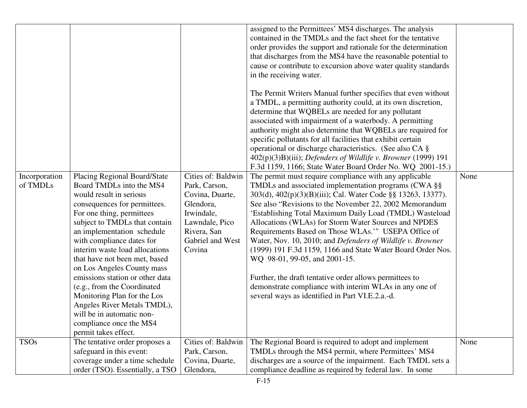| Incorporation<br>of TMDLs | <b>Placing Regional Board/State</b><br>Board TMDLs into the MS4<br>would result in serious<br>consequences for permittees.<br>For one thing, permittees<br>subject to TMDLs that contain<br>an implementation schedule<br>with compliance dates for<br>interim waste load allocations<br>that have not been met, based<br>on Los Angeles County mass<br>emissions station or other data<br>(e.g., from the Coordinated<br>Monitoring Plan for the Los<br>Angeles River Metals TMDL),<br>will be in automatic non-<br>compliance once the MS4 | Cities of: Baldwin<br>Park, Carson,<br>Covina, Duarte,<br>Glendora,<br>Irwindale,<br>Lawndale, Pico<br>Rivera, San<br>Gabriel and West<br>Covina | assigned to the Permittees' MS4 discharges. The analysis<br>contained in the TMDLs and the fact sheet for the tentative<br>order provides the support and rationale for the determination<br>that discharges from the MS4 have the reasonable potential to<br>cause or contribute to excursion above water quality standards<br>in the receiving water.<br>The Permit Writers Manual further specifies that even without<br>a TMDL, a permitting authority could, at its own discretion,<br>determine that WQBELs are needed for any pollutant<br>associated with impairment of a waterbody. A permitting<br>authority might also determine that WQBELs are required for<br>specific pollutants for all facilities that exhibit certain<br>operational or discharge characteristics. (See also CA §<br>402(p)(3)B)(iii); Defenders of Wildlife v. Browner (1999) 191<br>F.3d 1159, 1166; State Water Board Order No. WQ 2001-15.)<br>The permit must require compliance with any applicable<br>TMDLs and associated implementation programs (CWA §§<br>303(d), 402(p)(3)(B)(iii); Cal. Water Code §§ 13263, 13377).<br>See also "Revisions to the November 22, 2002 Memorandum<br>'Establishing Total Maximum Daily Load (TMDL) Wasteload<br>Allocations (WLAs) for Storm Water Sources and NPDES<br>Requirements Based on Those WLAs.'" USEPA Office of<br>Water, Nov. 10, 2010; and Defenders of Wildlife v. Browner<br>(1999) 191 F.3d 1159, 1166 and State Water Board Order Nos.<br>WQ 98-01, 99-05, and 2001-15.<br>Further, the draft tentative order allows permittees to<br>demonstrate compliance with interim WLAs in any one of<br>several ways as identified in Part VI.E.2.a.-d. | None |
|---------------------------|----------------------------------------------------------------------------------------------------------------------------------------------------------------------------------------------------------------------------------------------------------------------------------------------------------------------------------------------------------------------------------------------------------------------------------------------------------------------------------------------------------------------------------------------|--------------------------------------------------------------------------------------------------------------------------------------------------|------------------------------------------------------------------------------------------------------------------------------------------------------------------------------------------------------------------------------------------------------------------------------------------------------------------------------------------------------------------------------------------------------------------------------------------------------------------------------------------------------------------------------------------------------------------------------------------------------------------------------------------------------------------------------------------------------------------------------------------------------------------------------------------------------------------------------------------------------------------------------------------------------------------------------------------------------------------------------------------------------------------------------------------------------------------------------------------------------------------------------------------------------------------------------------------------------------------------------------------------------------------------------------------------------------------------------------------------------------------------------------------------------------------------------------------------------------------------------------------------------------------------------------------------------------------------------------------------------------------------------------------------------------------------------------------------|------|
|                           | permit takes effect.                                                                                                                                                                                                                                                                                                                                                                                                                                                                                                                         |                                                                                                                                                  |                                                                                                                                                                                                                                                                                                                                                                                                                                                                                                                                                                                                                                                                                                                                                                                                                                                                                                                                                                                                                                                                                                                                                                                                                                                                                                                                                                                                                                                                                                                                                                                                                                                                                                |      |
| <b>TSOs</b>               | The tentative order proposes a<br>safeguard in this event:<br>coverage under a time schedule<br>order (TSO). Essentially, a TSO                                                                                                                                                                                                                                                                                                                                                                                                              | Cities of: Baldwin<br>Park, Carson,<br>Covina, Duarte,<br>Glendora,                                                                              | The Regional Board is required to adopt and implement<br>TMDLs through the MS4 permit, where Permittees' MS4<br>discharges are a source of the impairment. Each TMDL sets a<br>compliance deadline as required by federal law. In some                                                                                                                                                                                                                                                                                                                                                                                                                                                                                                                                                                                                                                                                                                                                                                                                                                                                                                                                                                                                                                                                                                                                                                                                                                                                                                                                                                                                                                                         | None |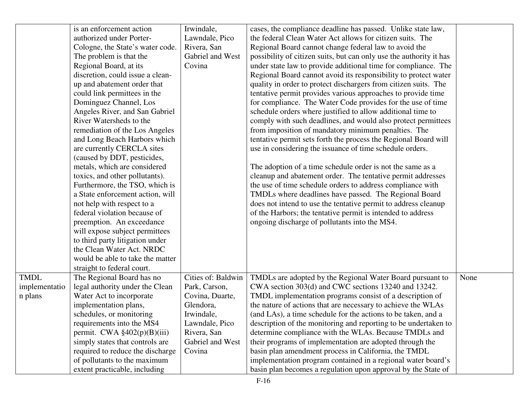|               | is an enforcement action                  | Irwindale,         | cases, the compliance deadline has passed. Unlike state law,        |      |
|---------------|-------------------------------------------|--------------------|---------------------------------------------------------------------|------|
|               | authorized under Porter-                  | Lawndale, Pico     | the federal Clean Water Act allows for citizen suits. The           |      |
|               | Cologne, the State's water code.          | Rivera, San        | Regional Board cannot change federal law to avoid the               |      |
|               | The problem is that the                   | Gabriel and West   | possibility of citizen suits, but can only use the authority it has |      |
|               | Regional Board, at its                    | Covina             | under state law to provide additional time for compliance. The      |      |
|               | discretion, could issue a clean-          |                    | Regional Board cannot avoid its responsibility to protect water     |      |
|               | up and abatement order that               |                    | quality in order to protect dischargers from citizen suits. The     |      |
|               | could link permittees in the              |                    | tentative permit provides various approaches to provide time        |      |
|               | Dominguez Channel, Los                    |                    | for compliance. The Water Code provides for the use of time         |      |
|               | Angeles River, and San Gabriel            |                    | schedule orders where justified to allow additional time to         |      |
|               | River Watersheds to the                   |                    | comply with such deadlines, and would also protect permittees       |      |
|               | remediation of the Los Angeles            |                    | from imposition of mandatory minimum penalties. The                 |      |
|               | and Long Beach Harbors which              |                    | tentative permit sets forth the process the Regional Board will     |      |
|               | are currently CERCLA sites                |                    | use in considering the issuance of time schedule orders.            |      |
|               | (caused by DDT, pesticides,               |                    |                                                                     |      |
|               | metals, which are considered              |                    | The adoption of a time schedule order is not the same as a          |      |
|               | toxics, and other pollutants).            |                    | cleanup and abatement order. The tentative permit addresses         |      |
|               | Furthermore, the TSO, which is            |                    | the use of time schedule orders to address compliance with          |      |
|               | a State enforcement action, will          |                    | TMDLs where deadlines have passed. The Regional Board               |      |
|               | not help with respect to a                |                    | does not intend to use the tentative permit to address cleanup      |      |
|               | federal violation because of              |                    | of the Harbors; the tentative permit is intended to address         |      |
|               | preemption. An exceedance                 |                    | ongoing discharge of pollutants into the MS4.                       |      |
|               | will expose subject permittees            |                    |                                                                     |      |
|               | to third party litigation under           |                    |                                                                     |      |
|               | the Clean Water Act. NRDC                 |                    |                                                                     |      |
|               | would be able to take the matter          |                    |                                                                     |      |
|               | straight to federal court.                |                    |                                                                     |      |
| <b>TMDL</b>   | The Regional Board has no                 | Cities of: Baldwin | TMDLs are adopted by the Regional Water Board pursuant to           | None |
| implementatio | legal authority under the Clean           | Park, Carson,      | CWA section 303(d) and CWC sections 13240 and 13242.                |      |
| n plans       | Water Act to incorporate                  | Covina, Duarte,    | TMDL implementation programs consist of a description of            |      |
|               | implementation plans,                     | Glendora,          | the nature of actions that are necessary to achieve the WLAs        |      |
|               | schedules, or monitoring                  | Irwindale,         | (and LAs), a time schedule for the actions to be taken, and a       |      |
|               | requirements into the MS4                 | Lawndale, Pico     | description of the monitoring and reporting to be undertaken to     |      |
|               | permit. CWA $\frac{2402(p)(B)(iii)}{240}$ | Rivera, San        | determine compliance with the WLAs. Because TMDLs and               |      |
|               | simply states that controls are           | Gabriel and West   | their programs of implementation are adopted through the            |      |
|               | required to reduce the discharge          | Covina             | basin plan amendment process in California, the TMDL                |      |
|               | of pollutants to the maximum              |                    | implementation program contained in a regional water board's        |      |
|               | extent practicable, including             |                    | basin plan becomes a regulation upon approval by the State of       |      |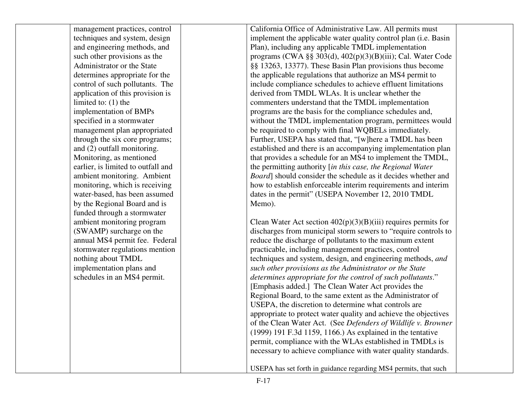| management practices, control      | California Office of Administrative Law. All permits must        |  |
|------------------------------------|------------------------------------------------------------------|--|
| techniques and system, design      | implement the applicable water quality control plan (i.e. Basin  |  |
| and engineering methods, and       | Plan), including any applicable TMDL implementation              |  |
| such other provisions as the       | programs (CWA $\S$ § 303(d), 402(p)(3)(B)(iii); Cal. Water Code  |  |
| Administrator or the State         | §§ 13263, 13377). These Basin Plan provisions thus become        |  |
| determines appropriate for the     | the applicable regulations that authorize an MS4 permit to       |  |
| control of such pollutants. The    | include compliance schedules to achieve effluent limitations     |  |
| application of this provision is   | derived from TMDL WLAs. It is unclear whether the                |  |
| limited to: $(1)$ the              | commenters understand that the TMDL implementation               |  |
| implementation of BMPs             | programs are the basis for the compliance schedules and,         |  |
| specified in a stormwater          | without the TMDL implementation program, permittees would        |  |
| management plan appropriated       | be required to comply with final WQBELs immediately.             |  |
| through the six core programs;     | Further, USEPA has stated that, "[w]here a TMDL has been         |  |
| and (2) outfall monitoring.        | established and there is an accompanying implementation plan     |  |
| Monitoring, as mentioned           | that provides a schedule for an MS4 to implement the TMDL,       |  |
| earlier, is limited to outfall and | the permitting authority [in this case, the Regional Water       |  |
| ambient monitoring. Ambient        | Board] should consider the schedule as it decides whether and    |  |
| monitoring, which is receiving     | how to establish enforceable interim requirements and interim    |  |
| water-based, has been assumed      | dates in the permit" (USEPA November 12, 2010 TMDL               |  |
| by the Regional Board and is       | Memo).                                                           |  |
| funded through a stormwater        |                                                                  |  |
| ambient monitoring program         | Clean Water Act section $402(p)(3)(B)(iii)$ requires permits for |  |
| (SWAMP) surcharge on the           | discharges from municipal storm sewers to "require controls to   |  |
| annual MS4 permit fee. Federal     | reduce the discharge of pollutants to the maximum extent         |  |
| stormwater regulations mention     | practicable, including management practices, control             |  |
| nothing about TMDL                 | techniques and system, design, and engineering methods, and      |  |
| implementation plans and           | such other provisions as the Administrator or the State          |  |
| schedules in an MS4 permit.        | determines appropriate for the control of such pollutants."      |  |
|                                    | [Emphasis added.] The Clean Water Act provides the               |  |
|                                    | Regional Board, to the same extent as the Administrator of       |  |
|                                    | USEPA, the discretion to determine what controls are             |  |
|                                    | appropriate to protect water quality and achieve the objectives  |  |
|                                    | of the Clean Water Act. (See Defenders of Wildlife v. Browner    |  |
|                                    | $(1999)$ 191 F.3d 1159, 1166.) As explained in the tentative     |  |
|                                    | permit, compliance with the WLAs established in TMDLs is         |  |
|                                    | necessary to achieve compliance with water quality standards.    |  |
|                                    |                                                                  |  |
|                                    | USEPA has set forth in guidance regarding MS4 permits, that such |  |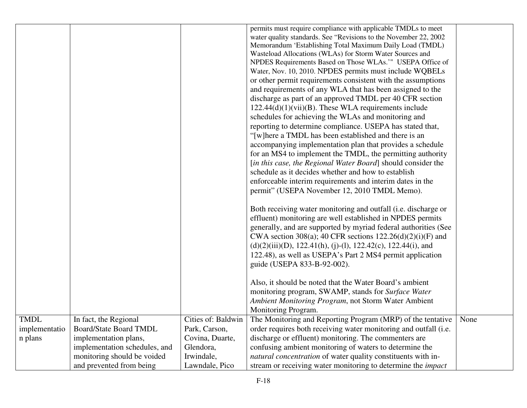|                          |                                                        |                                  | permits must require compliance with applicable TMDLs to meet<br>water quality standards. See "Revisions to the November 22, 2002<br>Memorandum 'Establishing Total Maximum Daily Load (TMDL)<br>Wasteload Allocations (WLAs) for Storm Water Sources and<br>NPDES Requirements Based on Those WLAs.'" USEPA Office of<br>Water, Nov. 10, 2010. NPDES permits must include WQBELs<br>or other permit requirements consistent with the assumptions<br>and requirements of any WLA that has been assigned to the<br>discharge as part of an approved TMDL per 40 CFR section<br>$122.44(d)(1)(vii)(B)$ . These WLA requirements include<br>schedules for achieving the WLAs and monitoring and<br>reporting to determine compliance. USEPA has stated that,<br>"[w]here a TMDL has been established and there is an |      |
|--------------------------|--------------------------------------------------------|----------------------------------|-------------------------------------------------------------------------------------------------------------------------------------------------------------------------------------------------------------------------------------------------------------------------------------------------------------------------------------------------------------------------------------------------------------------------------------------------------------------------------------------------------------------------------------------------------------------------------------------------------------------------------------------------------------------------------------------------------------------------------------------------------------------------------------------------------------------|------|
|                          |                                                        |                                  | accompanying implementation plan that provides a schedule<br>for an MS4 to implement the TMDL, the permitting authority                                                                                                                                                                                                                                                                                                                                                                                                                                                                                                                                                                                                                                                                                           |      |
|                          |                                                        |                                  | [in this case, the Regional Water Board] should consider the                                                                                                                                                                                                                                                                                                                                                                                                                                                                                                                                                                                                                                                                                                                                                      |      |
|                          |                                                        |                                  | schedule as it decides whether and how to establish<br>enforceable interim requirements and interim dates in the                                                                                                                                                                                                                                                                                                                                                                                                                                                                                                                                                                                                                                                                                                  |      |
|                          |                                                        |                                  | permit" (USEPA November 12, 2010 TMDL Memo).                                                                                                                                                                                                                                                                                                                                                                                                                                                                                                                                                                                                                                                                                                                                                                      |      |
|                          |                                                        |                                  | Both receiving water monitoring and outfall (i.e. discharge or<br>effluent) monitoring are well established in NPDES permits<br>generally, and are supported by myriad federal authorities (See<br>CWA section 308(a); 40 CFR sections $122.26(d)(2)(i)$ (F) and<br>$(d)(2)(iii)(D), 122.41(h), (j)-(1), 122.42(c), 122.44(i), and$<br>122.48), as well as USEPA's Part 2 MS4 permit application<br>guide (USEPA 833-B-92-002).                                                                                                                                                                                                                                                                                                                                                                                   |      |
|                          |                                                        |                                  | Also, it should be noted that the Water Board's ambient<br>monitoring program, SWAMP, stands for Surface Water<br>Ambient Monitoring Program, not Storm Water Ambient                                                                                                                                                                                                                                                                                                                                                                                                                                                                                                                                                                                                                                             |      |
|                          |                                                        |                                  | Monitoring Program.                                                                                                                                                                                                                                                                                                                                                                                                                                                                                                                                                                                                                                                                                                                                                                                               |      |
| <b>TMDL</b>              | In fact, the Regional                                  | Cities of: Baldwin               | The Monitoring and Reporting Program (MRP) of the tentative                                                                                                                                                                                                                                                                                                                                                                                                                                                                                                                                                                                                                                                                                                                                                       | None |
| implementatio<br>n plans | <b>Board/State Board TMDL</b>                          | Park, Carson,<br>Covina, Duarte, | order requires both receiving water monitoring and outfall (i.e.<br>discharge or effluent) monitoring. The commenters are                                                                                                                                                                                                                                                                                                                                                                                                                                                                                                                                                                                                                                                                                         |      |
|                          | implementation plans,<br>implementation schedules, and | Glendora,                        | confusing ambient monitoring of waters to determine the                                                                                                                                                                                                                                                                                                                                                                                                                                                                                                                                                                                                                                                                                                                                                           |      |
|                          | monitoring should be voided                            | Irwindale,                       | natural concentration of water quality constituents with in-                                                                                                                                                                                                                                                                                                                                                                                                                                                                                                                                                                                                                                                                                                                                                      |      |
|                          | and prevented from being                               | Lawndale, Pico                   | stream or receiving water monitoring to determine the <i>impact</i>                                                                                                                                                                                                                                                                                                                                                                                                                                                                                                                                                                                                                                                                                                                                               |      |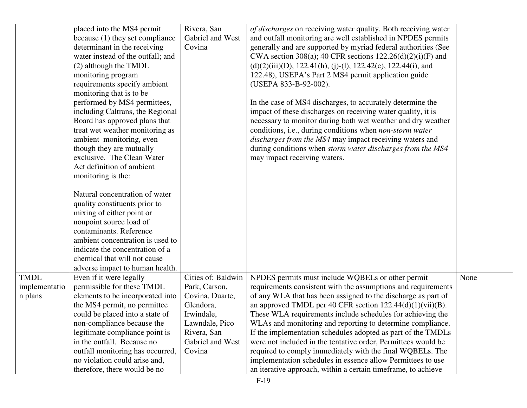|                                         | placed into the MS4 permit<br>because (1) they set compliance<br>determinant in the receiving<br>water instead of the outfall; and<br>(2) although the TMDL<br>monitoring program<br>requirements specify ambient<br>monitoring that is to be<br>performed by MS4 permittees,<br>including Caltrans, the Regional<br>Board has approved plans that<br>treat wet weather monitoring as<br>ambient monitoring, even<br>though they are mutually<br>exclusive. The Clean Water<br>Act definition of ambient<br>monitoring is the:<br>Natural concentration of water<br>quality constituents prior to<br>mixing of either point or<br>nonpoint source load of<br>contaminants. Reference<br>ambient concentration is used to<br>indicate the concentration of a<br>chemical that will not cause<br>adverse impact to human health. | Rivera, San<br>Gabriel and West<br>Covina                                                                                                        | of discharges on receiving water quality. Both receiving water<br>and outfall monitoring are well established in NPDES permits<br>generally and are supported by myriad federal authorities (See<br>CWA section 308(a); 40 CFR sections $122.26(d)(2)(i)(F)$ and<br>$(d)(2)(iii)(D), 122.41(h), (j)-(l), 122.42(c), 122.44(i), and$<br>122.48), USEPA's Part 2 MS4 permit application guide<br>(USEPA 833-B-92-002).<br>In the case of MS4 discharges, to accurately determine the<br>impact of these discharges on receiving water quality, it is<br>necessary to monitor during both wet weather and dry weather<br>conditions, i.e., during conditions when non-storm water<br>discharges from the MS4 may impact receiving waters and<br>during conditions when storm water discharges from the MS4<br>may impact receiving waters. |      |
|-----------------------------------------|--------------------------------------------------------------------------------------------------------------------------------------------------------------------------------------------------------------------------------------------------------------------------------------------------------------------------------------------------------------------------------------------------------------------------------------------------------------------------------------------------------------------------------------------------------------------------------------------------------------------------------------------------------------------------------------------------------------------------------------------------------------------------------------------------------------------------------|--------------------------------------------------------------------------------------------------------------------------------------------------|-----------------------------------------------------------------------------------------------------------------------------------------------------------------------------------------------------------------------------------------------------------------------------------------------------------------------------------------------------------------------------------------------------------------------------------------------------------------------------------------------------------------------------------------------------------------------------------------------------------------------------------------------------------------------------------------------------------------------------------------------------------------------------------------------------------------------------------------|------|
| <b>TMDL</b><br>implementatio<br>n plans | Even if it were legally<br>permissible for these TMDL<br>elements to be incorporated into<br>the MS4 permit, no permittee<br>could be placed into a state of<br>non-compliance because the<br>legitimate compliance point is<br>in the outfall. Because no<br>outfall monitoring has occurred,<br>no violation could arise and,<br>therefore, there would be no                                                                                                                                                                                                                                                                                                                                                                                                                                                                | Cities of: Baldwin<br>Park, Carson,<br>Covina, Duarte,<br>Glendora,<br>Irwindale,<br>Lawndale, Pico<br>Rivera, San<br>Gabriel and West<br>Covina | NPDES permits must include WQBELs or other permit<br>requirements consistent with the assumptions and requirements<br>of any WLA that has been assigned to the discharge as part of<br>an approved TMDL per 40 CFR section $122.44(d)(1)(vii)(B)$ .<br>These WLA requirements include schedules for achieving the<br>WLAs and monitoring and reporting to determine compliance.<br>If the implementation schedules adopted as part of the TMDLs<br>were not included in the tentative order, Permittees would be<br>required to comply immediately with the final WQBELs. The<br>implementation schedules in essence allow Permittees to use<br>an iterative approach, within a certain timeframe, to achieve                                                                                                                           | None |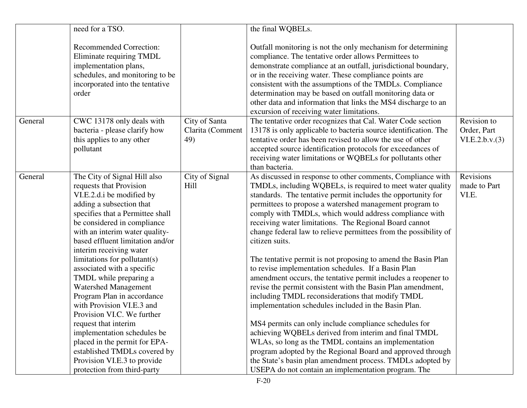|         | need for a TSO.                                                                                                                                                                                                                                                                                                                                                                                                                                                                                                                                                                                                                                                                            |                                          | the final WQBELs.                                                                                                                                                                                                                                                                                                                                                                                                                                                                                                                                                                                                                                                                                                                                                                                                                                                                                                                                                                                                                                                                                                                                                                              |                                               |
|---------|--------------------------------------------------------------------------------------------------------------------------------------------------------------------------------------------------------------------------------------------------------------------------------------------------------------------------------------------------------------------------------------------------------------------------------------------------------------------------------------------------------------------------------------------------------------------------------------------------------------------------------------------------------------------------------------------|------------------------------------------|------------------------------------------------------------------------------------------------------------------------------------------------------------------------------------------------------------------------------------------------------------------------------------------------------------------------------------------------------------------------------------------------------------------------------------------------------------------------------------------------------------------------------------------------------------------------------------------------------------------------------------------------------------------------------------------------------------------------------------------------------------------------------------------------------------------------------------------------------------------------------------------------------------------------------------------------------------------------------------------------------------------------------------------------------------------------------------------------------------------------------------------------------------------------------------------------|-----------------------------------------------|
|         | <b>Recommended Correction:</b><br>Eliminate requiring TMDL<br>implementation plans,<br>schedules, and monitoring to be<br>incorporated into the tentative<br>order                                                                                                                                                                                                                                                                                                                                                                                                                                                                                                                         |                                          | Outfall monitoring is not the only mechanism for determining<br>compliance. The tentative order allows Permittees to<br>demonstrate compliance at an outfall, jurisdictional boundary,<br>or in the receiving water. These compliance points are<br>consistent with the assumptions of the TMDLs. Compliance<br>determination may be based on outfall monitoring data or<br>other data and information that links the MS4 discharge to an<br>excursion of receiving water limitations.                                                                                                                                                                                                                                                                                                                                                                                                                                                                                                                                                                                                                                                                                                         |                                               |
| General | CWC 13178 only deals with<br>bacteria - please clarify how<br>this applies to any other<br>pollutant                                                                                                                                                                                                                                                                                                                                                                                                                                                                                                                                                                                       | City of Santa<br>Clarita (Comment<br>49) | The tentative order recognizes that Cal. Water Code section<br>13178 is only applicable to bacteria source identification. The<br>tentative order has been revised to allow the use of other<br>accepted source identification protocols for exceedances of<br>receiving water limitations or WQBELs for pollutants other<br>than bacteria.                                                                                                                                                                                                                                                                                                                                                                                                                                                                                                                                                                                                                                                                                                                                                                                                                                                    | Revision to<br>Order, Part<br>VI.E.2.b.v. (3) |
| General | The City of Signal Hill also<br>requests that Provision<br>VI.E.2.d.i be modified by<br>adding a subsection that<br>specifies that a Permittee shall<br>be considered in compliance<br>with an interim water quality-<br>based effluent limitation and/or<br>interim receiving water<br>limitations for pollutant(s)<br>associated with a specific<br>TMDL while preparing a<br><b>Watershed Management</b><br>Program Plan in accordance<br>with Provision VI.E.3 and<br>Provision VI.C. We further<br>request that interim<br>implementation schedules be<br>placed in the permit for EPA-<br>established TMDLs covered by<br>Provision VI.E.3 to provide<br>protection from third-party | City of Signal<br>Hill                   | As discussed in response to other comments, Compliance with<br>TMDLs, including WQBELs, is required to meet water quality<br>standards. The tentative permit includes the opportunity for<br>permittees to propose a watershed management program to<br>comply with TMDLs, which would address compliance with<br>receiving water limitations. The Regional Board cannot<br>change federal law to relieve permittees from the possibility of<br>citizen suits.<br>The tentative permit is not proposing to amend the Basin Plan<br>to revise implementation schedules. If a Basin Plan<br>amendment occurs, the tentative permit includes a reopener to<br>revise the permit consistent with the Basin Plan amendment,<br>including TMDL reconsiderations that modify TMDL<br>implementation schedules included in the Basin Plan.<br>MS4 permits can only include compliance schedules for<br>achieving WQBELs derived from interim and final TMDL<br>WLAs, so long as the TMDL contains an implementation<br>program adopted by the Regional Board and approved through<br>the State's basin plan amendment process. TMDLs adopted by<br>USEPA do not contain an implementation program. The | Revisions<br>made to Part<br>VI.E.            |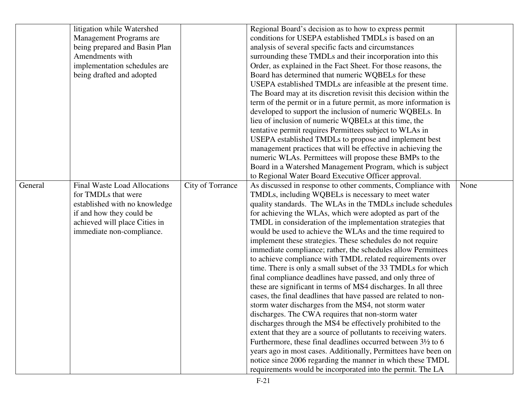|         | litigation while Watershed          |                  | Regional Board's decision as to how to express permit                   |      |
|---------|-------------------------------------|------------------|-------------------------------------------------------------------------|------|
|         | Management Programs are             |                  | conditions for USEPA established TMDLs is based on an                   |      |
|         | being prepared and Basin Plan       |                  | analysis of several specific facts and circumstances                    |      |
|         | Amendments with                     |                  | surrounding these TMDLs and their incorporation into this               |      |
|         | implementation schedules are        |                  | Order, as explained in the Fact Sheet. For those reasons, the           |      |
|         | being drafted and adopted           |                  | Board has determined that numeric WQBELs for these                      |      |
|         |                                     |                  | USEPA established TMDLs are infeasible at the present time.             |      |
|         |                                     |                  | The Board may at its discretion revisit this decision within the        |      |
|         |                                     |                  | term of the permit or in a future permit, as more information is        |      |
|         |                                     |                  | developed to support the inclusion of numeric WQBELs. In                |      |
|         |                                     |                  | lieu of inclusion of numeric WQBELs at this time, the                   |      |
|         |                                     |                  | tentative permit requires Permittees subject to WLAs in                 |      |
|         |                                     |                  | USEPA established TMDLs to propose and implement best                   |      |
|         |                                     |                  | management practices that will be effective in achieving the            |      |
|         |                                     |                  | numeric WLAs. Permittees will propose these BMPs to the                 |      |
|         |                                     |                  | Board in a Watershed Management Program, which is subject               |      |
|         |                                     |                  | to Regional Water Board Executive Officer approval.                     |      |
| General | <b>Final Waste Load Allocations</b> | City of Torrance | As discussed in response to other comments, Compliance with             | None |
|         | for TMDLs that were                 |                  | TMDLs, including WQBELs is necessary to meet water                      |      |
|         | established with no knowledge       |                  | quality standards. The WLAs in the TMDLs include schedules              |      |
|         | if and how they could be            |                  | for achieving the WLAs, which were adopted as part of the               |      |
|         | achieved will place Cities in       |                  | TMDL in consideration of the implementation strategies that             |      |
|         | immediate non-compliance.           |                  | would be used to achieve the WLAs and the time required to              |      |
|         |                                     |                  | implement these strategies. These schedules do not require              |      |
|         |                                     |                  | immediate compliance; rather, the schedules allow Permittees            |      |
|         |                                     |                  | to achieve compliance with TMDL related requirements over               |      |
|         |                                     |                  | time. There is only a small subset of the 33 TMDLs for which            |      |
|         |                                     |                  | final compliance deadlines have passed, and only three of               |      |
|         |                                     |                  | these are significant in terms of MS4 discharges. In all three          |      |
|         |                                     |                  | cases, the final deadlines that have passed are related to non-         |      |
|         |                                     |                  | storm water discharges from the MS4, not storm water                    |      |
|         |                                     |                  | discharges. The CWA requires that non-storm water                       |      |
|         |                                     |                  | discharges through the MS4 be effectively prohibited to the             |      |
|         |                                     |                  | extent that they are a source of pollutants to receiving waters.        |      |
|         |                                     |                  | Furthermore, these final deadlines occurred between $3\frac{1}{2}$ to 6 |      |
|         |                                     |                  | years ago in most cases. Additionally, Permittees have been on          |      |
|         |                                     |                  | notice since 2006 regarding the manner in which these TMDL              |      |
|         |                                     |                  | requirements would be incorporated into the permit. The LA              |      |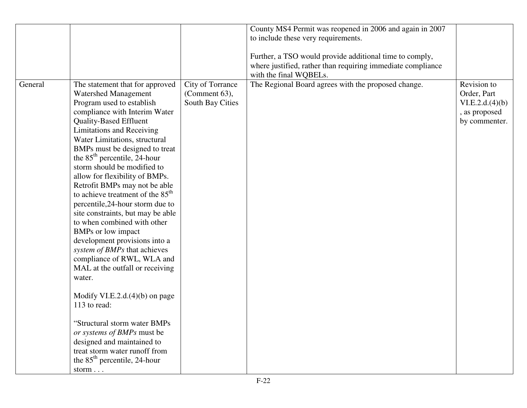|         |                                              |                  | County MS4 Permit was reopened in 2006 and again in 2007    |                 |
|---------|----------------------------------------------|------------------|-------------------------------------------------------------|-----------------|
|         |                                              |                  |                                                             |                 |
|         |                                              |                  | to include these very requirements.                         |                 |
|         |                                              |                  |                                                             |                 |
|         |                                              |                  | Further, a TSO would provide additional time to comply,     |                 |
|         |                                              |                  | where justified, rather than requiring immediate compliance |                 |
|         |                                              |                  | with the final WQBELs.                                      |                 |
| General | The statement that for approved              | City of Torrance | The Regional Board agrees with the proposed change.         | Revision to     |
|         | <b>Watershed Management</b>                  | (Comment 63),    |                                                             | Order, Part     |
|         | Program used to establish                    | South Bay Cities |                                                             | VI.E.2.d.(4)(b) |
|         | compliance with Interim Water                |                  |                                                             | , as proposed   |
|         | <b>Quality-Based Effluent</b>                |                  |                                                             | by commenter.   |
|         | <b>Limitations and Receiving</b>             |                  |                                                             |                 |
|         | Water Limitations, structural                |                  |                                                             |                 |
|         | BMPs must be designed to treat               |                  |                                                             |                 |
|         | the $85th$ percentile, 24-hour               |                  |                                                             |                 |
|         | storm should be modified to                  |                  |                                                             |                 |
|         | allow for flexibility of BMPs.               |                  |                                                             |                 |
|         | Retrofit BMPs may not be able                |                  |                                                             |                 |
|         | to achieve treatment of the 85 <sup>th</sup> |                  |                                                             |                 |
|         | percentile, 24-hour storm due to             |                  |                                                             |                 |
|         | site constraints, but may be able            |                  |                                                             |                 |
|         | to when combined with other                  |                  |                                                             |                 |
|         | BMPs or low impact                           |                  |                                                             |                 |
|         | development provisions into a                |                  |                                                             |                 |
|         | system of BMPs that achieves                 |                  |                                                             |                 |
|         | compliance of RWL, WLA and                   |                  |                                                             |                 |
|         | MAL at the outfall or receiving              |                  |                                                             |                 |
|         | water.                                       |                  |                                                             |                 |
|         |                                              |                  |                                                             |                 |
|         | Modify VI.E.2.d.(4)(b) on page               |                  |                                                             |                 |
|         | 113 to read:                                 |                  |                                                             |                 |
|         |                                              |                  |                                                             |                 |
|         | "Structural storm water BMPs                 |                  |                                                             |                 |
|         | or systems of BMPs must be                   |                  |                                                             |                 |
|         | designed and maintained to                   |                  |                                                             |                 |
|         | treat storm water runoff from                |                  |                                                             |                 |
|         | the $85th$ percentile, 24-hour               |                  |                                                             |                 |
|         | storm $\ldots$                               |                  |                                                             |                 |
|         |                                              |                  |                                                             |                 |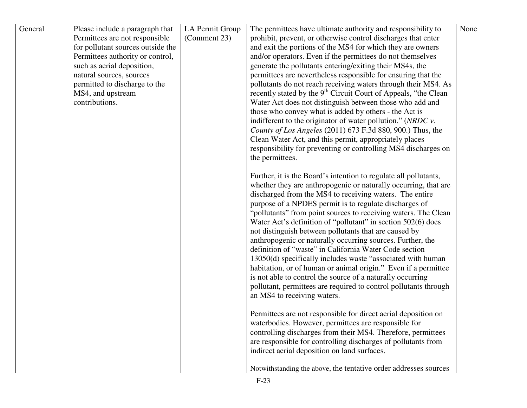| General | Please include a paragraph that   | LA Permit Group | The permittees have ultimate authority and responsibility to                                                      | None |
|---------|-----------------------------------|-----------------|-------------------------------------------------------------------------------------------------------------------|------|
|         | Permittees are not responsible    | (Comment 23)    | prohibit, prevent, or otherwise control discharges that enter                                                     |      |
|         | for pollutant sources outside the |                 | and exit the portions of the MS4 for which they are owners                                                        |      |
|         | Permittees authority or control,  |                 | and/or operators. Even if the permittees do not themselves                                                        |      |
|         | such as aerial deposition,        |                 | generate the pollutants entering/exiting their MS4s, the                                                          |      |
|         | natural sources, sources          |                 | permittees are nevertheless responsible for ensuring that the                                                     |      |
|         | permitted to discharge to the     |                 | pollutants do not reach receiving waters through their MS4. As                                                    |      |
|         | MS4, and upstream                 |                 | recently stated by the 9 <sup>th</sup> Circuit Court of Appeals, "the Clean                                       |      |
|         | contributions.                    |                 | Water Act does not distinguish between those who add and                                                          |      |
|         |                                   |                 | those who convey what is added by others - the Act is                                                             |      |
|         |                                   |                 | indifferent to the originator of water pollution." ( $NRDC$ $v$ .                                                 |      |
|         |                                   |                 | County of Los Angeles (2011) 673 F.3d 880, 900.) Thus, the                                                        |      |
|         |                                   |                 | Clean Water Act, and this permit, appropriately places                                                            |      |
|         |                                   |                 | responsibility for preventing or controlling MS4 discharges on                                                    |      |
|         |                                   |                 | the permittees.                                                                                                   |      |
|         |                                   |                 |                                                                                                                   |      |
|         |                                   |                 | Further, it is the Board's intention to regulate all pollutants,                                                  |      |
|         |                                   |                 | whether they are anthropogenic or naturally occurring, that are                                                   |      |
|         |                                   |                 | discharged from the MS4 to receiving waters. The entire<br>purpose of a NPDES permit is to regulate discharges of |      |
|         |                                   |                 | "pollutants" from point sources to receiving waters. The Clean                                                    |      |
|         |                                   |                 | Water Act's definition of "pollutant" in section 502(6) does                                                      |      |
|         |                                   |                 | not distinguish between pollutants that are caused by                                                             |      |
|         |                                   |                 | anthropogenic or naturally occurring sources. Further, the                                                        |      |
|         |                                   |                 | definition of "waste" in California Water Code section                                                            |      |
|         |                                   |                 | 13050(d) specifically includes waste "associated with human                                                       |      |
|         |                                   |                 | habitation, or of human or animal origin." Even if a permittee                                                    |      |
|         |                                   |                 | is not able to control the source of a naturally occurring                                                        |      |
|         |                                   |                 | pollutant, permittees are required to control pollutants through                                                  |      |
|         |                                   |                 | an MS4 to receiving waters.                                                                                       |      |
|         |                                   |                 |                                                                                                                   |      |
|         |                                   |                 | Permittees are not responsible for direct aerial deposition on                                                    |      |
|         |                                   |                 | waterbodies. However, permittees are responsible for                                                              |      |
|         |                                   |                 | controlling discharges from their MS4. Therefore, permittees                                                      |      |
|         |                                   |                 | are responsible for controlling discharges of pollutants from                                                     |      |
|         |                                   |                 | indirect aerial deposition on land surfaces.                                                                      |      |
|         |                                   |                 | Notwithstanding the above, the tentative order addresses sources                                                  |      |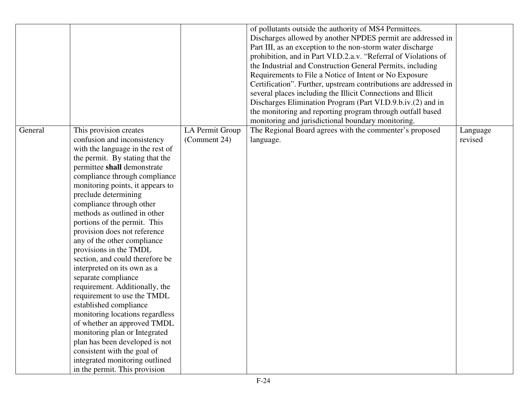|         |                                                                                                                                                                                                                                                                                                                                                                                                                                                                                                                                                                                                                                                                                                                                                                                                                                                                          |                                 | of pollutants outside the authority of MS4 Permittees.<br>Discharges allowed by another NPDES permit are addressed in<br>Part III, as an exception to the non-storm water discharge<br>prohibition, and in Part VI.D.2.a.v. "Referral of Violations of<br>the Industrial and Construction General Permits, including<br>Requirements to File a Notice of Intent or No Exposure<br>Certification". Further, upstream contributions are addressed in<br>several places including the Illicit Connections and Illicit<br>Discharges Elimination Program (Part VI.D.9.b.iv.(2) and in<br>the monitoring and reporting program through outfall based<br>monitoring and jurisdictional boundary monitoring. |                     |
|---------|--------------------------------------------------------------------------------------------------------------------------------------------------------------------------------------------------------------------------------------------------------------------------------------------------------------------------------------------------------------------------------------------------------------------------------------------------------------------------------------------------------------------------------------------------------------------------------------------------------------------------------------------------------------------------------------------------------------------------------------------------------------------------------------------------------------------------------------------------------------------------|---------------------------------|-------------------------------------------------------------------------------------------------------------------------------------------------------------------------------------------------------------------------------------------------------------------------------------------------------------------------------------------------------------------------------------------------------------------------------------------------------------------------------------------------------------------------------------------------------------------------------------------------------------------------------------------------------------------------------------------------------|---------------------|
| General | This provision creates<br>confusion and inconsistency<br>with the language in the rest of<br>the permit. By stating that the<br>permittee shall demonstrate<br>compliance through compliance<br>monitoring points, it appears to<br>preclude determining<br>compliance through other<br>methods as outlined in other<br>portions of the permit. This<br>provision does not reference<br>any of the other compliance<br>provisions in the TMDL<br>section, and could therefore be<br>interpreted on its own as a<br>separate compliance<br>requirement. Additionally, the<br>requirement to use the TMDL<br>established compliance<br>monitoring locations regardless<br>of whether an approved TMDL<br>monitoring plan or Integrated<br>plan has been developed is not<br>consistent with the goal of<br>integrated monitoring outlined<br>in the permit. This provision | LA Permit Group<br>(Comment 24) | The Regional Board agrees with the commenter's proposed<br>language.                                                                                                                                                                                                                                                                                                                                                                                                                                                                                                                                                                                                                                  | Language<br>revised |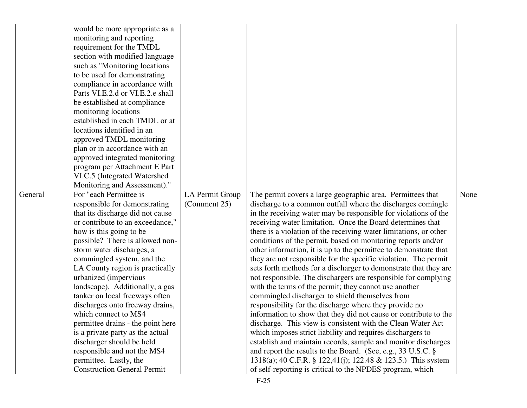|         | would be more appropriate as a     |                 |                                                                   |      |
|---------|------------------------------------|-----------------|-------------------------------------------------------------------|------|
|         | monitoring and reporting           |                 |                                                                   |      |
|         | requirement for the TMDL           |                 |                                                                   |      |
|         | section with modified language     |                 |                                                                   |      |
|         | such as "Monitoring locations      |                 |                                                                   |      |
|         | to be used for demonstrating       |                 |                                                                   |      |
|         | compliance in accordance with      |                 |                                                                   |      |
|         | Parts VI.E.2.d or VI.E.2.e shall   |                 |                                                                   |      |
|         | be established at compliance       |                 |                                                                   |      |
|         | monitoring locations               |                 |                                                                   |      |
|         | established in each TMDL or at     |                 |                                                                   |      |
|         | locations identified in an         |                 |                                                                   |      |
|         | approved TMDL monitoring           |                 |                                                                   |      |
|         | plan or in accordance with an      |                 |                                                                   |      |
|         | approved integrated monitoring     |                 |                                                                   |      |
|         | program per Attachment E Part      |                 |                                                                   |      |
|         | VI.C.5 (Integrated Watershed       |                 |                                                                   |      |
|         | Monitoring and Assessment)."       |                 |                                                                   |      |
| General | For "each Permittee is             | LA Permit Group | The permit covers a large geographic area. Permittees that        | None |
|         | responsible for demonstrating      | (Comment 25)    | discharge to a common outfall where the discharges comingle       |      |
|         | that its discharge did not cause   |                 | in the receiving water may be responsible for violations of the   |      |
|         | or contribute to an exceedance,"   |                 | receiving water limitation. Once the Board determines that        |      |
|         | how is this going to be            |                 | there is a violation of the receiving water limitations, or other |      |
|         | possible? There is allowed non-    |                 | conditions of the permit, based on monitoring reports and/or      |      |
|         | storm water discharges, a          |                 | other information, it is up to the permittee to demonstrate that  |      |
|         | commingled system, and the         |                 | they are not responsible for the specific violation. The permit   |      |
|         | LA County region is practically    |                 | sets forth methods for a discharger to demonstrate that they are  |      |
|         | urbanized (impervious              |                 | not responsible. The dischargers are responsible for complying    |      |
|         | landscape). Additionally, a gas    |                 | with the terms of the permit; they cannot use another             |      |
|         | tanker on local freeways often     |                 | commingled discharger to shield themselves from                   |      |
|         | discharges onto freeway drains,    |                 | responsibility for the discharge where they provide no            |      |
|         | which connect to MS4               |                 | information to show that they did not cause or contribute to the  |      |
|         | permittee drains - the point here  |                 | discharge. This view is consistent with the Clean Water Act       |      |
|         | is a private party as the actual   |                 | which imposes strict liability and requires dischargers to        |      |
|         | discharger should be held          |                 | establish and maintain records, sample and monitor discharges     |      |
|         | responsible and not the MS4        |                 | and report the results to the Board. (See, e.g., 33 U.S.C. §      |      |
|         | permittee. Lastly, the             |                 | 1318(a); 40 C.F.R. § 122,41(j); 122.48 & 123.5.) This system      |      |
|         | <b>Construction General Permit</b> |                 | of self-reporting is critical to the NPDES program, which         |      |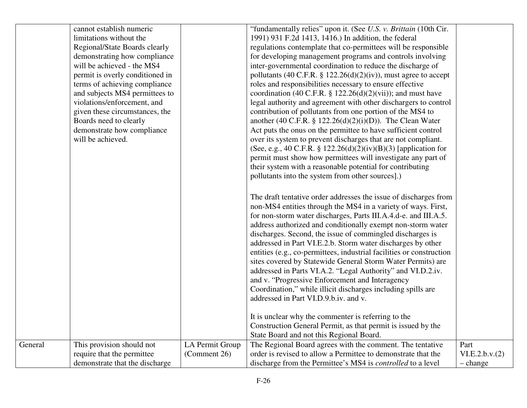|         | cannot establish numeric        |                 | "fundamentally relies" upon it. (See U.S. v. Brittain (10th Cir.     |                 |
|---------|---------------------------------|-----------------|----------------------------------------------------------------------|-----------------|
|         | limitations without the         |                 | 1991) 931 F.2d 1413, 1416.) In addition, the federal                 |                 |
|         | Regional/State Boards clearly   |                 | regulations contemplate that co-permittees will be responsible       |                 |
|         | demonstrating how compliance    |                 | for developing management programs and controls involving            |                 |
|         | will be achieved - the MS4      |                 | inter-governmental coordination to reduce the discharge of           |                 |
|         | permit is overly conditioned in |                 | pollutants (40 C.F.R. $\S$ 122.26(d)(2)(iv)), must agree to accept   |                 |
|         | terms of achieving compliance   |                 | roles and responsibilities necessary to ensure effective             |                 |
|         | and subjects MS4 permittees to  |                 | coordination (40 C.F.R. $\S$ 122.26(d)(2)(vii)); and must have       |                 |
|         | violations/enforcement, and     |                 | legal authority and agreement with other dischargers to control      |                 |
|         | given these circumstances, the  |                 | contribution of pollutants from one portion of the MS4 to            |                 |
|         | Boards need to clearly          |                 | another (40 C.F.R. § 122.26(d)(2)(i)(D)). The Clean Water            |                 |
|         | demonstrate how compliance      |                 | Act puts the onus on the permittee to have sufficient control        |                 |
|         | will be achieved.               |                 | over its system to prevent discharges that are not compliant.        |                 |
|         |                                 |                 | (See, e.g., 40 C.F.R. § 122.26(d)(2)(iv)(B)(3) [application for      |                 |
|         |                                 |                 | permit must show how permittees will investigate any part of         |                 |
|         |                                 |                 | their system with a reasonable potential for contributing            |                 |
|         |                                 |                 | pollutants into the system from other sources].)                     |                 |
|         |                                 |                 |                                                                      |                 |
|         |                                 |                 | The draft tentative order addresses the issue of discharges from     |                 |
|         |                                 |                 | non-MS4 entities through the MS4 in a variety of ways. First,        |                 |
|         |                                 |                 | for non-storm water discharges, Parts III.A.4.d-e. and III.A.5.      |                 |
|         |                                 |                 | address authorized and conditionally exempt non-storm water          |                 |
|         |                                 |                 | discharges. Second, the issue of commingled discharges is            |                 |
|         |                                 |                 | addressed in Part VI.E.2.b. Storm water discharges by other          |                 |
|         |                                 |                 | entities (e.g., co-permittees, industrial facilities or construction |                 |
|         |                                 |                 | sites covered by Statewide General Storm Water Permits) are          |                 |
|         |                                 |                 | addressed in Parts VI.A.2. "Legal Authority" and VI.D.2.iv.          |                 |
|         |                                 |                 | and v. "Progressive Enforcement and Interagency                      |                 |
|         |                                 |                 | Coordination," while illicit discharges including spills are         |                 |
|         |                                 |                 | addressed in Part VI.D.9.b.iv. and v.                                |                 |
|         |                                 |                 |                                                                      |                 |
|         |                                 |                 | It is unclear why the commenter is referring to the                  |                 |
|         |                                 |                 | Construction General Permit, as that permit is issued by the         |                 |
|         |                                 |                 | State Board and not this Regional Board.                             |                 |
| General | This provision should not       | LA Permit Group | The Regional Board agrees with the comment. The tentative            | Part            |
|         | require that the permittee      | (Comment 26)    | order is revised to allow a Permittee to demonstrate that the        | VI.E.2.b.v. (2) |
|         | demonstrate that the discharge  |                 | discharge from the Permittee's MS4 is <i>controlled</i> to a level   | - change        |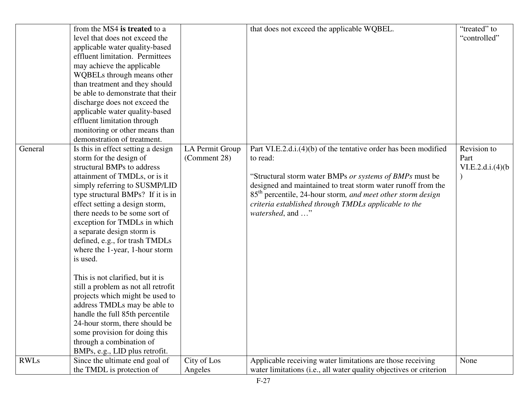|             | from the MS4 is treated to a        |                 | that does not exceed the applicable WQBEL.                              | "treated" to      |
|-------------|-------------------------------------|-----------------|-------------------------------------------------------------------------|-------------------|
|             | level that does not exceed the      |                 |                                                                         | "controlled"      |
|             | applicable water quality-based      |                 |                                                                         |                   |
|             | effluent limitation. Permittees     |                 |                                                                         |                   |
|             | may achieve the applicable          |                 |                                                                         |                   |
|             |                                     |                 |                                                                         |                   |
|             | WQBELs through means other          |                 |                                                                         |                   |
|             | than treatment and they should      |                 |                                                                         |                   |
|             | be able to demonstrate that their   |                 |                                                                         |                   |
|             | discharge does not exceed the       |                 |                                                                         |                   |
|             | applicable water quality-based      |                 |                                                                         |                   |
|             | effluent limitation through         |                 |                                                                         |                   |
|             | monitoring or other means than      |                 |                                                                         |                   |
|             | demonstration of treatment.         |                 |                                                                         |                   |
| General     | Is this in effect setting a design  | LA Permit Group | Part VI.E.2.d.i.(4)(b) of the tentative order has been modified         | Revision to       |
|             | storm for the design of             | (Comment 28)    | to read:                                                                | Part              |
|             | structural BMPs to address          |                 |                                                                         | VI.E.2.d.i.(4)(b) |
|             | attainment of TMDLs, or is it       |                 | "Structural storm water BMPs or systems of BMPs must be                 |                   |
|             | simply referring to SUSMP/LID       |                 | designed and maintained to treat storm water runoff from the            |                   |
|             | type structural BMPs? If it is in   |                 | 85 <sup>th</sup> percentile, 24-hour storm, and meet other storm design |                   |
|             | effect setting a design storm,      |                 | criteria established through TMDLs applicable to the                    |                   |
|             | there needs to be some sort of      |                 | watershed, and "                                                        |                   |
|             | exception for TMDLs in which        |                 |                                                                         |                   |
|             | a separate design storm is          |                 |                                                                         |                   |
|             | defined, e.g., for trash TMDLs      |                 |                                                                         |                   |
|             | where the 1-year, 1-hour storm      |                 |                                                                         |                   |
|             | is used.                            |                 |                                                                         |                   |
|             |                                     |                 |                                                                         |                   |
|             | This is not clarified, but it is    |                 |                                                                         |                   |
|             | still a problem as not all retrofit |                 |                                                                         |                   |
|             | projects which might be used to     |                 |                                                                         |                   |
|             | address TMDLs may be able to        |                 |                                                                         |                   |
|             | handle the full 85th percentile     |                 |                                                                         |                   |
|             | 24-hour storm, there should be      |                 |                                                                         |                   |
|             | some provision for doing this       |                 |                                                                         |                   |
|             | through a combination of            |                 |                                                                         |                   |
|             | BMPs, e.g., LID plus retrofit.      |                 |                                                                         |                   |
| <b>RWLs</b> | Since the ultimate end goal of      | City of Los     | Applicable receiving water limitations are those receiving              | None              |
|             | the TMDL is protection of           | Angeles         | water limitations (i.e., all water quality objectives or criterion      |                   |
|             |                                     |                 |                                                                         |                   |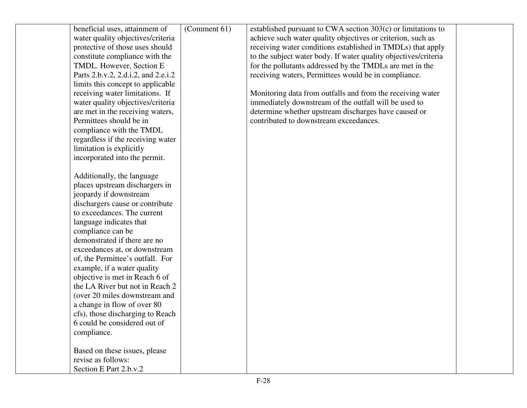| beneficial uses, attainment of<br>water quality objectives/criteria | (Comment 61) | established pursuant to CWA section 303(c) or limitations to<br>achieve such water quality objectives or criterion, such as |  |
|---------------------------------------------------------------------|--------------|-----------------------------------------------------------------------------------------------------------------------------|--|
| protective of those uses should                                     |              | receiving water conditions established in TMDLs) that apply                                                                 |  |
| constitute compliance with the                                      |              | to the subject water body. If water quality objectives/criteria                                                             |  |
| TMDL. However, Section E                                            |              | for the pollutants addressed by the TMDLs are met in the                                                                    |  |
| Parts 2.b.v.2, 2.d.i.2, and 2.e.i.2                                 |              | receiving waters, Permittees would be in compliance.                                                                        |  |
| limits this concept to applicable                                   |              |                                                                                                                             |  |
| receiving water limitations. If                                     |              | Monitoring data from outfalls and from the receiving water                                                                  |  |
| water quality objectives/criteria                                   |              | immediately downstream of the outfall will be used to                                                                       |  |
| are met in the receiving waters,                                    |              | determine whether upstream discharges have caused or                                                                        |  |
| Permittees should be in                                             |              | contributed to downstream exceedances.                                                                                      |  |
| compliance with the TMDL                                            |              |                                                                                                                             |  |
| regardless if the receiving water                                   |              |                                                                                                                             |  |
| limitation is explicitly                                            |              |                                                                                                                             |  |
| incorporated into the permit.                                       |              |                                                                                                                             |  |
|                                                                     |              |                                                                                                                             |  |
| Additionally, the language                                          |              |                                                                                                                             |  |
| places upstream dischargers in                                      |              |                                                                                                                             |  |
| jeopardy if downstream                                              |              |                                                                                                                             |  |
| dischargers cause or contribute                                     |              |                                                                                                                             |  |
| to exceedances. The current                                         |              |                                                                                                                             |  |
| language indicates that                                             |              |                                                                                                                             |  |
| compliance can be                                                   |              |                                                                                                                             |  |
| demonstrated if there are no                                        |              |                                                                                                                             |  |
| exceedances at, or downstream                                       |              |                                                                                                                             |  |
| of, the Permittee's outfall. For                                    |              |                                                                                                                             |  |
| example, if a water quality                                         |              |                                                                                                                             |  |
| objective is met in Reach 6 of                                      |              |                                                                                                                             |  |
| the LA River but not in Reach 2                                     |              |                                                                                                                             |  |
| (over 20 miles downstream and                                       |              |                                                                                                                             |  |
| a change in flow of over 80                                         |              |                                                                                                                             |  |
| cfs), those discharging to Reach                                    |              |                                                                                                                             |  |
| 6 could be considered out of                                        |              |                                                                                                                             |  |
| compliance.                                                         |              |                                                                                                                             |  |
|                                                                     |              |                                                                                                                             |  |
| Based on these issues, please                                       |              |                                                                                                                             |  |
| revise as follows:                                                  |              |                                                                                                                             |  |
| Section E Part 2.b.v.2                                              |              |                                                                                                                             |  |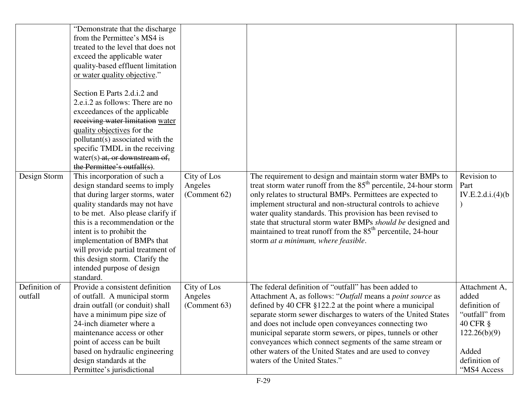|                          | "Demonstrate that the discharge"<br>from the Permittee's MS4 is<br>treated to the level that does not<br>exceed the applicable water<br>quality-based effluent limitation<br>or water quality objective."                                                                                                                                                                                  |                                        |                                                                                                                                                                                                                                                                                                                                                                                                                                                                                                                                  |                                                                                                                                |
|--------------------------|--------------------------------------------------------------------------------------------------------------------------------------------------------------------------------------------------------------------------------------------------------------------------------------------------------------------------------------------------------------------------------------------|----------------------------------------|----------------------------------------------------------------------------------------------------------------------------------------------------------------------------------------------------------------------------------------------------------------------------------------------------------------------------------------------------------------------------------------------------------------------------------------------------------------------------------------------------------------------------------|--------------------------------------------------------------------------------------------------------------------------------|
|                          | Section E Parts 2.d.i.2 and<br>2.e.i.2 as follows: There are no<br>exceedances of the applicable<br>receiving water limitation water<br>quality objectives for the<br>pollutant(s) associated with the<br>specific TMDL in the receiving<br>water(s) at, or downstream of,<br>the Permittee's outfall(s).                                                                                  |                                        |                                                                                                                                                                                                                                                                                                                                                                                                                                                                                                                                  |                                                                                                                                |
| Design Storm             | This incorporation of such a<br>design standard seems to imply<br>that during larger storms, water<br>quality standards may not have<br>to be met. Also please clarify if<br>this is a recommendation or the<br>intent is to prohibit the<br>implementation of BMPs that<br>will provide partial treatment of<br>this design storm. Clarify the<br>intended purpose of design<br>standard. | City of Los<br>Angeles<br>(Comment 62) | The requirement to design and maintain storm water BMPs to<br>treat storm water runoff from the 85 <sup>th</sup> percentile, 24-hour storm<br>only relates to structural BMPs. Permittees are expected to<br>implement structural and non-structural controls to achieve<br>water quality standards. This provision has been revised to<br>state that structural storm water BMPs should be designed and<br>maintained to treat runoff from the 85 <sup>th</sup> percentile, 24-hour<br>storm at a minimum, where feasible.      | Revision to<br>Part<br>IV.E.2.d.i.(4)(b)                                                                                       |
| Definition of<br>outfall | Provide a consistent definition<br>of outfall. A municipal storm<br>drain outfall (or conduit) shall<br>have a minimum pipe size of<br>24-inch diameter where a<br>maintenance access or other<br>point of access can be built<br>based on hydraulic engineering<br>design standards at the<br>Permittee's jurisdictional                                                                  | City of Los<br>Angeles<br>(Comment 63) | The federal definition of "outfall" has been added to<br>Attachment A, as follows: "Outfall means a point source as<br>defined by 40 CFR §122.2 at the point where a municipal<br>separate storm sewer discharges to waters of the United States<br>and does not include open conveyances connecting two<br>municipal separate storm sewers, or pipes, tunnels or other<br>conveyances which connect segments of the same stream or<br>other waters of the United States and are used to convey<br>waters of the United States." | Attachment A,<br>added<br>definition of<br>"outfall" from<br>40 CFR §<br>122.26(b)(9)<br>Added<br>definition of<br>"MS4 Access |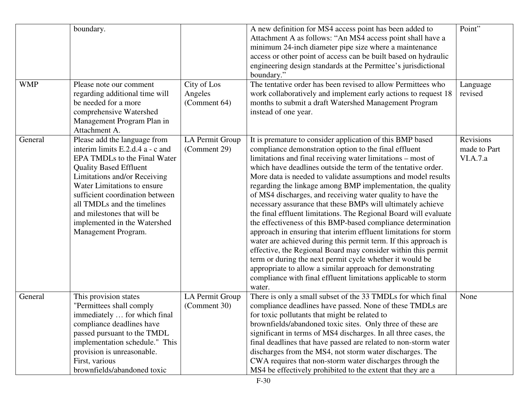| <b>WMP</b> | boundary.<br>Please note our comment<br>regarding additional time will<br>be needed for a more<br>comprehensive Watershed<br>Management Program Plan in<br>Attachment A.                                                                                                                                                                                 | City of Los<br>Angeles<br>(Comment 64) | A new definition for MS4 access point has been added to<br>Attachment A as follows: "An MS4 access point shall have a<br>minimum 24-inch diameter pipe size where a maintenance<br>access or other point of access can be built based on hydraulic<br>engineering design standards at the Permittee's jurisdictional<br>boundary."<br>The tentative order has been revised to allow Permittees who<br>work collaboratively and implement early actions to request 18<br>months to submit a draft Watershed Management Program<br>instead of one year.                                                                                                                                                                                                                                                                                                                                                                                                                                                                                                            | Point"<br>Language<br>revised         |
|------------|----------------------------------------------------------------------------------------------------------------------------------------------------------------------------------------------------------------------------------------------------------------------------------------------------------------------------------------------------------|----------------------------------------|------------------------------------------------------------------------------------------------------------------------------------------------------------------------------------------------------------------------------------------------------------------------------------------------------------------------------------------------------------------------------------------------------------------------------------------------------------------------------------------------------------------------------------------------------------------------------------------------------------------------------------------------------------------------------------------------------------------------------------------------------------------------------------------------------------------------------------------------------------------------------------------------------------------------------------------------------------------------------------------------------------------------------------------------------------------|---------------------------------------|
| General    | Please add the language from<br>interim limits E.2.d.4 a - c and<br>EPA TMDLs to the Final Water<br><b>Quality Based Effluent</b><br>Limitations and/or Receiving<br>Water Limitations to ensure<br>sufficient coordination between<br>all TMDLs and the timelines<br>and milestones that will be<br>implemented in the Watershed<br>Management Program. | LA Permit Group<br>(Comment 29)        | It is premature to consider application of this BMP based<br>compliance demonstration option to the final effluent<br>limitations and final receiving water limitations – most of<br>which have deadlines outside the term of the tentative order.<br>More data is needed to validate assumptions and model results<br>regarding the linkage among BMP implementation, the quality<br>of MS4 discharges, and receiving water quality to have the<br>necessary assurance that these BMPs will ultimately achieve<br>the final effluent limitations. The Regional Board will evaluate<br>the effectiveness of this BMP-based compliance determination<br>approach in ensuring that interim effluent limitations for storm<br>water are achieved during this permit term. If this approach is<br>effective, the Regional Board may consider within this permit<br>term or during the next permit cycle whether it would be<br>appropriate to allow a similar approach for demonstrating<br>compliance with final effluent limitations applicable to storm<br>water. | Revisions<br>made to Part<br>VI.A.7.a |
| General    | This provision states<br>"Permittees shall comply<br>immediately  for which final<br>compliance deadlines have<br>passed pursuant to the TMDL<br>implementation schedule." This<br>provision is unreasonable.<br>First, various<br>brownfields/abandoned toxic                                                                                           | LA Permit Group<br>(Comment 30)        | There is only a small subset of the 33 TMDLs for which final<br>compliance deadlines have passed. None of these TMDLs are<br>for toxic pollutants that might be related to<br>brownfields/abandoned toxic sites. Only three of these are<br>significant in terms of MS4 discharges. In all three cases, the<br>final deadlines that have passed are related to non-storm water<br>discharges from the MS4, not storm water discharges. The<br>CWA requires that non-storm water discharges through the<br>MS4 be effectively prohibited to the extent that they are a                                                                                                                                                                                                                                                                                                                                                                                                                                                                                            | None                                  |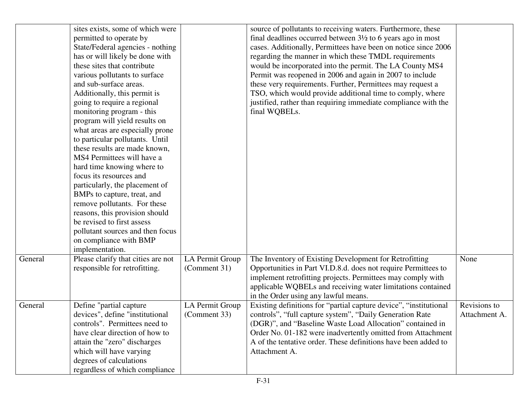|         | sites exists, some of which were   |                 | source of pollutants to receiving waters. Furthermore, these           |               |
|---------|------------------------------------|-----------------|------------------------------------------------------------------------|---------------|
|         | permitted to operate by            |                 | final deadlines occurred between $3\frac{1}{2}$ to 6 years ago in most |               |
|         | State/Federal agencies - nothing   |                 | cases. Additionally, Permittees have been on notice since 2006         |               |
|         | has or will likely be done with    |                 | regarding the manner in which these TMDL requirements                  |               |
|         | these sites that contribute        |                 | would be incorporated into the permit. The LA County MS4               |               |
|         | various pollutants to surface      |                 | Permit was reopened in 2006 and again in 2007 to include               |               |
|         | and sub-surface areas.             |                 | these very requirements. Further, Permittees may request a             |               |
|         | Additionally, this permit is       |                 | TSO, which would provide additional time to comply, where              |               |
|         | going to require a regional        |                 | justified, rather than requiring immediate compliance with the         |               |
|         | monitoring program - this          |                 | final WQBELs.                                                          |               |
|         | program will yield results on      |                 |                                                                        |               |
|         | what areas are especially prone    |                 |                                                                        |               |
|         | to particular pollutants. Until    |                 |                                                                        |               |
|         | these results are made known,      |                 |                                                                        |               |
|         | MS4 Permittees will have a         |                 |                                                                        |               |
|         | hard time knowing where to         |                 |                                                                        |               |
|         | focus its resources and            |                 |                                                                        |               |
|         | particularly, the placement of     |                 |                                                                        |               |
|         | BMPs to capture, treat, and        |                 |                                                                        |               |
|         | remove pollutants. For these       |                 |                                                                        |               |
|         | reasons, this provision should     |                 |                                                                        |               |
|         | be revised to first assess         |                 |                                                                        |               |
|         | pollutant sources and then focus   |                 |                                                                        |               |
|         | on compliance with BMP             |                 |                                                                        |               |
|         | implementation.                    |                 |                                                                        |               |
| General | Please clarify that cities are not | LA Permit Group | The Inventory of Existing Development for Retrofitting                 | None          |
|         | responsible for retrofitting.      | (Comment 31)    | Opportunities in Part VI.D.8.d. does not require Permittees to         |               |
|         |                                    |                 | implement retrofitting projects. Permittees may comply with            |               |
|         |                                    |                 | applicable WQBELs and receiving water limitations contained            |               |
|         |                                    |                 | in the Order using any lawful means.                                   |               |
| General | Define "partial capture            | LA Permit Group | Existing definitions for "partial capture device", "institutional      | Revisions to  |
|         | devices", define "institutional    | (Comment 33)    | controls", "full capture system", "Daily Generation Rate               | Attachment A. |
|         | controls". Permittees need to      |                 | (DGR)", and "Baseline Waste Load Allocation" contained in              |               |
|         | have clear direction of how to     |                 | Order No. 01-182 were inadvertently omitted from Attachment            |               |
|         | attain the "zero" discharges       |                 | A of the tentative order. These definitions have been added to         |               |
|         | which will have varying            |                 | Attachment A.                                                          |               |
|         | degrees of calculations            |                 |                                                                        |               |
|         | regardless of which compliance     |                 |                                                                        |               |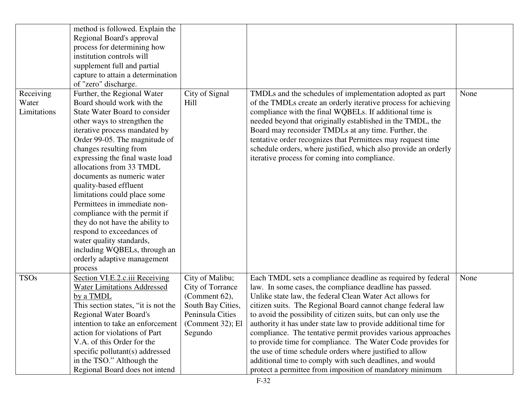|             | method is followed. Explain the     |                   |                                                                 |      |
|-------------|-------------------------------------|-------------------|-----------------------------------------------------------------|------|
|             | Regional Board's approval           |                   |                                                                 |      |
|             | process for determining how         |                   |                                                                 |      |
|             | institution controls will           |                   |                                                                 |      |
|             | supplement full and partial         |                   |                                                                 |      |
|             | capture to attain a determination   |                   |                                                                 |      |
|             | of "zero" discharge.                |                   |                                                                 |      |
| Receiving   | Further, the Regional Water         | City of Signal    | TMDLs and the schedules of implementation adopted as part       | None |
| Water       | Board should work with the          | Hill              | of the TMDLs create an orderly iterative process for achieving  |      |
| Limitations | State Water Board to consider       |                   | compliance with the final WQBELs. If additional time is         |      |
|             | other ways to strengthen the        |                   | needed beyond that originally established in the TMDL, the      |      |
|             | iterative process mandated by       |                   | Board may reconsider TMDLs at any time. Further, the            |      |
|             | Order 99-05. The magnitude of       |                   | tentative order recognizes that Permittees may request time     |      |
|             | changes resulting from              |                   | schedule orders, where justified, which also provide an orderly |      |
|             | expressing the final waste load     |                   | iterative process for coming into compliance.                   |      |
|             | allocations from 33 TMDL            |                   |                                                                 |      |
|             | documents as numeric water          |                   |                                                                 |      |
|             | quality-based effluent              |                   |                                                                 |      |
|             | limitations could place some        |                   |                                                                 |      |
|             | Permittees in immediate non-        |                   |                                                                 |      |
|             | compliance with the permit if       |                   |                                                                 |      |
|             | they do not have the ability to     |                   |                                                                 |      |
|             | respond to exceedances of           |                   |                                                                 |      |
|             | water quality standards,            |                   |                                                                 |      |
|             | including WQBELs, through an        |                   |                                                                 |      |
|             | orderly adaptive management         |                   |                                                                 |      |
|             | process                             |                   |                                                                 |      |
| <b>TSOs</b> | Section VI.E.2.c.iii Receiving      | City of Malibu;   | Each TMDL sets a compliance deadline as required by federal     | None |
|             | <b>Water Limitations Addressed</b>  | City of Torrance  | law. In some cases, the compliance deadline has passed.         |      |
|             | by a TMDL                           | (Comment $62$ ),  | Unlike state law, the federal Clean Water Act allows for        |      |
|             | This section states, "it is not the | South Bay Cities, | citizen suits. The Regional Board cannot change federal law     |      |
|             | <b>Regional Water Board's</b>       | Peninsula Cities  | to avoid the possibility of citizen suits, but can only use the |      |
|             | intention to take an enforcement    | (Comment 32); El  | authority it has under state law to provide additional time for |      |
|             | action for violations of Part       | Segundo           | compliance. The tentative permit provides various approaches    |      |
|             | V.A. of this Order for the          |                   | to provide time for compliance. The Water Code provides for     |      |
|             | specific pollutant(s) addressed     |                   | the use of time schedule orders where justified to allow        |      |
|             | in the TSO." Although the           |                   | additional time to comply with such deadlines, and would        |      |
|             | Regional Board does not intend      |                   | protect a permittee from imposition of mandatory minimum        |      |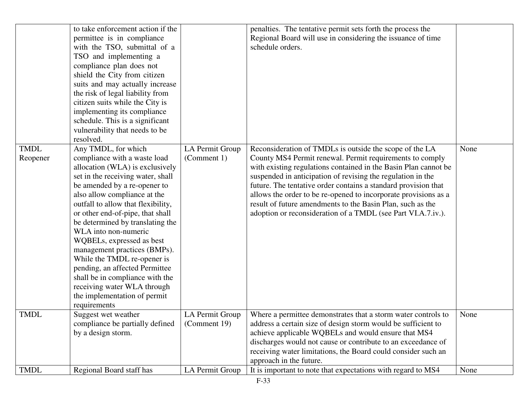|                         | to take enforcement action if the<br>permittee is in compliance<br>with the TSO, submittal of a<br>TSO and implementing a<br>compliance plan does not<br>shield the City from citizen<br>suits and may actually increase<br>the risk of legal liability from<br>citizen suits while the City is<br>implementing its compliance<br>schedule. This is a significant<br>vulnerability that needs to be<br>resolved.                                                                                                                                                                  |                                 | penalties. The tentative permit sets forth the process the<br>Regional Board will use in considering the issuance of time<br>schedule orders.                                                                                                                                                                                                                                                                                                                                                                            |      |
|-------------------------|-----------------------------------------------------------------------------------------------------------------------------------------------------------------------------------------------------------------------------------------------------------------------------------------------------------------------------------------------------------------------------------------------------------------------------------------------------------------------------------------------------------------------------------------------------------------------------------|---------------------------------|--------------------------------------------------------------------------------------------------------------------------------------------------------------------------------------------------------------------------------------------------------------------------------------------------------------------------------------------------------------------------------------------------------------------------------------------------------------------------------------------------------------------------|------|
| <b>TMDL</b><br>Reopener | Any TMDL, for which<br>compliance with a waste load<br>allocation (WLA) is exclusively<br>set in the receiving water, shall<br>be amended by a re-opener to<br>also allow compliance at the<br>outfall to allow that flexibility,<br>or other end-of-pipe, that shall<br>be determined by translating the<br>WLA into non-numeric<br>WQBELs, expressed as best<br>management practices (BMPs).<br>While the TMDL re-opener is<br>pending, an affected Permittee<br>shall be in compliance with the<br>receiving water WLA through<br>the implementation of permit<br>requirements | LA Permit Group<br>(Comment 1)  | Reconsideration of TMDLs is outside the scope of the LA<br>County MS4 Permit renewal. Permit requirements to comply<br>with existing regulations contained in the Basin Plan cannot be<br>suspended in anticipation of revising the regulation in the<br>future. The tentative order contains a standard provision that<br>allows the order to be re-opened to incorporate provisions as a<br>result of future amendments to the Basin Plan, such as the<br>adoption or reconsideration of a TMDL (see Part VI.A.7.iv.). | None |
| <b>TMDL</b>             | Suggest wet weather<br>compliance be partially defined<br>by a design storm.                                                                                                                                                                                                                                                                                                                                                                                                                                                                                                      | LA Permit Group<br>(Comment 19) | Where a permittee demonstrates that a storm water controls to<br>address a certain size of design storm would be sufficient to<br>achieve applicable WQBELs and would ensure that MS4<br>discharges would not cause or contribute to an exceedance of<br>receiving water limitations, the Board could consider such an<br>approach in the future.                                                                                                                                                                        | None |
| <b>TMDL</b>             | Regional Board staff has                                                                                                                                                                                                                                                                                                                                                                                                                                                                                                                                                          | LA Permit Group                 | It is important to note that expectations with regard to MS4                                                                                                                                                                                                                                                                                                                                                                                                                                                             | None |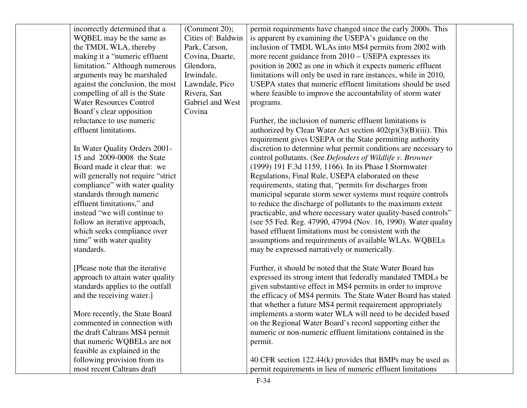| incorrectly determined that a       | (Comment 20);      | permit requirements have changed since the early 2000s. This     |  |
|-------------------------------------|--------------------|------------------------------------------------------------------|--|
| WQBEL may be the same as            | Cities of: Baldwin | is apparent by examining the USEPA's guidance on the             |  |
| the TMDL WLA, thereby               | Park, Carson,      | inclusion of TMDL WLAs into MS4 permits from 2002 with           |  |
| making it a "numeric effluent       | Covina, Duarte,    | more recent guidance from 2010 – USEPA expresses its             |  |
| limitation." Although numerous      | Glendora,          | position in 2002 as one in which it expects numeric effluent     |  |
| arguments may be marshaled          | Irwindale,         | limitations will only be used in rare instances, while in 2010,  |  |
| against the conclusion, the most    | Lawndale, Pico     | USEPA states that numeric effluent limitations should be used    |  |
| compelling of all is the State      | Rivera, San        | where feasible to improve the accountability of storm water      |  |
| <b>Water Resources Control</b>      | Gabriel and West   | programs.                                                        |  |
| Board's clear opposition            | Covina             |                                                                  |  |
| reluctance to use numeric           |                    | Further, the inclusion of numeric effluent limitations is        |  |
| effluent limitations.               |                    | authorized by Clean Water Act section $402(p)(3)(B)(iii)$ . This |  |
|                                     |                    | requirement gives USEPA or the State permitting authority        |  |
| In Water Quality Orders 2001-       |                    | discretion to determine what permit conditions are necessary to  |  |
| 15 and 2009-0008 the State          |                    | control pollutants. (See Defenders of Wildlife v. Browner        |  |
| Board made it clear that: we        |                    | (1999) 191 F.3d 1159, 1166). In its Phase I Stormwater           |  |
| will generally not require "strict" |                    | Regulations, Final Rule, USEPA elaborated on these               |  |
| compliance" with water quality      |                    | requirements, stating that, "permits for discharges from         |  |
| standards through numeric           |                    | municipal separate storm sewer systems must require controls     |  |
| effluent limitations," and          |                    | to reduce the discharge of pollutants to the maximum extent      |  |
| instead "we will continue to        |                    | practicable, and where necessary water quality-based controls"   |  |
| follow an iterative approach,       |                    | (see 55 Fed. Reg. 47990, 47994 (Nov. 16, 1990). Water quality    |  |
| which seeks compliance over         |                    | based effluent limitations must be consistent with the           |  |
| time" with water quality            |                    | assumptions and requirements of available WLAs. WQBELs           |  |
| standards.                          |                    | may be expressed narratively or numerically.                     |  |
| [Please note that the iterative]    |                    | Further, it should be noted that the State Water Board has       |  |
| approach to attain water quality    |                    | expressed its strong intent that federally mandated TMDLs be     |  |
| standards applies to the outfall    |                    | given substantive effect in MS4 permits in order to improve      |  |
| and the receiving water.]           |                    | the efficacy of MS4 permits. The State Water Board has stated    |  |
|                                     |                    | that whether a future MS4 permit requirement appropriately       |  |
| More recently, the State Board      |                    | implements a storm water WLA will need to be decided based       |  |
| commented in connection with        |                    | on the Regional Water Board's record supporting either the       |  |
| the draft Caltrans MS4 permit       |                    | numeric or non-numeric effluent limitations contained in the     |  |
| that numeric WQBELs are not         |                    | permit.                                                          |  |
| feasible as explained in the        |                    |                                                                  |  |
| following provision from its        |                    | 40 CFR section 122.44(k) provides that BMPs may be used as       |  |
| most recent Caltrans draft          |                    | permit requirements in lieu of numeric effluent limitations      |  |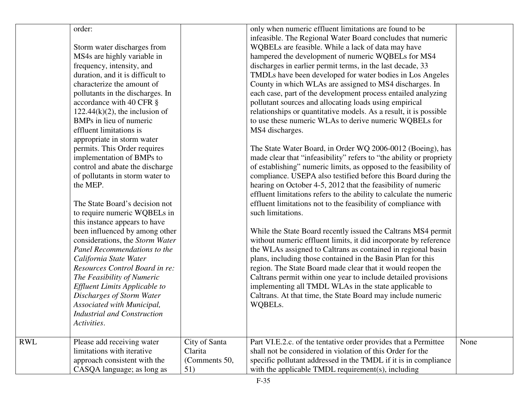| order:<br>only when numeric effluent limitations are found to be<br>infeasible. The Regional Water Board concludes that numeric<br>WQBELs are feasible. While a lack of data may have<br>Storm water discharges from<br>MS4s are highly variable in<br>hampered the development of numeric WQBELs for MS4<br>frequency, intensity, and<br>discharges in earlier permit terms, in the last decade, 33<br>duration, and it is difficult to<br>TMDLs have been developed for water bodies in Los Angeles<br>County in which WLAs are assigned to MS4 discharges. In<br>characterize the amount of<br>each case, part of the development process entailed analyzing<br>pollutants in the discharges. In<br>pollutant sources and allocating loads using empirical<br>accordance with 40 CFR §<br>relationships or quantitative models. As a result, it is possible<br>$122.44(k)(2)$ , the inclusion of<br>BMPs in lieu of numeric<br>to use these numeric WLAs to derive numeric WQBELs for<br>effluent limitations is<br>MS4 discharges.<br>appropriate in storm water<br>permits. This Order requires<br>The State Water Board, in Order WQ 2006-0012 (Boeing), has<br>implementation of BMPs to<br>made clear that "infeasibility" refers to "the ability or propriety<br>control and abate the discharge<br>of establishing" numeric limits, as opposed to the feasibility of<br>of pollutants in storm water to<br>compliance. USEPA also testified before this Board during the<br>the MEP.<br>hearing on October 4-5, 2012 that the feasibility of numeric<br>effluent limitations refers to the ability to calculate the numeric<br>The State Board's decision not<br>effluent limitations not to the feasibility of compliance with<br>such limitations.<br>to require numeric WQBELs in |      |
|------------------------------------------------------------------------------------------------------------------------------------------------------------------------------------------------------------------------------------------------------------------------------------------------------------------------------------------------------------------------------------------------------------------------------------------------------------------------------------------------------------------------------------------------------------------------------------------------------------------------------------------------------------------------------------------------------------------------------------------------------------------------------------------------------------------------------------------------------------------------------------------------------------------------------------------------------------------------------------------------------------------------------------------------------------------------------------------------------------------------------------------------------------------------------------------------------------------------------------------------------------------------------------------------------------------------------------------------------------------------------------------------------------------------------------------------------------------------------------------------------------------------------------------------------------------------------------------------------------------------------------------------------------------------------------------------------------------------------------------------------------------------------------------------|------|
| this instance appears to have<br>been influenced by among other<br>While the State Board recently issued the Caltrans MS4 permit<br>considerations, the Storm Water<br>without numeric effluent limits, it did incorporate by reference<br>the WLAs assigned to Caltrans as contained in regional basin<br>Panel Recommendations to the<br>plans, including those contained in the Basin Plan for this<br>California State Water<br>Resources Control Board in re:<br>region. The State Board made clear that it would reopen the<br>Caltrans permit within one year to include detailed provisions<br>The Feasibility of Numeric<br><b>Effluent Limits Applicable to</b><br>implementing all TMDL WLAs in the state applicable to<br>Discharges of Storm Water<br>Caltrans. At that time, the State Board may include numeric<br>Associated with Municipal,<br>WQBELs.<br><b>Industrial and Construction</b><br>Activities.                                                                                                                                                                                                                                                                                                                                                                                                                                                                                                                                                                                                                                                                                                                                                                                                                                                                   |      |
| RWL<br>Please add receiving water<br>City of Santa<br>Part VI.E.2.c. of the tentative order provides that a Permittee<br>limitations with iterative<br>shall not be considered in violation of this Order for the<br>Clarita<br>approach consistent with the<br>(Comments 50,<br>specific pollutant addressed in the TMDL if it is in compliance<br>CASQA language; as long as<br>with the applicable TMDL requirement(s), including<br>51)                                                                                                                                                                                                                                                                                                                                                                                                                                                                                                                                                                                                                                                                                                                                                                                                                                                                                                                                                                                                                                                                                                                                                                                                                                                                                                                                                    | None |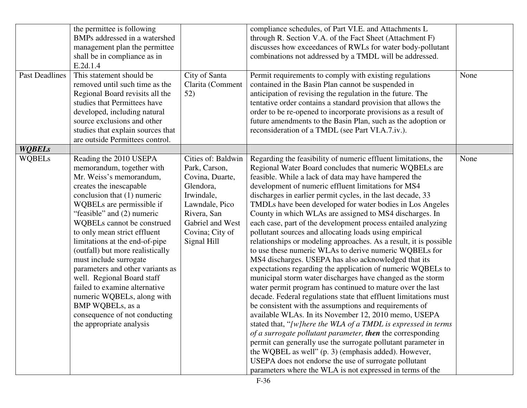| <b>Past Deadlines</b> | the permittee is following<br>BMPs addressed in a watershed<br>management plan the permittee<br>shall be in compliance as in<br>E.2d.1.4<br>This statement should be<br>removed until such time as the<br>Regional Board revisits all the<br>studies that Permittees have<br>developed, including natural<br>source exclusions and other<br>studies that explain sources that<br>are outside Permittees control.                                                                                                                                                                            | City of Santa<br>Clarita (Comment<br>52)                                                                                                                                 | compliance schedules, of Part VI.E. and Attachments L<br>through R. Section V.A. of the Fact Sheet (Attachment F)<br>discusses how exceedances of RWLs for water body-pollutant<br>combinations not addressed by a TMDL will be addressed.<br>Permit requirements to comply with existing regulations<br>contained in the Basin Plan cannot be suspended in<br>anticipation of revising the regulation in the future. The<br>tentative order contains a standard provision that allows the<br>order to be re-opened to incorporate provisions as a result of<br>future amendments to the Basin Plan, such as the adoption or<br>reconsideration of a TMDL (see Part VI.A.7.iv.).                                                                                                                                                                                                                                                                                                                                                                                                                                                                                                                                                                                                                                                                                                                                                                                                                                | None |
|-----------------------|---------------------------------------------------------------------------------------------------------------------------------------------------------------------------------------------------------------------------------------------------------------------------------------------------------------------------------------------------------------------------------------------------------------------------------------------------------------------------------------------------------------------------------------------------------------------------------------------|--------------------------------------------------------------------------------------------------------------------------------------------------------------------------|-----------------------------------------------------------------------------------------------------------------------------------------------------------------------------------------------------------------------------------------------------------------------------------------------------------------------------------------------------------------------------------------------------------------------------------------------------------------------------------------------------------------------------------------------------------------------------------------------------------------------------------------------------------------------------------------------------------------------------------------------------------------------------------------------------------------------------------------------------------------------------------------------------------------------------------------------------------------------------------------------------------------------------------------------------------------------------------------------------------------------------------------------------------------------------------------------------------------------------------------------------------------------------------------------------------------------------------------------------------------------------------------------------------------------------------------------------------------------------------------------------------------|------|
| <b>WQBELs</b>         |                                                                                                                                                                                                                                                                                                                                                                                                                                                                                                                                                                                             |                                                                                                                                                                          |                                                                                                                                                                                                                                                                                                                                                                                                                                                                                                                                                                                                                                                                                                                                                                                                                                                                                                                                                                                                                                                                                                                                                                                                                                                                                                                                                                                                                                                                                                                 |      |
| <b>WQBELs</b>         | Reading the 2010 USEPA<br>memorandum, together with<br>Mr. Weiss's memorandum,<br>creates the inescapable<br>conclusion that (1) numeric<br>WQBELs are permissible if<br>"feasible" and (2) numeric<br>WQBELs cannot be construed<br>to only mean strict effluent<br>limitations at the end-of-pipe<br>(outfall) but more realistically<br>must include surrogate<br>parameters and other variants as<br>well. Regional Board staff<br>failed to examine alternative<br>numeric WQBELs, along with<br><b>BMP WQBELs</b> , as a<br>consequence of not conducting<br>the appropriate analysis | Cities of: Baldwin<br>Park, Carson,<br>Covina, Duarte,<br>Glendora,<br>Irwindale,<br>Lawndale, Pico<br>Rivera, San<br>Gabriel and West<br>Covina; City of<br>Signal Hill | Regarding the feasibility of numeric effluent limitations, the<br>Regional Water Board concludes that numeric WQBELs are<br>feasible. While a lack of data may have hampered the<br>development of numeric effluent limitations for MS4<br>discharges in earlier permit cycles, in the last decade, 33<br>TMDLs have been developed for water bodies in Los Angeles<br>County in which WLAs are assigned to MS4 discharges. In<br>each case, part of the development process entailed analyzing<br>pollutant sources and allocating loads using empirical<br>relationships or modeling approaches. As a result, it is possible<br>to use these numeric WLAs to derive numeric WQBELs for<br>MS4 discharges. USEPA has also acknowledged that its<br>expectations regarding the application of numeric WQBELs to<br>municipal storm water discharges have changed as the storm<br>water permit program has continued to mature over the last<br>decade. Federal regulations state that effluent limitations must<br>be consistent with the assumptions and requirements of<br>available WLAs. In its November 12, 2010 memo, USEPA<br>stated that, "[w]here the WLA of a TMDL is expressed in terms<br>of a surrogate pollutant parameter, then the corresponding<br>permit can generally use the surrogate pollutant parameter in<br>the WQBEL as well" (p. 3) (emphasis added). However,<br>USEPA does not endorse the use of surrogate pollutant<br>parameters where the WLA is not expressed in terms of the | None |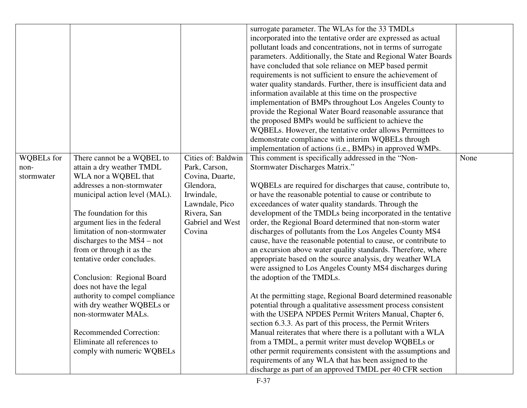| <b>WQBELs</b> for | There cannot be a WQBEL to     | Cities of: Baldwin | surrogate parameter. The WLAs for the 33 TMDLs<br>incorporated into the tentative order are expressed as actual<br>pollutant loads and concentrations, not in terms of surrogate<br>parameters. Additionally, the State and Regional Water Boards<br>have concluded that sole reliance on MEP based permit<br>requirements is not sufficient to ensure the achievement of<br>water quality standards. Further, there is insufficient data and<br>information available at this time on the prospective<br>implementation of BMPs throughout Los Angeles County to<br>provide the Regional Water Board reasonable assurance that<br>the proposed BMPs would be sufficient to achieve the<br>WQBELs. However, the tentative order allows Permittees to<br>demonstrate compliance with interim WQBELs through<br>implementation of actions (i.e., BMPs) in approved WMPs.<br>This comment is specifically addressed in the "Non- | None |
|-------------------|--------------------------------|--------------------|-------------------------------------------------------------------------------------------------------------------------------------------------------------------------------------------------------------------------------------------------------------------------------------------------------------------------------------------------------------------------------------------------------------------------------------------------------------------------------------------------------------------------------------------------------------------------------------------------------------------------------------------------------------------------------------------------------------------------------------------------------------------------------------------------------------------------------------------------------------------------------------------------------------------------------|------|
| non-              | attain a dry weather TMDL      | Park, Carson,      | Stormwater Discharges Matrix."                                                                                                                                                                                                                                                                                                                                                                                                                                                                                                                                                                                                                                                                                                                                                                                                                                                                                                |      |
| stormwater        | WLA nor a WQBEL that           | Covina, Duarte,    |                                                                                                                                                                                                                                                                                                                                                                                                                                                                                                                                                                                                                                                                                                                                                                                                                                                                                                                               |      |
|                   | addresses a non-stormwater     | Glendora,          | WQBELs are required for discharges that cause, contribute to,                                                                                                                                                                                                                                                                                                                                                                                                                                                                                                                                                                                                                                                                                                                                                                                                                                                                 |      |
|                   | municipal action level (MAL).  | Irwindale,         | or have the reasonable potential to cause or contribute to                                                                                                                                                                                                                                                                                                                                                                                                                                                                                                                                                                                                                                                                                                                                                                                                                                                                    |      |
|                   |                                | Lawndale, Pico     | exceedances of water quality standards. Through the                                                                                                                                                                                                                                                                                                                                                                                                                                                                                                                                                                                                                                                                                                                                                                                                                                                                           |      |
|                   | The foundation for this        | Rivera, San        | development of the TMDLs being incorporated in the tentative                                                                                                                                                                                                                                                                                                                                                                                                                                                                                                                                                                                                                                                                                                                                                                                                                                                                  |      |
|                   | argument lies in the federal   | Gabriel and West   | order, the Regional Board determined that non-storm water                                                                                                                                                                                                                                                                                                                                                                                                                                                                                                                                                                                                                                                                                                                                                                                                                                                                     |      |
|                   | limitation of non-stormwater   | Covina             | discharges of pollutants from the Los Angeles County MS4                                                                                                                                                                                                                                                                                                                                                                                                                                                                                                                                                                                                                                                                                                                                                                                                                                                                      |      |
|                   | discharges to the $MS4$ – not  |                    | cause, have the reasonable potential to cause, or contribute to                                                                                                                                                                                                                                                                                                                                                                                                                                                                                                                                                                                                                                                                                                                                                                                                                                                               |      |
|                   | from or through it as the      |                    | an excursion above water quality standards. Therefore, where                                                                                                                                                                                                                                                                                                                                                                                                                                                                                                                                                                                                                                                                                                                                                                                                                                                                  |      |
|                   | tentative order concludes.     |                    | appropriate based on the source analysis, dry weather WLA                                                                                                                                                                                                                                                                                                                                                                                                                                                                                                                                                                                                                                                                                                                                                                                                                                                                     |      |
|                   |                                |                    | were assigned to Los Angeles County MS4 discharges during                                                                                                                                                                                                                                                                                                                                                                                                                                                                                                                                                                                                                                                                                                                                                                                                                                                                     |      |
|                   | Conclusion: Regional Board     |                    | the adoption of the TMDLs.                                                                                                                                                                                                                                                                                                                                                                                                                                                                                                                                                                                                                                                                                                                                                                                                                                                                                                    |      |
|                   | does not have the legal        |                    |                                                                                                                                                                                                                                                                                                                                                                                                                                                                                                                                                                                                                                                                                                                                                                                                                                                                                                                               |      |
|                   | authority to compel compliance |                    | At the permitting stage, Regional Board determined reasonable                                                                                                                                                                                                                                                                                                                                                                                                                                                                                                                                                                                                                                                                                                                                                                                                                                                                 |      |
|                   | with dry weather WQBELs or     |                    | potential through a qualitative assessment process consistent                                                                                                                                                                                                                                                                                                                                                                                                                                                                                                                                                                                                                                                                                                                                                                                                                                                                 |      |
|                   | non-stormwater MALs.           |                    | with the USEPA NPDES Permit Writers Manual, Chapter 6,                                                                                                                                                                                                                                                                                                                                                                                                                                                                                                                                                                                                                                                                                                                                                                                                                                                                        |      |
|                   |                                |                    | section 6.3.3. As part of this process, the Permit Writers                                                                                                                                                                                                                                                                                                                                                                                                                                                                                                                                                                                                                                                                                                                                                                                                                                                                    |      |
|                   | <b>Recommended Correction:</b> |                    | Manual reiterates that where there is a pollutant with a WLA                                                                                                                                                                                                                                                                                                                                                                                                                                                                                                                                                                                                                                                                                                                                                                                                                                                                  |      |
|                   | Eliminate all references to    |                    | from a TMDL, a permit writer must develop WQBELs or                                                                                                                                                                                                                                                                                                                                                                                                                                                                                                                                                                                                                                                                                                                                                                                                                                                                           |      |
|                   | comply with numeric WQBELs     |                    | other permit requirements consistent with the assumptions and                                                                                                                                                                                                                                                                                                                                                                                                                                                                                                                                                                                                                                                                                                                                                                                                                                                                 |      |
|                   |                                |                    | requirements of any WLA that has been assigned to the                                                                                                                                                                                                                                                                                                                                                                                                                                                                                                                                                                                                                                                                                                                                                                                                                                                                         |      |
|                   |                                |                    | discharge as part of an approved TMDL per 40 CFR section                                                                                                                                                                                                                                                                                                                                                                                                                                                                                                                                                                                                                                                                                                                                                                                                                                                                      |      |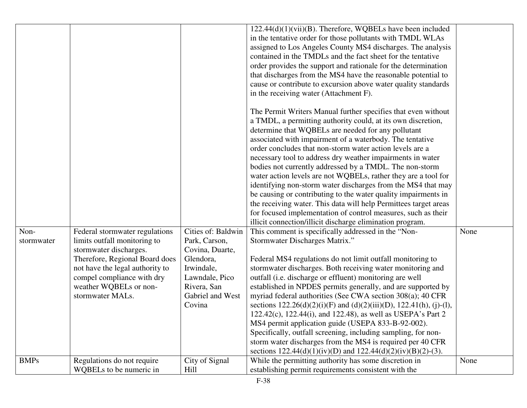|             |                                 |                    | $122.44(d)(1)(vii)(B)$ . Therefore, WQBELs have been included               |      |
|-------------|---------------------------------|--------------------|-----------------------------------------------------------------------------|------|
|             |                                 |                    | in the tentative order for those pollutants with TMDL WLAs                  |      |
|             |                                 |                    | assigned to Los Angeles County MS4 discharges. The analysis                 |      |
|             |                                 |                    | contained in the TMDLs and the fact sheet for the tentative                 |      |
|             |                                 |                    | order provides the support and rationale for the determination              |      |
|             |                                 |                    | that discharges from the MS4 have the reasonable potential to               |      |
|             |                                 |                    | cause or contribute to excursion above water quality standards              |      |
|             |                                 |                    | in the receiving water (Attachment F).                                      |      |
|             |                                 |                    | The Permit Writers Manual further specifies that even without               |      |
|             |                                 |                    | a TMDL, a permitting authority could, at its own discretion,                |      |
|             |                                 |                    | determine that WQBELs are needed for any pollutant                          |      |
|             |                                 |                    | associated with impairment of a waterbody. The tentative                    |      |
|             |                                 |                    | order concludes that non-storm water action levels are a                    |      |
|             |                                 |                    | necessary tool to address dry weather impairments in water                  |      |
|             |                                 |                    | bodies not currently addressed by a TMDL. The non-storm                     |      |
|             |                                 |                    | water action levels are not WQBELs, rather they are a tool for              |      |
|             |                                 |                    | identifying non-storm water discharges from the MS4 that may                |      |
|             |                                 |                    | be causing or contributing to the water quality impairments in              |      |
|             |                                 |                    | the receiving water. This data will help Permittees target areas            |      |
|             |                                 |                    | for focused implementation of control measures, such as their               |      |
|             |                                 |                    | illicit connection/illicit discharge elimination program.                   |      |
| Non-        | Federal stormwater regulations  | Cities of: Baldwin | This comment is specifically addressed in the "Non-                         | None |
| stormwater  | limits outfall monitoring to    | Park, Carson,      | Stormwater Discharges Matrix."                                              |      |
|             | stormwater discharges.          | Covina, Duarte,    |                                                                             |      |
|             | Therefore, Regional Board does  | Glendora,          | Federal MS4 regulations do not limit outfall monitoring to                  |      |
|             | not have the legal authority to | Irwindale,         | stormwater discharges. Both receiving water monitoring and                  |      |
|             | compel compliance with dry      | Lawndale, Pico     | outfall (i.e. discharge or effluent) monitoring are well                    |      |
|             | weather WQBELs or non-          | Rivera, San        | established in NPDES permits generally, and are supported by                |      |
|             | stormwater MALs.                | Gabriel and West   | myriad federal authorities (See CWA section 308(a); 40 CFR                  |      |
|             |                                 | Covina             | sections $122.26(d)(2)(i)(F)$ and $(d)(2)(iii)(D)$ , $122.41(h)$ , (j)-(l), |      |
|             |                                 |                    | 122.42(c), 122.44(i), and 122.48), as well as USEPA's Part 2                |      |
|             |                                 |                    | MS4 permit application guide (USEPA 833-B-92-002).                          |      |
|             |                                 |                    | Specifically, outfall screening, including sampling, for non-               |      |
|             |                                 |                    | storm water discharges from the MS4 is required per 40 CFR                  |      |
|             |                                 |                    | sections $122.44(d)(1)(iv)(D)$ and $122.44(d)(2)(iv)(B)(2)-(3)$ .           |      |
| <b>BMPs</b> | Regulations do not require      | City of Signal     | While the permitting authority has some discretion in                       | None |
|             | WQBELs to be numeric in         | Hill               | establishing permit requirements consistent with the                        |      |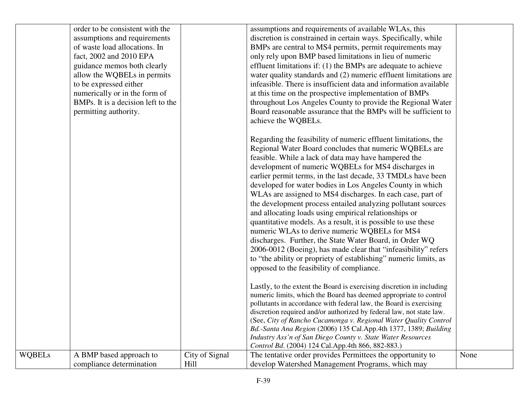|               | order to be consistent with the    |                | assumptions and requirements of available WLAs, this                  |      |
|---------------|------------------------------------|----------------|-----------------------------------------------------------------------|------|
|               | assumptions and requirements       |                | discretion is constrained in certain ways. Specifically, while        |      |
|               | of waste load allocations. In      |                | BMPs are central to MS4 permits, permit requirements may              |      |
|               | fact, 2002 and 2010 EPA            |                | only rely upon BMP based limitations in lieu of numeric               |      |
|               | guidance memos both clearly        |                | effluent limitations if: (1) the BMPs are adequate to achieve         |      |
|               | allow the WQBELs in permits        |                | water quality standards and (2) numeric effluent limitations are      |      |
|               | to be expressed either             |                | infeasible. There is insufficient data and information available      |      |
|               | numerically or in the form of      |                | at this time on the prospective implementation of BMPs                |      |
|               | BMPs. It is a decision left to the |                | throughout Los Angeles County to provide the Regional Water           |      |
|               | permitting authority.              |                | Board reasonable assurance that the BMPs will be sufficient to        |      |
|               |                                    |                | achieve the WQBELs.                                                   |      |
|               |                                    |                | Regarding the feasibility of numeric effluent limitations, the        |      |
|               |                                    |                | Regional Water Board concludes that numeric WQBELs are                |      |
|               |                                    |                | feasible. While a lack of data may have hampered the                  |      |
|               |                                    |                | development of numeric WQBELs for MS4 discharges in                   |      |
|               |                                    |                | earlier permit terms, in the last decade, 33 TMDLs have been          |      |
|               |                                    |                | developed for water bodies in Los Angeles County in which             |      |
|               |                                    |                | WLAs are assigned to MS4 discharges. In each case, part of            |      |
|               |                                    |                | the development process entailed analyzing pollutant sources          |      |
|               |                                    |                | and allocating loads using empirical relationships or                 |      |
|               |                                    |                | quantitative models. As a result, it is possible to use these         |      |
|               |                                    |                | numeric WLAs to derive numeric WQBELs for MS4                         |      |
|               |                                    |                | discharges. Further, the State Water Board, in Order WQ               |      |
|               |                                    |                | 2006-0012 (Boeing), has made clear that "infeasibility" refers        |      |
|               |                                    |                | to "the ability or propriety of establishing" numeric limits, as      |      |
|               |                                    |                | opposed to the feasibility of compliance.                             |      |
|               |                                    |                |                                                                       |      |
|               |                                    |                | Lastly, to the extent the Board is exercising discretion in including |      |
|               |                                    |                | numeric limits, which the Board has deemed appropriate to control     |      |
|               |                                    |                | pollutants in accordance with federal law, the Board is exercising    |      |
|               |                                    |                | discretion required and/or authorized by federal law, not state law.  |      |
|               |                                    |                | (See, City of Rancho Cucamonga v. Regional Water Quality Control      |      |
|               |                                    |                | Bd.-Santa Ana Region (2006) 135 Cal.App.4th 1377, 1389; Building      |      |
|               |                                    |                | Industry Ass'n of San Diego County v. State Water Resources           |      |
|               |                                    |                | Control Bd. (2004) 124 Cal.App.4th 866, 882-883.)                     |      |
| <b>WQBELs</b> | A BMP based approach to            | City of Signal | The tentative order provides Permittees the opportunity to            | None |
|               | compliance determination           | Hill           | develop Watershed Management Programs, which may                      |      |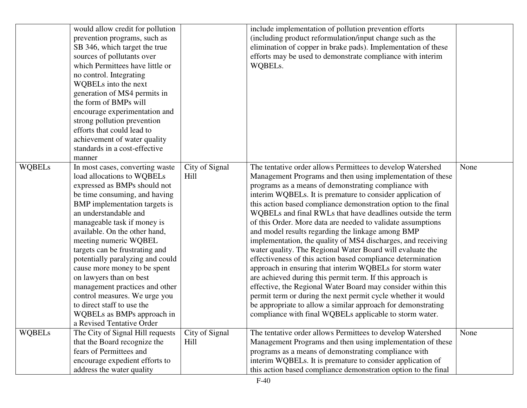|               | would allow credit for pollution<br>prevention programs, such as<br>SB 346, which target the true<br>sources of pollutants over<br>which Permittees have little or<br>no control. Integrating<br>WQBELs into the next<br>generation of MS4 permits in<br>the form of BMPs will<br>encourage experimentation and<br>strong pollution prevention<br>efforts that could lead to<br>achievement of water quality<br>standards in a cost-effective<br>manner                                                                                                                        |                        | include implementation of pollution prevention efforts<br>(including product reformulation/input change such as the<br>elimination of copper in brake pads). Implementation of these<br>efforts may be used to demonstrate compliance with interim<br>WQBELs.                                                                                                                                                                                                                                                                                                                                                                                                                                                                                                                                                                                                                                                                                                                                                                                                                      |      |
|---------------|--------------------------------------------------------------------------------------------------------------------------------------------------------------------------------------------------------------------------------------------------------------------------------------------------------------------------------------------------------------------------------------------------------------------------------------------------------------------------------------------------------------------------------------------------------------------------------|------------------------|------------------------------------------------------------------------------------------------------------------------------------------------------------------------------------------------------------------------------------------------------------------------------------------------------------------------------------------------------------------------------------------------------------------------------------------------------------------------------------------------------------------------------------------------------------------------------------------------------------------------------------------------------------------------------------------------------------------------------------------------------------------------------------------------------------------------------------------------------------------------------------------------------------------------------------------------------------------------------------------------------------------------------------------------------------------------------------|------|
| <b>WQBELs</b> | In most cases, converting waste<br>load allocations to WQBELs<br>expressed as BMPs should not<br>be time consuming, and having<br>BMP implementation targets is<br>an understandable and<br>manageable task if money is<br>available. On the other hand,<br>meeting numeric WQBEL<br>targets can be frustrating and<br>potentially paralyzing and could<br>cause more money to be spent<br>on lawyers than on best<br>management practices and other<br>control measures. We urge you<br>to direct staff to use the<br>WQBELs as BMPs approach in<br>a Revised Tentative Order | City of Signal<br>Hill | The tentative order allows Permittees to develop Watershed<br>Management Programs and then using implementation of these<br>programs as a means of demonstrating compliance with<br>interim WQBELs. It is premature to consider application of<br>this action based compliance demonstration option to the final<br>WQBELs and final RWLs that have deadlines outside the term<br>of this Order. More data are needed to validate assumptions<br>and model results regarding the linkage among BMP<br>implementation, the quality of MS4 discharges, and receiving<br>water quality. The Regional Water Board will evaluate the<br>effectiveness of this action based compliance determination<br>approach in ensuring that interim WQBELs for storm water<br>are achieved during this permit term. If this approach is<br>effective, the Regional Water Board may consider within this<br>permit term or during the next permit cycle whether it would<br>be appropriate to allow a similar approach for demonstrating<br>compliance with final WQBELs applicable to storm water. | None |
| <b>WQBELs</b> | The City of Signal Hill requests<br>that the Board recognize the<br>fears of Permittees and<br>encourage expedient efforts to<br>address the water quality                                                                                                                                                                                                                                                                                                                                                                                                                     | City of Signal<br>Hill | The tentative order allows Permittees to develop Watershed<br>Management Programs and then using implementation of these<br>programs as a means of demonstrating compliance with<br>interim WQBELs. It is premature to consider application of<br>this action based compliance demonstration option to the final                                                                                                                                                                                                                                                                                                                                                                                                                                                                                                                                                                                                                                                                                                                                                                   | None |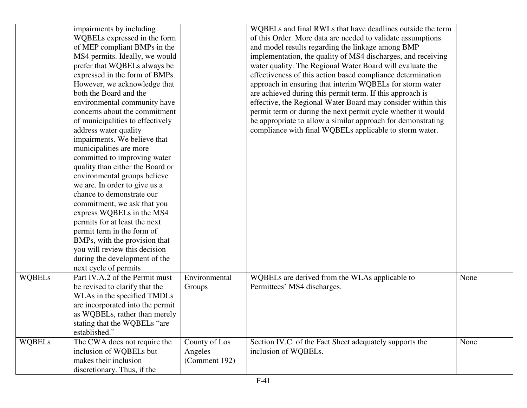|               | impairments by including<br>WQBELs expressed in the form<br>of MEP compliant BMPs in the<br>MS4 permits. Ideally, we would<br>prefer that WQBELs always be<br>expressed in the form of BMPs.<br>However, we acknowledge that<br>both the Board and the<br>environmental community have<br>concerns about the commitment<br>of municipalities to effectively<br>address water quality<br>impairments. We believe that<br>municipalities are more<br>committed to improving water<br>quality than either the Board or<br>environmental groups believe<br>we are. In order to give us a<br>chance to demonstrate our<br>commitment, we ask that you<br>express WQBELs in the MS4<br>permits for at least the next<br>permit term in the form of |                                           | WQBELs and final RWLs that have deadlines outside the term<br>of this Order. More data are needed to validate assumptions<br>and model results regarding the linkage among BMP<br>implementation, the quality of MS4 discharges, and receiving<br>water quality. The Regional Water Board will evaluate the<br>effectiveness of this action based compliance determination<br>approach in ensuring that interim WQBELs for storm water<br>are achieved during this permit term. If this approach is<br>effective, the Regional Water Board may consider within this<br>permit term or during the next permit cycle whether it would<br>be appropriate to allow a similar approach for demonstrating<br>compliance with final WQBELs applicable to storm water. |      |
|---------------|----------------------------------------------------------------------------------------------------------------------------------------------------------------------------------------------------------------------------------------------------------------------------------------------------------------------------------------------------------------------------------------------------------------------------------------------------------------------------------------------------------------------------------------------------------------------------------------------------------------------------------------------------------------------------------------------------------------------------------------------|-------------------------------------------|----------------------------------------------------------------------------------------------------------------------------------------------------------------------------------------------------------------------------------------------------------------------------------------------------------------------------------------------------------------------------------------------------------------------------------------------------------------------------------------------------------------------------------------------------------------------------------------------------------------------------------------------------------------------------------------------------------------------------------------------------------------|------|
|               | BMPs, with the provision that<br>you will review this decision<br>during the development of the<br>next cycle of permits                                                                                                                                                                                                                                                                                                                                                                                                                                                                                                                                                                                                                     |                                           |                                                                                                                                                                                                                                                                                                                                                                                                                                                                                                                                                                                                                                                                                                                                                                |      |
| <b>WQBELs</b> | Part IV.A.2 of the Permit must<br>be revised to clarify that the<br>WLAs in the specified TMDLs<br>are incorporated into the permit<br>as WQBELs, rather than merely<br>stating that the WQBELs "are<br>established."                                                                                                                                                                                                                                                                                                                                                                                                                                                                                                                        | Environmental<br>Groups                   | WQBELs are derived from the WLAs applicable to<br>Permittees' MS4 discharges.                                                                                                                                                                                                                                                                                                                                                                                                                                                                                                                                                                                                                                                                                  | None |
| <b>WQBELs</b> | The CWA does not require the<br>inclusion of WQBELs but<br>makes their inclusion<br>discretionary. Thus, if the                                                                                                                                                                                                                                                                                                                                                                                                                                                                                                                                                                                                                              | County of Los<br>Angeles<br>(Comment 192) | Section IV.C. of the Fact Sheet adequately supports the<br>inclusion of WQBELs.                                                                                                                                                                                                                                                                                                                                                                                                                                                                                                                                                                                                                                                                                | None |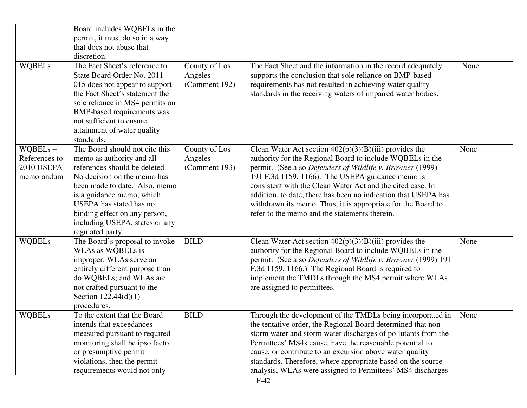| <b>WQBELs</b>                                           | Board includes WQBELs in the<br>permit, it must do so in a way<br>that does not abuse that<br>discretion.<br>The Fact Sheet's reference to<br>State Board Order No. 2011-<br>015 does not appear to support<br>the Fact Sheet's statement the<br>sole reliance in MS4 permits on<br>BMP-based requirements was<br>not sufficient to ensure<br>attainment of water quality<br>standards. | County of Los<br>Angeles<br>(Comment 192) | The Fact Sheet and the information in the record adequately<br>supports the conclusion that sole reliance on BMP-based<br>requirements has not resulted in achieving water quality<br>standards in the receiving waters of impaired water bodies.                                                                                                                                                                                                                                       | None |
|---------------------------------------------------------|-----------------------------------------------------------------------------------------------------------------------------------------------------------------------------------------------------------------------------------------------------------------------------------------------------------------------------------------------------------------------------------------|-------------------------------------------|-----------------------------------------------------------------------------------------------------------------------------------------------------------------------------------------------------------------------------------------------------------------------------------------------------------------------------------------------------------------------------------------------------------------------------------------------------------------------------------------|------|
| $WQBELs -$<br>References to<br>2010 USEPA<br>memorandum | The Board should not cite this<br>memo as authority and all<br>references should be deleted.<br>No decision on the memo has<br>been made to date. Also, memo<br>is a guidance memo, which<br><b>USEPA</b> has stated has no<br>binding effect on any person,<br>including USEPA, states or any<br>regulated party.                                                                      | County of Los<br>Angeles<br>(Comment 193) | Clean Water Act section $402(p)(3)(B)(iii)$ provides the<br>authority for the Regional Board to include WQBELs in the<br>permit. (See also Defenders of Wildlife v. Browner (1999)<br>191 F.3d 1159, 1166). The USEPA guidance memo is<br>consistent with the Clean Water Act and the cited case. In<br>addition, to date, there has been no indication that USEPA has<br>withdrawn its memo. Thus, it is appropriate for the Board to<br>refer to the memo and the statements therein. | None |
| <b>WQBELs</b>                                           | The Board's proposal to invoke<br>WLAs as WQBELs is<br>improper. WLAs serve an<br>entirely different purpose than<br>do WQBELs; and WLAs are<br>not crafted pursuant to the<br>Section $122.44(d)(1)$<br>procedures.                                                                                                                                                                    | <b>BILD</b>                               | Clean Water Act section $402(p)(3)(B)(iii)$ provides the<br>authority for the Regional Board to include WQBELs in the<br>permit. (See also Defenders of Wildlife v. Browner (1999) 191<br>F.3d 1159, 1166.) The Regional Board is required to<br>implement the TMDLs through the MS4 permit where WLAs<br>are assigned to permittees.                                                                                                                                                   | None |
| <b>WQBELs</b>                                           | To the extent that the Board<br>intends that exceedances<br>measured pursuant to required<br>monitoring shall be ipso facto<br>or presumptive permit<br>violations, then the permit<br>requirements would not only                                                                                                                                                                      | <b>BILD</b>                               | Through the development of the TMDLs being incorporated in<br>the tentative order, the Regional Board determined that non-<br>storm water and storm water discharges of pollutants from the<br>Permittees' MS4s cause, have the reasonable potential to<br>cause, or contribute to an excursion above water quality<br>standards. Therefore, where appropriate based on the source<br>analysis, WLAs were assigned to Permittees' MS4 discharges                                        | None |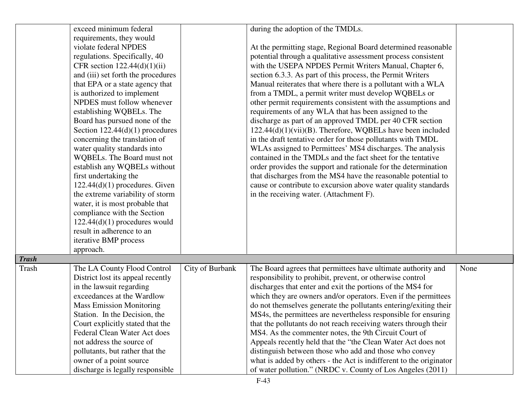|              | exceed minimum federal                                           |                 | during the adoption of the TMDLs.                                  |      |
|--------------|------------------------------------------------------------------|-----------------|--------------------------------------------------------------------|------|
|              | requirements, they would                                         |                 |                                                                    |      |
|              | violate federal NPDES                                            |                 | At the permitting stage, Regional Board determined reasonable      |      |
|              | regulations. Specifically, 40                                    |                 | potential through a qualitative assessment process consistent      |      |
|              | CFR section $122.44(d)(1)(ii)$                                   |                 | with the USEPA NPDES Permit Writers Manual, Chapter 6,             |      |
|              | and (iii) set forth the procedures                               |                 | section 6.3.3. As part of this process, the Permit Writers         |      |
|              | that EPA or a state agency that                                  |                 | Manual reiterates that where there is a pollutant with a WLA       |      |
|              | is authorized to implement                                       |                 | from a TMDL, a permit writer must develop WQBELs or                |      |
|              | NPDES must follow whenever                                       |                 | other permit requirements consistent with the assumptions and      |      |
|              | establishing WQBELs. The                                         |                 | requirements of any WLA that has been assigned to the              |      |
|              | Board has pursued none of the                                    |                 | discharge as part of an approved TMDL per 40 CFR section           |      |
|              | Section $122.44(d)(1)$ procedures                                |                 | $122.44(d)(1)(vii)(B)$ . Therefore, WQBELs have been included      |      |
|              | concerning the translation of                                    |                 | in the draft tentative order for those pollutants with TMDL        |      |
|              | water quality standards into                                     |                 | WLAs assigned to Permittees' MS4 discharges. The analysis          |      |
|              | WQBELs. The Board must not                                       |                 | contained in the TMDLs and the fact sheet for the tentative        |      |
|              | establish any WQBELs without                                     |                 | order provides the support and rationale for the determination     |      |
|              | first undertaking the                                            |                 | that discharges from the MS4 have the reasonable potential to      |      |
|              | $122.44(d)(1)$ procedures. Given                                 |                 | cause or contribute to excursion above water quality standards     |      |
|              | the extreme variability of storm                                 |                 | in the receiving water. (Attachment F).                            |      |
|              | water, it is most probable that                                  |                 |                                                                    |      |
|              | compliance with the Section                                      |                 |                                                                    |      |
|              | $122.44(d)(1)$ procedures would                                  |                 |                                                                    |      |
|              | result in adherence to an                                        |                 |                                                                    |      |
|              | iterative BMP process                                            |                 |                                                                    |      |
|              | approach.                                                        |                 |                                                                    |      |
| <b>Trash</b> |                                                                  |                 |                                                                    |      |
| Trash        | The LA County Flood Control                                      | City of Burbank | The Board agrees that permittees have ultimate authority and       | None |
|              | District lost its appeal recently                                |                 | responsibility to prohibit, prevent, or otherwise control          |      |
|              | in the lawsuit regarding                                         |                 | discharges that enter and exit the portions of the MS4 for         |      |
|              | exceedances at the Wardlow                                       |                 | which they are owners and/or operators. Even if the permittees     |      |
|              |                                                                  |                 | do not themselves generate the pollutants entering/exiting their   |      |
|              | <b>Mass Emission Monitoring</b><br>Station. In the Decision, the |                 |                                                                    |      |
|              |                                                                  |                 | MS4s, the permittees are nevertheless responsible for ensuring     |      |
|              | Court explicitly stated that the                                 |                 | that the pollutants do not reach receiving waters through their    |      |
|              | Federal Clean Water Act does                                     |                 | MS4. As the commenter notes, the 9th Circuit Court of              |      |
|              | not address the source of                                        |                 | Appeals recently held that the "the Clean Water Act does not       |      |
|              | pollutants, but rather that the                                  |                 | distinguish between those who add and those who convey             |      |
|              | owner of a point source                                          |                 | what is added by others - the Act is indifferent to the originator |      |
|              | discharge is legally responsible                                 |                 | of water pollution." (NRDC v. County of Los Angeles (2011)         |      |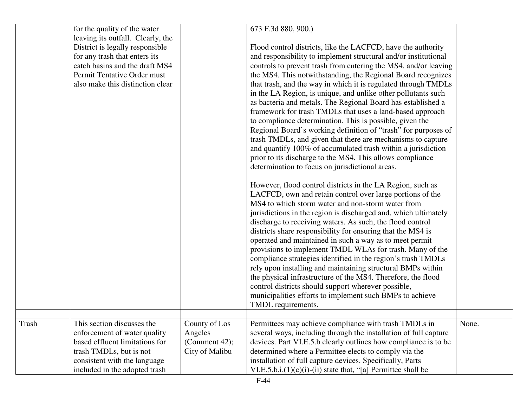|       | for the quality of the water<br>leaving its outfall. Clearly, the<br>District is legally responsible<br>for any trash that enters its<br>catch basins and the draft MS4<br>Permit Tentative Order must<br>also make this distinction clear |                                                             | 673 F.3d 880, 900.)<br>Flood control districts, like the LACFCD, have the authority<br>and responsibility to implement structural and/or institutional<br>controls to prevent trash from entering the MS4, and/or leaving<br>the MS4. This notwithstanding, the Regional Board recognizes<br>that trash, and the way in which it is regulated through TMDLs<br>in the LA Region, is unique, and unlike other pollutants such<br>as bacteria and metals. The Regional Board has established a<br>framework for trash TMDLs that uses a land-based approach<br>to compliance determination. This is possible, given the<br>Regional Board's working definition of "trash" for purposes of<br>trash TMDLs, and given that there are mechanisms to capture<br>and quantify 100% of accumulated trash within a jurisdiction<br>prior to its discharge to the MS4. This allows compliance<br>determination to focus on jurisdictional areas.<br>However, flood control districts in the LA Region, such as<br>LACFCD, own and retain control over large portions of the<br>MS4 to which storm water and non-storm water from<br>jurisdictions in the region is discharged and, which ultimately<br>discharge to receiving waters. As such, the flood control<br>districts share responsibility for ensuring that the MS4 is<br>operated and maintained in such a way as to meet permit<br>provisions to implement TMDL WLAs for trash. Many of the<br>compliance strategies identified in the region's trash TMDLs<br>rely upon installing and maintaining structural BMPs within<br>the physical infrastructure of the MS4. Therefore, the flood<br>control districts should support wherever possible,<br>municipalities efforts to implement such BMPs to achieve<br>TMDL requirements. |       |
|-------|--------------------------------------------------------------------------------------------------------------------------------------------------------------------------------------------------------------------------------------------|-------------------------------------------------------------|--------------------------------------------------------------------------------------------------------------------------------------------------------------------------------------------------------------------------------------------------------------------------------------------------------------------------------------------------------------------------------------------------------------------------------------------------------------------------------------------------------------------------------------------------------------------------------------------------------------------------------------------------------------------------------------------------------------------------------------------------------------------------------------------------------------------------------------------------------------------------------------------------------------------------------------------------------------------------------------------------------------------------------------------------------------------------------------------------------------------------------------------------------------------------------------------------------------------------------------------------------------------------------------------------------------------------------------------------------------------------------------------------------------------------------------------------------------------------------------------------------------------------------------------------------------------------------------------------------------------------------------------------------------------------------------------------------------------------------------------------------------------------------------|-------|
|       | This section discusses the                                                                                                                                                                                                                 |                                                             | Permittees may achieve compliance with trash TMDLs in                                                                                                                                                                                                                                                                                                                                                                                                                                                                                                                                                                                                                                                                                                                                                                                                                                                                                                                                                                                                                                                                                                                                                                                                                                                                                                                                                                                                                                                                                                                                                                                                                                                                                                                                | None. |
| Trash | enforcement of water quality<br>based effluent limitations for<br>trash TMDLs, but is not<br>consistent with the language<br>included in the adopted trash                                                                                 | County of Los<br>Angeles<br>(Comment 42);<br>City of Malibu | several ways, including through the installation of full capture<br>devices. Part VI.E.5.b clearly outlines how compliance is to be<br>determined where a Permittee elects to comply via the<br>installation of full capture devices. Specifically, Parts<br>VI.E.5.b.i. $(1)(c)(i)$ - $(ii)$ state that, "[a] Permittee shall be                                                                                                                                                                                                                                                                                                                                                                                                                                                                                                                                                                                                                                                                                                                                                                                                                                                                                                                                                                                                                                                                                                                                                                                                                                                                                                                                                                                                                                                    |       |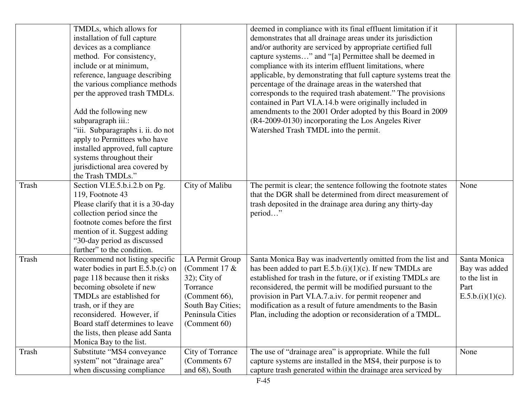|       | TMDLs, which allows for<br>installation of full capture<br>devices as a compliance<br>method. For consistency,<br>include or at minimum,<br>reference, language describing<br>the various compliance methods<br>per the approved trash TMDLs.<br>Add the following new<br>subparagraph iii.:<br>"iii. Subparagraphs i. ii. do not<br>apply to Permittees who have<br>installed approved, full capture<br>systems throughout their<br>jurisdictional area covered by<br>the Trash TMDLs." |                                                                                                                                                    | deemed in compliance with its final effluent limitation if it<br>demonstrates that all drainage areas under its jurisdiction<br>and/or authority are serviced by appropriate certified full<br>capture systems" and "[a] Permittee shall be deemed in<br>compliance with its interim effluent limitations, where<br>applicable, by demonstrating that full capture systems treat the<br>percentage of the drainage areas in the watershed that<br>corresponds to the required trash abatement." The provisions<br>contained in Part VI.A.14.b were originally included in<br>amendments to the 2001 Order adopted by this Board in 2009<br>(R4-2009-0130) incorporating the Los Angeles River<br>Watershed Trash TMDL into the permit. |                                                                             |
|-------|------------------------------------------------------------------------------------------------------------------------------------------------------------------------------------------------------------------------------------------------------------------------------------------------------------------------------------------------------------------------------------------------------------------------------------------------------------------------------------------|----------------------------------------------------------------------------------------------------------------------------------------------------|----------------------------------------------------------------------------------------------------------------------------------------------------------------------------------------------------------------------------------------------------------------------------------------------------------------------------------------------------------------------------------------------------------------------------------------------------------------------------------------------------------------------------------------------------------------------------------------------------------------------------------------------------------------------------------------------------------------------------------------|-----------------------------------------------------------------------------|
| Trash | Section VI.E.5.b.i.2.b on Pg.<br>119, Footnote 43<br>Please clarify that it is a 30-day<br>collection period since the<br>footnote comes before the first<br>mention of it. Suggest adding<br>"30-day period as discussed<br>further" to the condition.                                                                                                                                                                                                                                  | City of Malibu                                                                                                                                     | The permit is clear; the sentence following the footnote states<br>that the DGR shall be determined from direct measurement of<br>trash deposited in the drainage area during any thirty-day<br>period"                                                                                                                                                                                                                                                                                                                                                                                                                                                                                                                                | None                                                                        |
| Trash | Recommend not listing specific<br>water bodies in part $E.5.b.(c)$ on<br>page 118 because then it risks<br>becoming obsolete if new<br>TMDLs are established for<br>trash, or if they are<br>reconsidered. However, if<br>Board staff determines to leave<br>the lists, then please add Santa<br>Monica Bay to the list.                                                                                                                                                                 | <b>LA Permit Group</b><br>(Comment 17 $&$<br>$32$ ); City of<br>Torrance<br>(Comment 66),<br>South Bay Cities;<br>Peninsula Cities<br>(Comment 60) | Santa Monica Bay was inadvertently omitted from the list and<br>has been added to part $E.5.b.(i)(1)(c)$ . If new TMDLs are<br>established for trash in the future, or if existing TMDLs are<br>reconsidered, the permit will be modified pursuant to the<br>provision in Part VI.A.7.a.iv. for permit reopener and<br>modification as a result of future amendments to the Basin<br>Plan, including the adoption or reconsideration of a TMDL.                                                                                                                                                                                                                                                                                        | Santa Monica<br>Bay was added<br>to the list in<br>Part<br>E.5.b.(i)(1)(c). |
| Trash | Substitute "MS4 conveyance<br>system" not "drainage area"<br>when discussing compliance                                                                                                                                                                                                                                                                                                                                                                                                  | City of Torrance<br>(Comments 67<br>and 68), South                                                                                                 | The use of "drainage area" is appropriate. While the full<br>capture systems are installed in the MS4, their purpose is to<br>capture trash generated within the drainage area serviced by                                                                                                                                                                                                                                                                                                                                                                                                                                                                                                                                             | None                                                                        |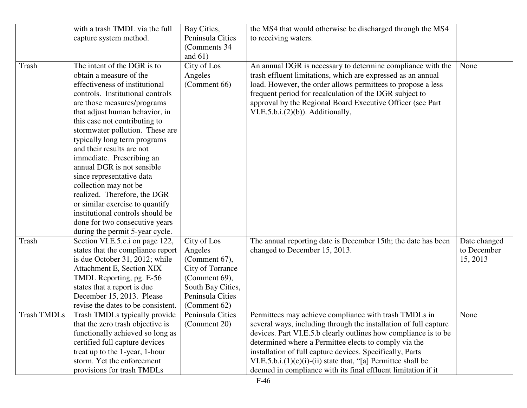|                    | with a trash TMDL via the full                                      | Bay Cities,       | the MS4 that would otherwise be discharged through the MS4                                                              |              |
|--------------------|---------------------------------------------------------------------|-------------------|-------------------------------------------------------------------------------------------------------------------------|--------------|
|                    | capture system method.                                              | Peninsula Cities  | to receiving waters.                                                                                                    |              |
|                    |                                                                     | (Comments 34)     |                                                                                                                         |              |
|                    |                                                                     | and $61)$         |                                                                                                                         |              |
| Trash              | The intent of the DGR is to                                         | City of Los       | An annual DGR is necessary to determine compliance with the                                                             | None         |
|                    | obtain a measure of the                                             | Angeles           | trash effluent limitations, which are expressed as an annual                                                            |              |
|                    | effectiveness of institutional                                      |                   |                                                                                                                         |              |
|                    | controls. Institutional controls                                    | (Comment 66)      | load. However, the order allows permittees to propose a less<br>frequent period for recalculation of the DGR subject to |              |
|                    |                                                                     |                   |                                                                                                                         |              |
|                    | are those measures/programs                                         |                   | approval by the Regional Board Executive Officer (see Part                                                              |              |
|                    | that adjust human behavior, in                                      |                   | $VI.E.5.b.i. (2)(b)$ . Additionally,                                                                                    |              |
|                    | this case not contributing to                                       |                   |                                                                                                                         |              |
|                    | stormwater pollution. These are                                     |                   |                                                                                                                         |              |
|                    | typically long term programs<br>and their results are not           |                   |                                                                                                                         |              |
|                    |                                                                     |                   |                                                                                                                         |              |
|                    | immediate. Prescribing an<br>annual DGR is not sensible             |                   |                                                                                                                         |              |
|                    | since representative data                                           |                   |                                                                                                                         |              |
|                    | collection may not be                                               |                   |                                                                                                                         |              |
|                    | realized. Therefore, the DGR                                        |                   |                                                                                                                         |              |
|                    |                                                                     |                   |                                                                                                                         |              |
|                    | or similar exercise to quantify<br>institutional controls should be |                   |                                                                                                                         |              |
|                    |                                                                     |                   |                                                                                                                         |              |
|                    | done for two consecutive years                                      |                   |                                                                                                                         |              |
|                    | during the permit 5-year cycle.                                     |                   |                                                                                                                         |              |
| Trash              | Section VI.E.5.c.i on page 122,                                     | City of Los       | The annual reporting date is December 15th; the date has been                                                           | Date changed |
|                    | states that the compliance report                                   | Angeles           | changed to December 15, 2013.                                                                                           | to December  |
|                    | is due October 31, 2012; while                                      | (Comment 67),     |                                                                                                                         | 15, 2013     |
|                    | Attachment E, Section XIX                                           | City of Torrance  |                                                                                                                         |              |
|                    | TMDL Reporting, pg. E-56                                            | (Comment 69),     |                                                                                                                         |              |
|                    | states that a report is due                                         | South Bay Cities, |                                                                                                                         |              |
|                    | December 15, 2013. Please                                           | Peninsula Cities  |                                                                                                                         |              |
|                    | revise the dates to be consistent.                                  | (Comment 62)      |                                                                                                                         |              |
| <b>Trash TMDLs</b> | Trash TMDLs typically provide                                       | Peninsula Cities  | Permittees may achieve compliance with trash TMDLs in                                                                   | None         |
|                    | that the zero trash objective is                                    | (Comment 20)      | several ways, including through the installation of full capture                                                        |              |
|                    | functionally achieved so long as                                    |                   | devices. Part VI.E.5.b clearly outlines how compliance is to be                                                         |              |
|                    | certified full capture devices                                      |                   | determined where a Permittee elects to comply via the                                                                   |              |
|                    | treat up to the 1-year, 1-hour                                      |                   | installation of full capture devices. Specifically, Parts                                                               |              |
|                    | storm. Yet the enforcement                                          |                   | VI.E.5.b.i. $(1)(c)(i)$ - $(ii)$ state that, "[a] Permittee shall be                                                    |              |
|                    | provisions for trash TMDLs                                          |                   | deemed in compliance with its final effluent limitation if it                                                           |              |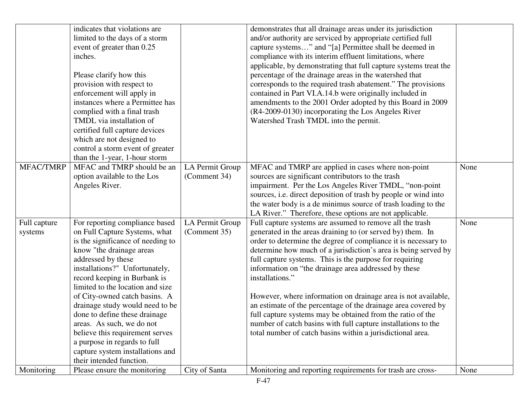|                         | indicates that violations are<br>limited to the days of a storm<br>event of greater than 0.25<br>inches.<br>Please clarify how this<br>provision with respect to<br>enforcement will apply in<br>instances where a Permittee has<br>complied with a final trash<br>TMDL via installation of<br>certified full capture devices<br>which are not designed to<br>control a storm event of greater<br>than the 1-year, 1-hour storm                                                                                                   |                                 | demonstrates that all drainage areas under its jurisdiction<br>and/or authority are serviced by appropriate certified full<br>capture systems" and "[a] Permittee shall be deemed in<br>compliance with its interim effluent limitations, where<br>applicable, by demonstrating that full capture systems treat the<br>percentage of the drainage areas in the watershed that<br>corresponds to the required trash abatement." The provisions<br>contained in Part VI.A.14.b were originally included in<br>amendments to the 2001 Order adopted by this Board in 2009<br>(R4-2009-0130) incorporating the Los Angeles River<br>Watershed Trash TMDL into the permit.                                                           |      |
|-------------------------|-----------------------------------------------------------------------------------------------------------------------------------------------------------------------------------------------------------------------------------------------------------------------------------------------------------------------------------------------------------------------------------------------------------------------------------------------------------------------------------------------------------------------------------|---------------------------------|---------------------------------------------------------------------------------------------------------------------------------------------------------------------------------------------------------------------------------------------------------------------------------------------------------------------------------------------------------------------------------------------------------------------------------------------------------------------------------------------------------------------------------------------------------------------------------------------------------------------------------------------------------------------------------------------------------------------------------|------|
| MFAC/TMRP               | MFAC and TMRP should be an<br>option available to the Los<br>Angeles River.                                                                                                                                                                                                                                                                                                                                                                                                                                                       | LA Permit Group<br>(Comment 34) | MFAC and TMRP are applied in cases where non-point<br>sources are significant contributors to the trash<br>impairment. Per the Los Angeles River TMDL, "non-point<br>sources, i.e. direct deposition of trash by people or wind into<br>the water body is a de minimus source of trash loading to the<br>LA River." Therefore, these options are not applicable.                                                                                                                                                                                                                                                                                                                                                                | None |
| Full capture<br>systems | For reporting compliance based<br>on Full Capture Systems, what<br>is the significance of needing to<br>know "the drainage areas<br>addressed by these<br>installations?" Unfortunately,<br>record keeping in Burbank is<br>limited to the location and size<br>of City-owned catch basins. A<br>drainage study would need to be<br>done to define these drainage<br>areas. As such, we do not<br>believe this requirement serves<br>a purpose in regards to full<br>capture system installations and<br>their intended function. | LA Permit Group<br>(Comment 35) | Full capture systems are assumed to remove all the trash<br>generated in the areas draining to (or served by) them. In<br>order to determine the degree of compliance it is necessary to<br>determine how much of a jurisdiction's area is being served by<br>full capture systems. This is the purpose for requiring<br>information on "the drainage area addressed by these<br>installations."<br>However, where information on drainage area is not available,<br>an estimate of the percentage of the drainage area covered by<br>full capture systems may be obtained from the ratio of the<br>number of catch basins with full capture installations to the<br>total number of catch basins within a jurisdictional area. | None |
| Monitoring              | Please ensure the monitoring                                                                                                                                                                                                                                                                                                                                                                                                                                                                                                      | City of Santa                   | Monitoring and reporting requirements for trash are cross-                                                                                                                                                                                                                                                                                                                                                                                                                                                                                                                                                                                                                                                                      | None |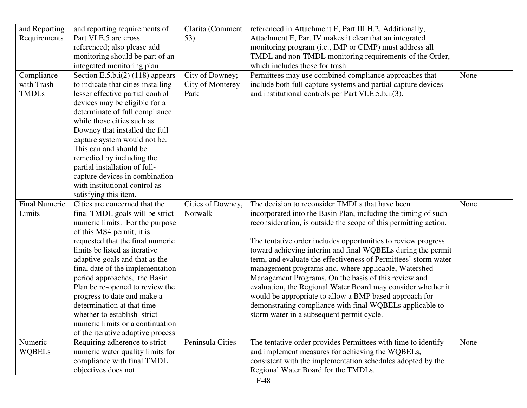| and Reporting        | and reporting requirements of                     | Clarita (Comment  | referenced in Attachment E, Part III.H.2. Additionally,                                            |      |
|----------------------|---------------------------------------------------|-------------------|----------------------------------------------------------------------------------------------------|------|
| Requirements         | Part VI.E.5 are cross                             | 53)               | Attachment E, Part IV makes it clear that an integrated                                            |      |
|                      | referenced; also please add                       |                   | monitoring program (i.e., IMP or CIMP) must address all                                            |      |
|                      | monitoring should be part of an                   |                   | TMDL and non-TMDL monitoring requirements of the Order,                                            |      |
|                      | integrated monitoring plan                        |                   | which includes those for trash.                                                                    |      |
| Compliance           | Section E.5.b.i(2) (118) appears                  | City of Downey;   | Permittees may use combined compliance approaches that                                             | None |
| with Trash           | to indicate that cities installing                | City of Monterey  | include both full capture systems and partial capture devices                                      |      |
| <b>TMDLs</b>         | lesser effective partial control                  | Park              | and institutional controls per Part VI.E.5.b.i.(3).                                                |      |
|                      | devices may be eligible for a                     |                   |                                                                                                    |      |
|                      | determinate of full compliance                    |                   |                                                                                                    |      |
|                      | while those cities such as                        |                   |                                                                                                    |      |
|                      | Downey that installed the full                    |                   |                                                                                                    |      |
|                      | capture system would not be.                      |                   |                                                                                                    |      |
|                      | This can and should be                            |                   |                                                                                                    |      |
|                      | remedied by including the                         |                   |                                                                                                    |      |
|                      | partial installation of full-                     |                   |                                                                                                    |      |
|                      | capture devices in combination                    |                   |                                                                                                    |      |
|                      | with institutional control as                     |                   |                                                                                                    |      |
|                      | satisfying this item.                             |                   |                                                                                                    |      |
|                      |                                                   |                   |                                                                                                    |      |
| <b>Final Numeric</b> | Cities are concerned that the                     | Cities of Downey, | The decision to reconsider TMDLs that have been                                                    | None |
| Limits               | final TMDL goals will be strict                   | Norwalk           | incorporated into the Basin Plan, including the timing of such                                     |      |
|                      | numeric limits. For the purpose                   |                   | reconsideration, is outside the scope of this permitting action.                                   |      |
|                      | of this MS4 permit, it is                         |                   |                                                                                                    |      |
|                      | requested that the final numeric                  |                   | The tentative order includes opportunities to review progress                                      |      |
|                      | limits be listed as iterative                     |                   | toward achieving interim and final WQBELs during the permit                                        |      |
|                      | adaptive goals and that as the                    |                   | term, and evaluate the effectiveness of Permittees' storm water                                    |      |
|                      | final date of the implementation                  |                   | management programs and, where applicable, Watershed                                               |      |
|                      | period approaches, the Basin                      |                   | Management Programs. On the basis of this review and                                               |      |
|                      | Plan be re-opened to review the                   |                   | evaluation, the Regional Water Board may consider whether it                                       |      |
|                      | progress to date and make a                       |                   | would be appropriate to allow a BMP based approach for                                             |      |
|                      | determination at that time                        |                   | demonstrating compliance with final WQBELs applicable to                                           |      |
|                      | whether to establish strict                       |                   | storm water in a subsequent permit cycle.                                                          |      |
|                      | numeric limits or a continuation                  |                   |                                                                                                    |      |
|                      | of the iterative adaptive process                 |                   |                                                                                                    |      |
| Numeric              | Requiring adherence to strict                     | Peninsula Cities  | The tentative order provides Permittees with time to identify                                      | None |
| <b>WQBELs</b>        | numeric water quality limits for                  |                   | and implement measures for achieving the WQBELs,                                                   |      |
|                      | compliance with final TMDL<br>objectives does not |                   | consistent with the implementation schedules adopted by the<br>Regional Water Board for the TMDLs. |      |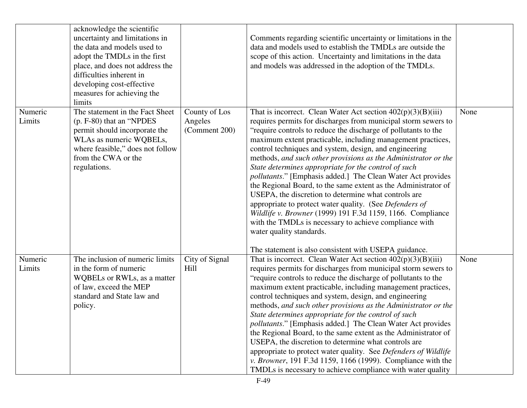|                   | acknowledge the scientific<br>uncertainty and limitations in<br>the data and models used to<br>adopt the TMDLs in the first<br>place, and does not address the<br>difficulties inherent in<br>developing cost-effective<br>measures for achieving the<br>limits |                                           | Comments regarding scientific uncertainty or limitations in the<br>data and models used to establish the TMDLs are outside the<br>scope of this action. Uncertainty and limitations in the data<br>and models was addressed in the adoption of the TMDLs.                                                                                                                                                                                                                                                                                                                                                                                                                                                                                                                                                                                                                                                                      |      |
|-------------------|-----------------------------------------------------------------------------------------------------------------------------------------------------------------------------------------------------------------------------------------------------------------|-------------------------------------------|--------------------------------------------------------------------------------------------------------------------------------------------------------------------------------------------------------------------------------------------------------------------------------------------------------------------------------------------------------------------------------------------------------------------------------------------------------------------------------------------------------------------------------------------------------------------------------------------------------------------------------------------------------------------------------------------------------------------------------------------------------------------------------------------------------------------------------------------------------------------------------------------------------------------------------|------|
| Numeric<br>Limits | The statement in the Fact Sheet<br>(p. F-80) that an "NPDES"<br>permit should incorporate the<br>WLAs as numeric WQBELs,<br>where feasible," does not follow<br>from the CWA or the<br>regulations.                                                             | County of Los<br>Angeles<br>(Comment 200) | That is incorrect. Clean Water Act section $402(p)(3)(B)(iii)$<br>requires permits for discharges from municipal storm sewers to<br>"require controls to reduce the discharge of pollutants to the<br>maximum extent practicable, including management practices,<br>control techniques and system, design, and engineering<br>methods, and such other provisions as the Administrator or the<br>State determines appropriate for the control of such<br><i>pollutants.</i> " [Emphasis added.] The Clean Water Act provides<br>the Regional Board, to the same extent as the Administrator of<br>USEPA, the discretion to determine what controls are<br>appropriate to protect water quality. (See Defenders of<br>Wildlife v. Browner (1999) 191 F.3d 1159, 1166. Compliance<br>with the TMDLs is necessary to achieve compliance with<br>water quality standards.<br>The statement is also consistent with USEPA guidance. | None |
| Numeric<br>Limits | The inclusion of numeric limits<br>in the form of numeric<br>WQBELs or RWLs, as a matter<br>of law, exceed the MEP<br>standard and State law and<br>policy.                                                                                                     | City of Signal<br>Hill                    | That is incorrect. Clean Water Act section $402(p)(3)(B)(iii)$<br>requires permits for discharges from municipal storm sewers to<br>"require controls to reduce the discharge of pollutants to the<br>maximum extent practicable, including management practices,<br>control techniques and system, design, and engineering<br>methods, and such other provisions as the Administrator or the<br>State determines appropriate for the control of such<br>pollutants." [Emphasis added.] The Clean Water Act provides<br>the Regional Board, to the same extent as the Administrator of<br>USEPA, the discretion to determine what controls are<br>appropriate to protect water quality. See Defenders of Wildlife<br>v. Browner, 191 F.3d 1159, 1166 (1999). Compliance with the<br>TMDLs is necessary to achieve compliance with water quality                                                                                | None |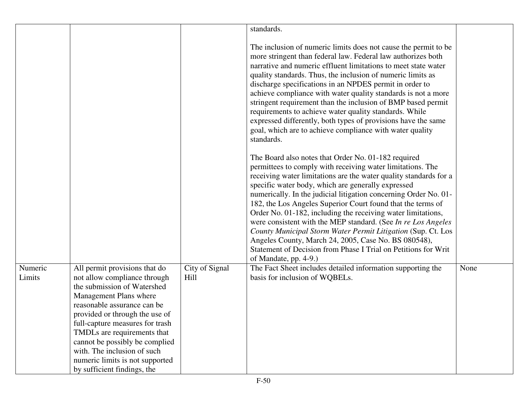|                   |                                                                                                                                                                                                                                                           |                        | standards.                                                                                                                                                                                                                                                                                                                                                                                                                                                                                                                                                                                                                                                                                                                                                                                                                                                  |      |
|-------------------|-----------------------------------------------------------------------------------------------------------------------------------------------------------------------------------------------------------------------------------------------------------|------------------------|-------------------------------------------------------------------------------------------------------------------------------------------------------------------------------------------------------------------------------------------------------------------------------------------------------------------------------------------------------------------------------------------------------------------------------------------------------------------------------------------------------------------------------------------------------------------------------------------------------------------------------------------------------------------------------------------------------------------------------------------------------------------------------------------------------------------------------------------------------------|------|
|                   |                                                                                                                                                                                                                                                           |                        | The inclusion of numeric limits does not cause the permit to be<br>more stringent than federal law. Federal law authorizes both<br>narrative and numeric effluent limitations to meet state water<br>quality standards. Thus, the inclusion of numeric limits as<br>discharge specifications in an NPDES permit in order to<br>achieve compliance with water quality standards is not a more<br>stringent requirement than the inclusion of BMP based permit<br>requirements to achieve water quality standards. While<br>expressed differently, both types of provisions have the same<br>goal, which are to achieve compliance with water quality<br>standards.<br>The Board also notes that Order No. 01-182 required<br>permittees to comply with receiving water limitations. The<br>receiving water limitations are the water quality standards for a |      |
|                   |                                                                                                                                                                                                                                                           |                        | specific water body, which are generally expressed<br>numerically. In the judicial litigation concerning Order No. 01-<br>182, the Los Angeles Superior Court found that the terms of<br>Order No. 01-182, including the receiving water limitations,<br>were consistent with the MEP standard. (See In re Los Angeles<br>County Municipal Storm Water Permit Litigation (Sup. Ct. Los<br>Angeles County, March 24, 2005, Case No. BS 080548),<br>Statement of Decision from Phase I Trial on Petitions for Writ<br>of Mandate, pp. 4-9.)                                                                                                                                                                                                                                                                                                                   |      |
| Numeric<br>Limits | All permit provisions that do<br>not allow compliance through<br>the submission of Watershed<br>Management Plans where<br>reasonable assurance can be<br>provided or through the use of<br>full-capture measures for trash<br>TMDLs are requirements that | City of Signal<br>Hill | The Fact Sheet includes detailed information supporting the<br>basis for inclusion of WQBELs.                                                                                                                                                                                                                                                                                                                                                                                                                                                                                                                                                                                                                                                                                                                                                               | None |
|                   | cannot be possibly be complied<br>with. The inclusion of such<br>numeric limits is not supported<br>by sufficient findings, the                                                                                                                           |                        |                                                                                                                                                                                                                                                                                                                                                                                                                                                                                                                                                                                                                                                                                                                                                                                                                                                             |      |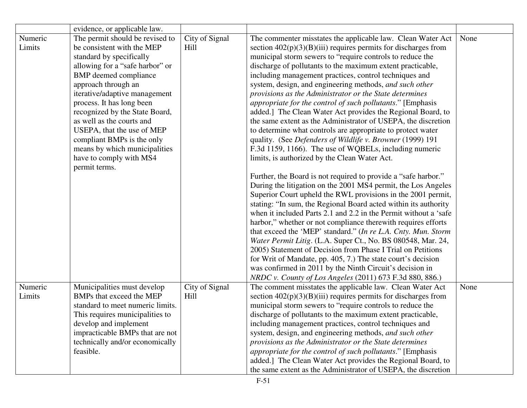|                   | evidence, or applicable law.                                                                                                                                                                                                                                                                                                                                                                                                                              |                        |                                                                                                                                                                                                                                                                                                                                                                                                                                                                                                                                                                                                                                                                                                                                                                                                                                                                                                                                                                                                                                                                                                                                                                                                                                                                                                                                                                                                                                                                                                                                                                                                                                                                                    |      |
|-------------------|-----------------------------------------------------------------------------------------------------------------------------------------------------------------------------------------------------------------------------------------------------------------------------------------------------------------------------------------------------------------------------------------------------------------------------------------------------------|------------------------|------------------------------------------------------------------------------------------------------------------------------------------------------------------------------------------------------------------------------------------------------------------------------------------------------------------------------------------------------------------------------------------------------------------------------------------------------------------------------------------------------------------------------------------------------------------------------------------------------------------------------------------------------------------------------------------------------------------------------------------------------------------------------------------------------------------------------------------------------------------------------------------------------------------------------------------------------------------------------------------------------------------------------------------------------------------------------------------------------------------------------------------------------------------------------------------------------------------------------------------------------------------------------------------------------------------------------------------------------------------------------------------------------------------------------------------------------------------------------------------------------------------------------------------------------------------------------------------------------------------------------------------------------------------------------------|------|
| Numeric<br>Limits | The permit should be revised to<br>be consistent with the MEP<br>standard by specifically<br>allowing for a "safe harbor" or<br><b>BMP</b> deemed compliance<br>approach through an<br>iterative/adaptive management<br>process. It has long been<br>recognized by the State Board,<br>as well as the courts and<br>USEPA, that the use of MEP<br>compliant BMPs is the only<br>means by which municipalities<br>have to comply with MS4<br>permit terms. | City of Signal<br>Hill | The commenter misstates the applicable law. Clean Water Act<br>section $402(p)(3)(B)(iii)$ requires permits for discharges from<br>municipal storm sewers to "require controls to reduce the<br>discharge of pollutants to the maximum extent practicable,<br>including management practices, control techniques and<br>system, design, and engineering methods, and such other<br>provisions as the Administrator or the State determines<br>appropriate for the control of such pollutants." [Emphasis<br>added.] The Clean Water Act provides the Regional Board, to<br>the same extent as the Administrator of USEPA, the discretion<br>to determine what controls are appropriate to protect water<br>quality. (See Defenders of Wildlife v. Browner (1999) 191<br>F.3d 1159, 1166). The use of WQBELs, including numeric<br>limits, is authorized by the Clean Water Act.<br>Further, the Board is not required to provide a "safe harbor."<br>During the litigation on the 2001 MS4 permit, the Los Angeles<br>Superior Court upheld the RWL provisions in the 2001 permit,<br>stating: "In sum, the Regional Board acted within its authority<br>when it included Parts 2.1 and 2.2 in the Permit without a 'safe<br>harbor," whether or not compliance therewith requires efforts<br>that exceed the 'MEP' standard." (In re L.A. Cnty. Mun. Storm<br>Water Permit Litig. (L.A. Super Ct., No. BS 080548, Mar. 24,<br>2005) Statement of Decision from Phase I Trial on Petitions<br>for Writ of Mandate, pp. 405, 7.) The state court's decision<br>was confirmed in 2011 by the Ninth Circuit's decision in<br>NRDC v. County of Los Angeles (2011) 673 F.3d 880, 886.) | None |
| Numeric<br>Limits | Municipalities must develop<br>BMPs that exceed the MEP<br>standard to meet numeric limits.<br>This requires municipalities to<br>develop and implement<br>impracticable BMPs that are not<br>technically and/or economically<br>feasible.                                                                                                                                                                                                                | City of Signal<br>Hill | The comment misstates the applicable law. Clean Water Act<br>section $402(p)(3)(B)(iii)$ requires permits for discharges from<br>municipal storm sewers to "require controls to reduce the<br>discharge of pollutants to the maximum extent practicable,<br>including management practices, control techniques and<br>system, design, and engineering methods, and such other<br>provisions as the Administrator or the State determines<br>appropriate for the control of such pollutants." [Emphasis<br>added.] The Clean Water Act provides the Regional Board, to<br>the same extent as the Administrator of USEPA, the discretion                                                                                                                                                                                                                                                                                                                                                                                                                                                                                                                                                                                                                                                                                                                                                                                                                                                                                                                                                                                                                                             | None |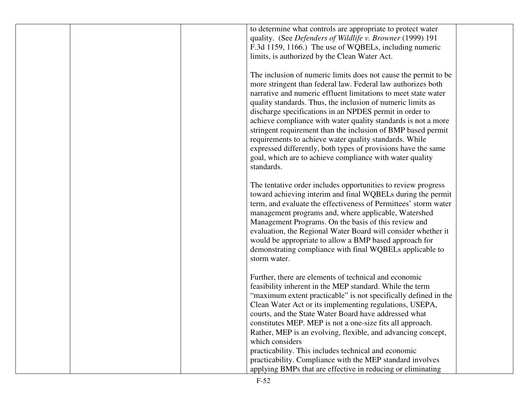| to determine what controls are appropriate to protect water<br>quality. (See Defenders of Wildlife v. Browner (1999) 191<br>F.3d 1159, 1166.) The use of WQBELs, including numeric<br>limits, is authorized by the Clean Water Act.                                                                                                                                                                                                                                                                                                                                                                                                                               |
|-------------------------------------------------------------------------------------------------------------------------------------------------------------------------------------------------------------------------------------------------------------------------------------------------------------------------------------------------------------------------------------------------------------------------------------------------------------------------------------------------------------------------------------------------------------------------------------------------------------------------------------------------------------------|
| The inclusion of numeric limits does not cause the permit to be<br>more stringent than federal law. Federal law authorizes both<br>narrative and numeric effluent limitations to meet state water<br>quality standards. Thus, the inclusion of numeric limits as<br>discharge specifications in an NPDES permit in order to<br>achieve compliance with water quality standards is not a more<br>stringent requirement than the inclusion of BMP based permit<br>requirements to achieve water quality standards. While<br>expressed differently, both types of provisions have the same<br>goal, which are to achieve compliance with water quality<br>standards. |
| The tentative order includes opportunities to review progress<br>toward achieving interim and final WQBELs during the permit<br>term, and evaluate the effectiveness of Permittees' storm water<br>management programs and, where applicable, Watershed<br>Management Programs. On the basis of this review and<br>evaluation, the Regional Water Board will consider whether it<br>would be appropriate to allow a BMP based approach for<br>demonstrating compliance with final WQBELs applicable to<br>storm water.                                                                                                                                            |
| Further, there are elements of technical and economic<br>feasibility inherent in the MEP standard. While the term<br>"maximum extent practicable" is not specifically defined in the<br>Clean Water Act or its implementing regulations, USEPA,<br>courts, and the State Water Board have addressed what<br>constitutes MEP. MEP is not a one-size fits all approach.<br>Rather, MEP is an evolving, flexible, and advancing concept,<br>which considers<br>practicability. This includes technical and economic<br>practicability. Compliance with the MEP standard involves<br>applying BMPs that are effective in reducing or eliminating                      |
|                                                                                                                                                                                                                                                                                                                                                                                                                                                                                                                                                                                                                                                                   |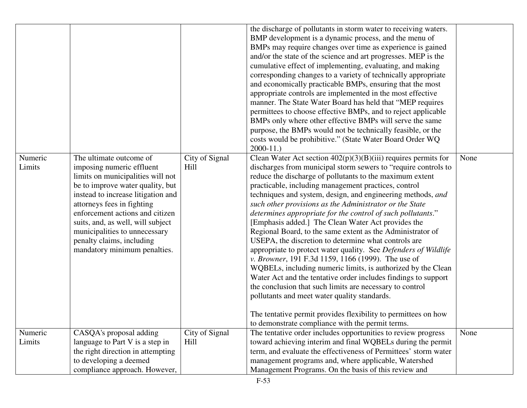| Numeric<br>Limits | The ultimate outcome of<br>imposing numeric effluent<br>limits on municipalities will not<br>be to improve water quality, but<br>instead to increase litigation and<br>attorneys fees in fighting<br>enforcement actions and citizen<br>suits, and, as well, will subject<br>municipalities to unnecessary<br>penalty claims, including<br>mandatory minimum penalties. | City of Signal<br>Hill | the discharge of pollutants in storm water to receiving waters.<br>BMP development is a dynamic process, and the menu of<br>BMPs may require changes over time as experience is gained<br>and/or the state of the science and art progresses. MEP is the<br>cumulative effect of implementing, evaluating, and making<br>corresponding changes to a variety of technically appropriate<br>and economically practicable BMPs, ensuring that the most<br>appropriate controls are implemented in the most effective<br>manner. The State Water Board has held that "MEP requires<br>permittees to choose effective BMPs, and to reject applicable<br>BMPs only where other effective BMPs will serve the same<br>purpose, the BMPs would not be technically feasible, or the<br>costs would be prohibitive." (State Water Board Order WQ<br>$2000-11.$<br>Clean Water Act section $402(p)(3)(B)(iii)$ requires permits for<br>discharges from municipal storm sewers to "require controls to<br>reduce the discharge of pollutants to the maximum extent<br>practicable, including management practices, control<br>techniques and system, design, and engineering methods, and<br>such other provisions as the Administrator or the State<br>determines appropriate for the control of such pollutants."<br>[Emphasis added.] The Clean Water Act provides the<br>Regional Board, to the same extent as the Administrator of<br>USEPA, the discretion to determine what controls are<br>appropriate to protect water quality. See Defenders of Wildlife<br>v. Browner, 191 F.3d 1159, 1166 (1999). The use of<br>WQBELs, including numeric limits, is authorized by the Clean<br>Water Act and the tentative order includes findings to support<br>the conclusion that such limits are necessary to control<br>pollutants and meet water quality standards. | None |
|-------------------|-------------------------------------------------------------------------------------------------------------------------------------------------------------------------------------------------------------------------------------------------------------------------------------------------------------------------------------------------------------------------|------------------------|------------------------------------------------------------------------------------------------------------------------------------------------------------------------------------------------------------------------------------------------------------------------------------------------------------------------------------------------------------------------------------------------------------------------------------------------------------------------------------------------------------------------------------------------------------------------------------------------------------------------------------------------------------------------------------------------------------------------------------------------------------------------------------------------------------------------------------------------------------------------------------------------------------------------------------------------------------------------------------------------------------------------------------------------------------------------------------------------------------------------------------------------------------------------------------------------------------------------------------------------------------------------------------------------------------------------------------------------------------------------------------------------------------------------------------------------------------------------------------------------------------------------------------------------------------------------------------------------------------------------------------------------------------------------------------------------------------------------------------------------------------------------------------------------------------------------------------------------------------|------|
|                   |                                                                                                                                                                                                                                                                                                                                                                         |                        | The tentative permit provides flexibility to permittees on how<br>to demonstrate compliance with the permit terms.                                                                                                                                                                                                                                                                                                                                                                                                                                                                                                                                                                                                                                                                                                                                                                                                                                                                                                                                                                                                                                                                                                                                                                                                                                                                                                                                                                                                                                                                                                                                                                                                                                                                                                                                         |      |
| Numeric<br>Limits | CASQA's proposal adding<br>language to Part V is a step in<br>the right direction in attempting<br>to developing a deemed<br>compliance approach. However,                                                                                                                                                                                                              | City of Signal<br>Hill | The tentative order includes opportunities to review progress<br>toward achieving interim and final WQBELs during the permit<br>term, and evaluate the effectiveness of Permittees' storm water<br>management programs and, where applicable, Watershed<br>Management Programs. On the basis of this review and                                                                                                                                                                                                                                                                                                                                                                                                                                                                                                                                                                                                                                                                                                                                                                                                                                                                                                                                                                                                                                                                                                                                                                                                                                                                                                                                                                                                                                                                                                                                            | None |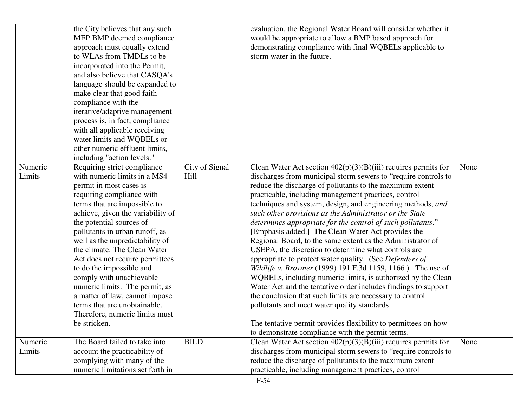|                   | the City believes that any such<br>MEP BMP deemed compliance<br>approach must equally extend<br>to WLAs from TMDLs to be<br>incorporated into the Permit,<br>and also believe that CASQA's<br>language should be expanded to<br>make clear that good faith<br>compliance with the<br>iterative/adaptive management<br>process is, in fact, compliance<br>with all applicable receiving<br>water limits and WQBELs or<br>other numeric effluent limits,<br>including "action levels."                                                                                       |                        | evaluation, the Regional Water Board will consider whether it<br>would be appropriate to allow a BMP based approach for<br>demonstrating compliance with final WQBELs applicable to<br>storm water in the future.                                                                                                                                                                                                                                                                                                                                                                                                                                                                                                                                                                                                                                                                                                                                                                                                                                                                                                         |      |
|-------------------|----------------------------------------------------------------------------------------------------------------------------------------------------------------------------------------------------------------------------------------------------------------------------------------------------------------------------------------------------------------------------------------------------------------------------------------------------------------------------------------------------------------------------------------------------------------------------|------------------------|---------------------------------------------------------------------------------------------------------------------------------------------------------------------------------------------------------------------------------------------------------------------------------------------------------------------------------------------------------------------------------------------------------------------------------------------------------------------------------------------------------------------------------------------------------------------------------------------------------------------------------------------------------------------------------------------------------------------------------------------------------------------------------------------------------------------------------------------------------------------------------------------------------------------------------------------------------------------------------------------------------------------------------------------------------------------------------------------------------------------------|------|
| Numeric<br>Limits | Requiring strict compliance<br>with numeric limits in a MS4<br>permit in most cases is<br>requiring compliance with<br>terms that are impossible to<br>achieve, given the variability of<br>the potential sources of<br>pollutants in urban runoff, as<br>well as the unpredictability of<br>the climate. The Clean Water<br>Act does not require permittees<br>to do the impossible and<br>comply with unachievable<br>numeric limits. The permit, as<br>a matter of law, cannot impose<br>terms that are unobtainable.<br>Therefore, numeric limits must<br>be stricken. | City of Signal<br>Hill | Clean Water Act section $402(p)(3)(B)(iii)$ requires permits for<br>discharges from municipal storm sewers to "require controls to<br>reduce the discharge of pollutants to the maximum extent<br>practicable, including management practices, control<br>techniques and system, design, and engineering methods, and<br>such other provisions as the Administrator or the State<br>determines appropriate for the control of such pollutants."<br>[Emphasis added.] The Clean Water Act provides the<br>Regional Board, to the same extent as the Administrator of<br>USEPA, the discretion to determine what controls are<br>appropriate to protect water quality. (See Defenders of<br>Wildlife v. Browner (1999) 191 F.3d 1159, 1166). The use of<br>WQBELs, including numeric limits, is authorized by the Clean<br>Water Act and the tentative order includes findings to support<br>the conclusion that such limits are necessary to control<br>pollutants and meet water quality standards.<br>The tentative permit provides flexibility to permittees on how<br>to demonstrate compliance with the permit terms. | None |
| Numeric<br>Limits | The Board failed to take into<br>account the practicability of<br>complying with many of the<br>numeric limitations set forth in                                                                                                                                                                                                                                                                                                                                                                                                                                           | <b>BILD</b>            | Clean Water Act section $402(p)(3)(B)(iii)$ requires permits for<br>discharges from municipal storm sewers to "require controls to<br>reduce the discharge of pollutants to the maximum extent<br>practicable, including management practices, control                                                                                                                                                                                                                                                                                                                                                                                                                                                                                                                                                                                                                                                                                                                                                                                                                                                                    | None |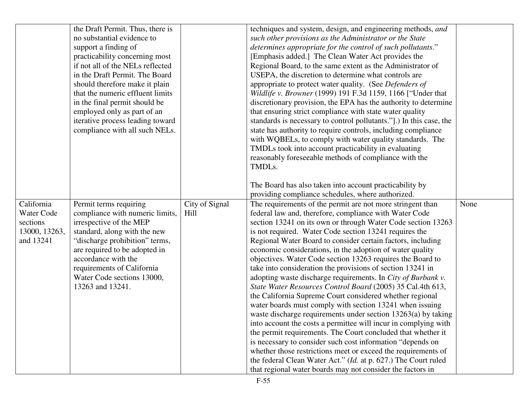|               | the Draft Permit. Thus, there is |                | techniques and system, design, and engineering methods, and                                                                  |      |
|---------------|----------------------------------|----------------|------------------------------------------------------------------------------------------------------------------------------|------|
|               | no substantial evidence to       |                | such other provisions as the Administrator or the State                                                                      |      |
|               | support a finding of             |                | determines appropriate for the control of such pollutants."                                                                  |      |
|               | practicability concerning most   |                | [Emphasis added.] The Clean Water Act provides the                                                                           |      |
|               | if not all of the NELs reflected |                | Regional Board, to the same extent as the Administrator of                                                                   |      |
|               | in the Draft Permit. The Board   |                | USEPA, the discretion to determine what controls are                                                                         |      |
|               | should therefore make it plain   |                | appropriate to protect water quality. (See Defenders of                                                                      |      |
|               | that the numeric effluent limits |                | Wildlife v. Browner (1999) 191 F.3d 1159, 1166 ["Under that                                                                  |      |
|               | in the final permit should be    |                | discretionary provision, the EPA has the authority to determine                                                              |      |
|               | employed only as part of an      |                | that ensuring strict compliance with state water quality                                                                     |      |
|               | iterative process leading toward |                | standards is necessary to control pollutants."].) In this case, the                                                          |      |
|               | compliance with all such NELs.   |                | state has authority to require controls, including compliance                                                                |      |
|               |                                  |                | with WQBELs, to comply with water quality standards. The                                                                     |      |
|               |                                  |                | TMDLs took into account practicability in evaluating                                                                         |      |
|               |                                  |                | reasonably foreseeable methods of compliance with the                                                                        |      |
|               |                                  |                | TMDLs.                                                                                                                       |      |
|               |                                  |                |                                                                                                                              |      |
|               |                                  |                | The Board has also taken into account practicability by                                                                      |      |
|               |                                  |                | providing compliance schedules, where authorized.                                                                            |      |
| California    | Permit terms requiring           | City of Signal | The requirements of the permit are not more stringent than                                                                   | None |
| Water Code    | compliance with numeric limits,  | Hill           | federal law and, therefore, compliance with Water Code                                                                       |      |
| sections      | irrespective of the MEP          |                | section 13241 on its own or through Water Code section 13263                                                                 |      |
| 13000, 13263, | standard, along with the new     |                | is not required. Water Code section 13241 requires the                                                                       |      |
| and 13241     | "discharge prohibition" terms,   |                | Regional Water Board to consider certain factors, including                                                                  |      |
|               | are required to be adopted in    |                | economic considerations, in the adoption of water quality                                                                    |      |
|               | accordance with the              |                | objectives. Water Code section 13263 requires the Board to                                                                   |      |
|               | requirements of California       |                | take into consideration the provisions of section 13241 in                                                                   |      |
|               | Water Code sections 13000,       |                | adopting waste discharge requirements. In City of Burbank v.                                                                 |      |
|               | 13263 and 13241.                 |                | State Water Resources Control Board (2005) 35 Cal.4th 613,                                                                   |      |
|               |                                  |                | the California Supreme Court considered whether regional                                                                     |      |
|               |                                  |                | water boards must comply with section 13241 when issuing                                                                     |      |
|               |                                  |                | waste discharge requirements under section $13263(a)$ by taking                                                              |      |
|               |                                  |                | into account the costs a permittee will incur in complying with                                                              |      |
|               |                                  |                |                                                                                                                              |      |
|               |                                  |                | the permit requirements. The Court concluded that whether it                                                                 |      |
|               |                                  |                | is necessary to consider such cost information "depends on                                                                   |      |
|               |                                  |                | whether those restrictions meet or exceed the requirements of                                                                |      |
|               |                                  |                | the federal Clean Water Act." (Id. at p. 627.) The Court ruled<br>that regional water boards may not consider the factors in |      |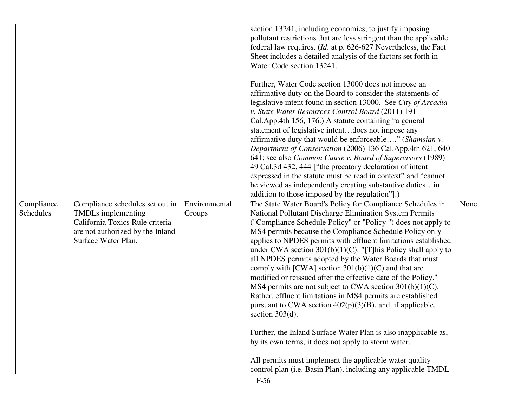| Compliance<br>Schedules | Compliance schedules set out in<br><b>TMDLs</b> implementing<br>California Toxics Rule criteria<br>are not authorized by the Inland<br>Surface Water Plan. | Environmental<br>Groups | section 13241, including economics, to justify imposing<br>pollutant restrictions that are less stringent than the applicable<br>federal law requires. ( <i>Id.</i> at p. 626-627 Nevertheless, the Fact<br>Sheet includes a detailed analysis of the factors set forth in<br>Water Code section 13241.<br>Further, Water Code section 13000 does not impose an<br>affirmative duty on the Board to consider the statements of<br>legislative intent found in section 13000. See City of Arcadia<br>v. State Water Resources Control Board (2011) 191<br>Cal.App.4th 156, 176.) A statute containing "a general<br>statement of legislative intentdoes not impose any<br>affirmative duty that would be enforceable" (Shamsian v.<br>Department of Conservation (2006) 136 Cal.App.4th 621, 640-<br>641; see also Common Cause v. Board of Supervisors (1989)<br>49 Cal.3d 432, 444 ["the precatory declaration of intent<br>expressed in the statute must be read in context" and "cannot"<br>be viewed as independently creating substantive dutiesin<br>addition to those imposed by the regulation"].)<br>The State Water Board's Policy for Compliance Schedules in<br>National Pollutant Discharge Elimination System Permits<br>("Compliance Schedule Policy" or "Policy") does not apply to<br>MS4 permits because the Compliance Schedule Policy only<br>applies to NPDES permits with effluent limitations established<br>under CWA section $301(b)(1)(C)$ : "[T]his Policy shall apply to<br>all NPDES permits adopted by the Water Boards that must<br>comply with [CWA] section $301(b)(1)(C)$ and that are<br>modified or reissued after the effective date of the Policy."<br>MS4 permits are not subject to CWA section $301(b)(1)(C)$ .<br>Rather, effluent limitations in MS4 permits are established<br>pursuant to CWA section $402(p)(3)(B)$ , and, if applicable,<br>section $303(d)$ .<br>Further, the Inland Surface Water Plan is also inapplicable as,<br>by its own terms, it does not apply to storm water.<br>All permits must implement the applicable water quality<br>control plan (i.e. Basin Plan), including any applicable TMDL | None |
|-------------------------|------------------------------------------------------------------------------------------------------------------------------------------------------------|-------------------------|---------------------------------------------------------------------------------------------------------------------------------------------------------------------------------------------------------------------------------------------------------------------------------------------------------------------------------------------------------------------------------------------------------------------------------------------------------------------------------------------------------------------------------------------------------------------------------------------------------------------------------------------------------------------------------------------------------------------------------------------------------------------------------------------------------------------------------------------------------------------------------------------------------------------------------------------------------------------------------------------------------------------------------------------------------------------------------------------------------------------------------------------------------------------------------------------------------------------------------------------------------------------------------------------------------------------------------------------------------------------------------------------------------------------------------------------------------------------------------------------------------------------------------------------------------------------------------------------------------------------------------------------------------------------------------------------------------------------------------------------------------------------------------------------------------------------------------------------------------------------------------------------------------------------------------------------------------------------------------------------------------------------------------------------------------------------------------------------------------------------------------------------------------------------|------|
|-------------------------|------------------------------------------------------------------------------------------------------------------------------------------------------------|-------------------------|---------------------------------------------------------------------------------------------------------------------------------------------------------------------------------------------------------------------------------------------------------------------------------------------------------------------------------------------------------------------------------------------------------------------------------------------------------------------------------------------------------------------------------------------------------------------------------------------------------------------------------------------------------------------------------------------------------------------------------------------------------------------------------------------------------------------------------------------------------------------------------------------------------------------------------------------------------------------------------------------------------------------------------------------------------------------------------------------------------------------------------------------------------------------------------------------------------------------------------------------------------------------------------------------------------------------------------------------------------------------------------------------------------------------------------------------------------------------------------------------------------------------------------------------------------------------------------------------------------------------------------------------------------------------------------------------------------------------------------------------------------------------------------------------------------------------------------------------------------------------------------------------------------------------------------------------------------------------------------------------------------------------------------------------------------------------------------------------------------------------------------------------------------------------|------|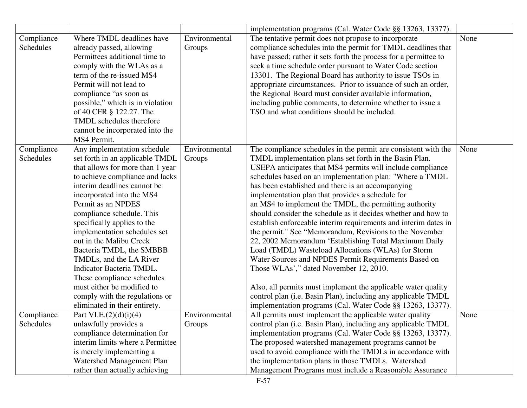|                  |                                  |               | implementation programs (Cal. Water Code §§ 13263, 13377).            |      |
|------------------|----------------------------------|---------------|-----------------------------------------------------------------------|------|
| Compliance       | Where TMDL deadlines have        | Environmental | The tentative permit does not propose to incorporate                  | None |
| Schedules        | already passed, allowing         | Groups        | compliance schedules into the permit for TMDL deadlines that          |      |
|                  | Permittees additional time to    |               | have passed; rather it sets forth the process for a permittee to      |      |
|                  |                                  |               |                                                                       |      |
|                  | comply with the WLAs as a        |               | seek a time schedule order pursuant to Water Code section             |      |
|                  | term of the re-issued MS4        |               | 13301. The Regional Board has authority to issue TSOs in              |      |
|                  | Permit will not lead to          |               | appropriate circumstances. Prior to issuance of such an order,        |      |
|                  | compliance "as soon as           |               | the Regional Board must consider available information,               |      |
|                  | possible," which is in violation |               | including public comments, to determine whether to issue a            |      |
|                  | of 40 CFR § 122.27. The          |               | TSO and what conditions should be included.                           |      |
|                  | TMDL schedules therefore         |               |                                                                       |      |
|                  | cannot be incorporated into the  |               |                                                                       |      |
|                  | MS4 Permit.                      |               |                                                                       |      |
| Compliance       | Any implementation schedule      | Environmental | The compliance schedules in the permit are consistent with the        | None |
| Schedules        | set forth in an applicable TMDL  | Groups        | TMDL implementation plans set forth in the Basin Plan.                |      |
|                  | that allows for more than 1 year |               | USEPA anticipates that MS4 permits will include compliance            |      |
|                  | to achieve compliance and lacks  |               | schedules based on an implementation plan: "Where a TMDL              |      |
|                  | interim deadlines cannot be      |               | has been established and there is an accompanying                     |      |
|                  | incorporated into the MS4        |               | implementation plan that provides a schedule for                      |      |
|                  | Permit as an NPDES               |               | an MS4 to implement the TMDL, the permitting authority                |      |
|                  | compliance schedule. This        |               | should consider the schedule as it decides whether and how to         |      |
|                  | specifically applies to the      |               | establish enforceable interim requirements and interim dates in       |      |
|                  | implementation schedules set     |               | the permit." See "Memorandum, Revisions to the November               |      |
|                  | out in the Malibu Creek          |               | 22, 2002 Memorandum 'Establishing Total Maximum Daily                 |      |
|                  | Bacteria TMDL, the SMBBB         |               | Load (TMDL) Wasteload Allocations (WLAs) for Storm                    |      |
|                  | TMDLs, and the LA River          |               | Water Sources and NPDES Permit Requirements Based on                  |      |
|                  | Indicator Bacteria TMDL.         |               | Those WLAs'," dated November 12, 2010.                                |      |
|                  | These compliance schedules       |               |                                                                       |      |
|                  | must either be modified to       |               | Also, all permits must implement the applicable water quality         |      |
|                  | comply with the regulations or   |               | control plan (i.e. Basin Plan), including any applicable TMDL         |      |
|                  | eliminated in their entirety.    |               | implementation programs (Cal. Water Code §§ 13263, 13377).            |      |
| Compliance       | Part VI.E. $(2)(d)(i)(4)$        | Environmental | All permits must implement the applicable water quality               | None |
| <b>Schedules</b> | unlawfully provides a            | Groups        | control plan ( <i>i.e.</i> Basin Plan), including any applicable TMDL |      |
|                  | compliance determination for     |               | implementation programs (Cal. Water Code §§ 13263, 13377).            |      |
|                  | interim limits where a Permittee |               | The proposed watershed management programs cannot be                  |      |
|                  | is merely implementing a         |               | used to avoid compliance with the TMDLs in accordance with            |      |
|                  | Watershed Management Plan        |               | the implementation plans in those TMDLs. Watershed                    |      |
|                  | rather than actually achieving   |               | Management Programs must include a Reasonable Assurance               |      |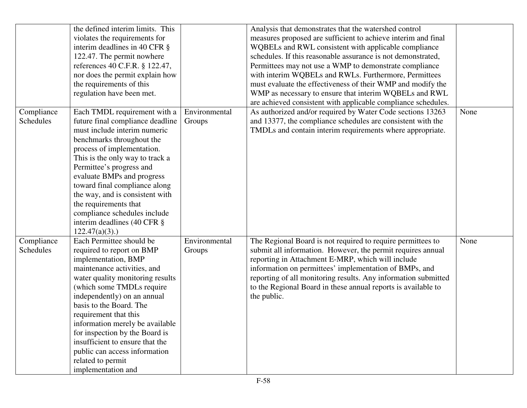|                         | the defined interim limits. This<br>violates the requirements for<br>interim deadlines in 40 CFR $\S$<br>122.47. The permit nowhere<br>references 40 C.F.R. § 122.47,<br>nor does the permit explain how                                                                                                                                                                                                                                            |                         | Analysis that demonstrates that the watershed control<br>measures proposed are sufficient to achieve interim and final<br>WQBELs and RWL consistent with applicable compliance<br>schedules. If this reasonable assurance is not demonstrated,<br>Permittees may not use a WMP to demonstrate compliance<br>with interim WQBELs and RWLs. Furthermore, Permittees                           |      |
|-------------------------|-----------------------------------------------------------------------------------------------------------------------------------------------------------------------------------------------------------------------------------------------------------------------------------------------------------------------------------------------------------------------------------------------------------------------------------------------------|-------------------------|---------------------------------------------------------------------------------------------------------------------------------------------------------------------------------------------------------------------------------------------------------------------------------------------------------------------------------------------------------------------------------------------|------|
|                         | the requirements of this<br>regulation have been met.                                                                                                                                                                                                                                                                                                                                                                                               |                         | must evaluate the effectiveness of their WMP and modify the<br>WMP as necessary to ensure that interim WQBELs and RWL<br>are achieved consistent with applicable compliance schedules.                                                                                                                                                                                                      |      |
| Compliance<br>Schedules | Each TMDL requirement with a<br>future final compliance deadline<br>must include interim numeric<br>benchmarks throughout the<br>process of implementation.<br>This is the only way to track a<br>Permittee's progress and<br>evaluate BMPs and progress<br>toward final compliance along<br>the way, and is consistent with<br>the requirements that<br>compliance schedules include<br>interim deadlines (40 CFR §<br>$122.47(a)(3)$ .)           | Environmental<br>Groups | As authorized and/or required by Water Code sections 13263<br>and 13377, the compliance schedules are consistent with the<br>TMDLs and contain interim requirements where appropriate.                                                                                                                                                                                                      | None |
| Compliance<br>Schedules | Each Permittee should be<br>required to report on BMP<br>implementation, BMP<br>maintenance activities, and<br>water quality monitoring results<br>(which some TMDLs require<br>independently) on an annual<br>basis to the Board. The<br>requirement that this<br>information merely be available<br>for inspection by the Board is<br>insufficient to ensure that the<br>public can access information<br>related to permit<br>implementation and | Environmental<br>Groups | The Regional Board is not required to require permittees to<br>submit all information. However, the permit requires annual<br>reporting in Attachment E-MRP, which will include<br>information on permittees' implementation of BMPs, and<br>reporting of all monitoring results. Any information submitted<br>to the Regional Board in these annual reports is available to<br>the public. | None |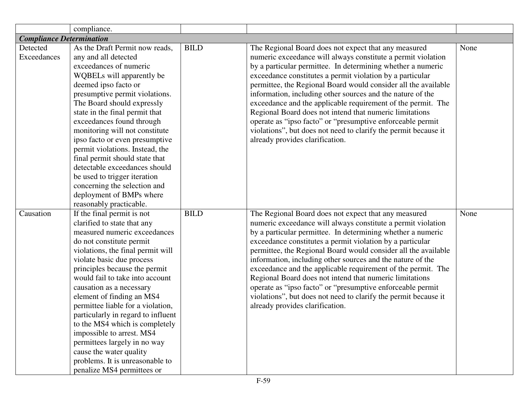|                                 | compliance.                        |             |                                                                 |      |
|---------------------------------|------------------------------------|-------------|-----------------------------------------------------------------|------|
| <b>Compliance Determination</b> |                                    |             |                                                                 |      |
| Detected                        | As the Draft Permit now reads,     | <b>BILD</b> | The Regional Board does not expect that any measured            | None |
| Exceedances                     | any and all detected               |             | numeric exceedance will always constitute a permit violation    |      |
|                                 | exceedances of numeric             |             | by a particular permittee. In determining whether a numeric     |      |
|                                 | WQBELs will apparently be          |             | exceedance constitutes a permit violation by a particular       |      |
|                                 | deemed ipso facto or               |             | permittee, the Regional Board would consider all the available  |      |
|                                 | presumptive permit violations.     |             | information, including other sources and the nature of the      |      |
|                                 | The Board should expressly         |             | exceedance and the applicable requirement of the permit. The    |      |
|                                 | state in the final permit that     |             | Regional Board does not intend that numeric limitations         |      |
|                                 | exceedances found through          |             | operate as "ipso facto" or "presumptive enforceable permit      |      |
|                                 | monitoring will not constitute     |             | violations", but does not need to clarify the permit because it |      |
|                                 | ipso facto or even presumptive     |             | already provides clarification.                                 |      |
|                                 | permit violations. Instead, the    |             |                                                                 |      |
|                                 | final permit should state that     |             |                                                                 |      |
|                                 | detectable exceedances should      |             |                                                                 |      |
|                                 | be used to trigger iteration       |             |                                                                 |      |
|                                 | concerning the selection and       |             |                                                                 |      |
|                                 | deployment of BMPs where           |             |                                                                 |      |
|                                 | reasonably practicable.            |             |                                                                 |      |
| Causation                       | If the final permit is not         | <b>BILD</b> | The Regional Board does not expect that any measured            | None |
|                                 | clarified to state that any        |             | numeric exceedance will always constitute a permit violation    |      |
|                                 | measured numeric exceedances       |             | by a particular permittee. In determining whether a numeric     |      |
|                                 | do not constitute permit           |             | exceedance constitutes a permit violation by a particular       |      |
|                                 | violations, the final permit will  |             | permittee, the Regional Board would consider all the available  |      |
|                                 | violate basic due process          |             | information, including other sources and the nature of the      |      |
|                                 | principles because the permit      |             | exceedance and the applicable requirement of the permit. The    |      |
|                                 | would fail to take into account    |             | Regional Board does not intend that numeric limitations         |      |
|                                 | causation as a necessary           |             | operate as "ipso facto" or "presumptive enforceable permit      |      |
|                                 | element of finding an MS4          |             | violations", but does not need to clarify the permit because it |      |
|                                 | permittee liable for a violation,  |             | already provides clarification.                                 |      |
|                                 | particularly in regard to influent |             |                                                                 |      |
|                                 | to the MS4 which is completely     |             |                                                                 |      |
|                                 | impossible to arrest. MS4          |             |                                                                 |      |
|                                 | permittees largely in no way       |             |                                                                 |      |
|                                 | cause the water quality            |             |                                                                 |      |
|                                 | problems. It is unreasonable to    |             |                                                                 |      |
|                                 | penalize MS4 permittees or         |             |                                                                 |      |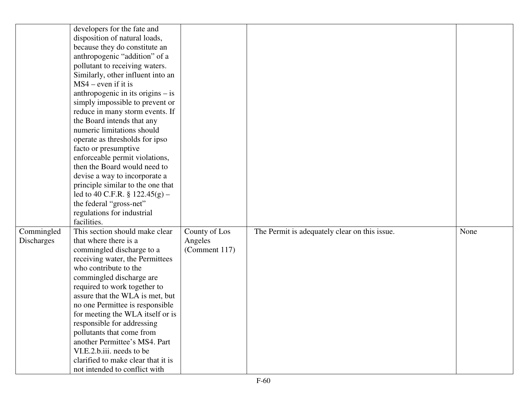| developers for the fate and                  |               |                                               |      |
|----------------------------------------------|---------------|-----------------------------------------------|------|
| disposition of natural loads,                |               |                                               |      |
| because they do constitute an                |               |                                               |      |
| anthropogenic "addition" of a                |               |                                               |      |
| pollutant to receiving waters.               |               |                                               |      |
| Similarly, other influent into an            |               |                                               |      |
| $MS4$ – even if it is                        |               |                                               |      |
| anthropogenic in its origins $-$ is          |               |                                               |      |
| simply impossible to prevent or              |               |                                               |      |
| reduce in many storm events. If              |               |                                               |      |
| the Board intends that any                   |               |                                               |      |
| numeric limitations should                   |               |                                               |      |
| operate as thresholds for ipso               |               |                                               |      |
| facto or presumptive                         |               |                                               |      |
| enforceable permit violations,               |               |                                               |      |
| then the Board would need to                 |               |                                               |      |
| devise a way to incorporate a                |               |                                               |      |
| principle similar to the one that            |               |                                               |      |
| led to 40 C.F.R. $\S 122.45(g)$ –            |               |                                               |      |
| the federal "gross-net"                      |               |                                               |      |
| regulations for industrial                   |               |                                               |      |
| facilities.                                  |               |                                               |      |
| Commingled<br>This section should make clear | County of Los | The Permit is adequately clear on this issue. | None |
| that where there is a<br>Discharges          | Angeles       |                                               |      |
| commingled discharge to a                    | (Comment 117) |                                               |      |
| receiving water, the Permittees              |               |                                               |      |
| who contribute to the                        |               |                                               |      |
| commingled discharge are                     |               |                                               |      |
| required to work together to                 |               |                                               |      |
| assure that the WLA is met, but              |               |                                               |      |
| no one Permittee is responsible              |               |                                               |      |
| for meeting the WLA itself or is             |               |                                               |      |
| responsible for addressing                   |               |                                               |      |
| pollutants that come from                    |               |                                               |      |
| another Permittee's MS4. Part                |               |                                               |      |
| VI.E.2.b.iii. needs to be                    |               |                                               |      |
| clarified to make clear that it is           |               |                                               |      |
| not intended to conflict with                |               |                                               |      |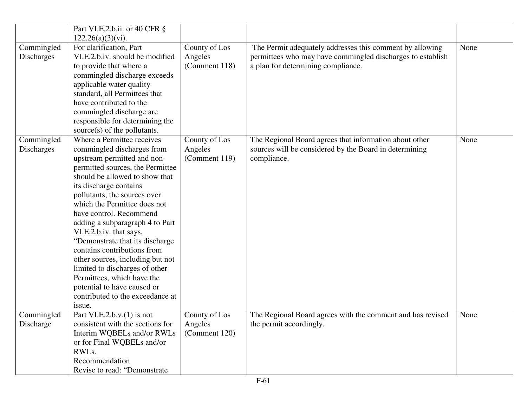|                   | Part VI.E.2.b.ii. or 40 CFR §    |               |                                                            |      |
|-------------------|----------------------------------|---------------|------------------------------------------------------------|------|
|                   | $122.26(a)(3)(vi)$ .             |               |                                                            |      |
| Commingled        | For clarification, Part          | County of Los | The Permit adequately addresses this comment by allowing   | None |
| Discharges        | VI.E.2.b.iv. should be modified  | Angeles       | permittees who may have commingled discharges to establish |      |
|                   | to provide that where a          | (Comment 118) | a plan for determining compliance.                         |      |
|                   | commingled discharge exceeds     |               |                                                            |      |
|                   | applicable water quality         |               |                                                            |      |
|                   | standard, all Permittees that    |               |                                                            |      |
|                   | have contributed to the          |               |                                                            |      |
|                   | commingled discharge are         |               |                                                            |      |
|                   | responsible for determining the  |               |                                                            |      |
|                   | source $(s)$ of the pollutants.  |               |                                                            |      |
| Commingled        | Where a Permittee receives       | County of Los | The Regional Board agrees that information about other     | None |
| <b>Discharges</b> | commingled discharges from       | Angeles       | sources will be considered by the Board in determining     |      |
|                   | upstream permitted and non-      | (Comment 119) | compliance.                                                |      |
|                   | permitted sources, the Permittee |               |                                                            |      |
|                   | should be allowed to show that   |               |                                                            |      |
|                   | its discharge contains           |               |                                                            |      |
|                   | pollutants, the sources over     |               |                                                            |      |
|                   | which the Permittee does not     |               |                                                            |      |
|                   | have control. Recommend          |               |                                                            |      |
|                   | adding a subparagraph 4 to Part  |               |                                                            |      |
|                   | VI.E.2.b.iv. that says,          |               |                                                            |      |
|                   | "Demonstrate that its discharge" |               |                                                            |      |
|                   | contains contributions from      |               |                                                            |      |
|                   | other sources, including but not |               |                                                            |      |
|                   | limited to discharges of other   |               |                                                            |      |
|                   | Permittees, which have the       |               |                                                            |      |
|                   | potential to have caused or      |               |                                                            |      |
|                   | contributed to the exceedance at |               |                                                            |      |
|                   | issue.                           |               |                                                            |      |
| Commingled        | Part VI.E.2.b.v. $(1)$ is not    | County of Los | The Regional Board agrees with the comment and has revised | None |
| Discharge         | consistent with the sections for | Angeles       | the permit accordingly.                                    |      |
|                   | Interim WQBELs and/or RWLs       | (Comment 120) |                                                            |      |
|                   | or for Final WQBELs and/or       |               |                                                            |      |
|                   | RWLs.                            |               |                                                            |      |
|                   | Recommendation                   |               |                                                            |      |
|                   | Revise to read: "Demonstrate     |               |                                                            |      |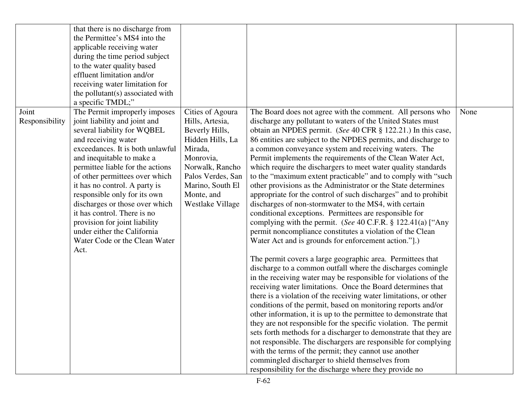| that there is no discharge from<br>the Permittee's MS4 into the<br>applicable receiving water<br>during the time period subject<br>to the water quality based<br>effluent limitation and/or<br>receiving water limitation for<br>the pollutant(s) associated with<br>a specific TMDL;"                                                                                                                                                                                                                                            |                                                                                                                                                                                                 |                                                                                                                                                                                                                                                                                                                                                                                                                                                                                                                                                                                                                                                                                                                                                                                                                                                                                                                                                                                                                                                                                                                                                                                                                                                                                                                                                                                                                                                                                                                                                                                                                                                                                                                                                                                                                       |      |
|-----------------------------------------------------------------------------------------------------------------------------------------------------------------------------------------------------------------------------------------------------------------------------------------------------------------------------------------------------------------------------------------------------------------------------------------------------------------------------------------------------------------------------------|-------------------------------------------------------------------------------------------------------------------------------------------------------------------------------------------------|-----------------------------------------------------------------------------------------------------------------------------------------------------------------------------------------------------------------------------------------------------------------------------------------------------------------------------------------------------------------------------------------------------------------------------------------------------------------------------------------------------------------------------------------------------------------------------------------------------------------------------------------------------------------------------------------------------------------------------------------------------------------------------------------------------------------------------------------------------------------------------------------------------------------------------------------------------------------------------------------------------------------------------------------------------------------------------------------------------------------------------------------------------------------------------------------------------------------------------------------------------------------------------------------------------------------------------------------------------------------------------------------------------------------------------------------------------------------------------------------------------------------------------------------------------------------------------------------------------------------------------------------------------------------------------------------------------------------------------------------------------------------------------------------------------------------------|------|
| Joint<br>The Permit improperly imposes<br>joint liability and joint and<br>Responsibility<br>several liability for WQBEL<br>and receiving water<br>exceedances. It is both unlawful<br>and inequitable to make a<br>permittee liable for the actions<br>of other permittees over which<br>it has no control. A party is<br>responsible only for its own<br>discharges or those over which<br>it has control. There is no<br>provision for joint liability<br>under either the California<br>Water Code or the Clean Water<br>Act. | Cities of Agoura<br>Hills, Artesia,<br>Beverly Hills,<br>Hidden Hills, La<br>Mirada,<br>Monrovia,<br>Norwalk, Rancho<br>Palos Verdes, San<br>Marino, South El<br>Monte, and<br>Westlake Village | The Board does not agree with the comment. All persons who<br>discharge any pollutant to waters of the United States must<br>obtain an NPDES permit. (See 40 CFR § 122.21.) In this case,<br>86 entities are subject to the NPDES permits, and discharge to<br>a common conveyance system and receiving waters. The<br>Permit implements the requirements of the Clean Water Act,<br>which require the dischargers to meet water quality standards<br>to the "maximum extent practicable" and to comply with "such"<br>other provisions as the Administrator or the State determines<br>appropriate for the control of such discharges" and to prohibit<br>discharges of non-stormwater to the MS4, with certain<br>conditional exceptions. Permittees are responsible for<br>complying with the permit. (See 40 C.F.R. § 122.41(a) ["Any<br>permit noncompliance constitutes a violation of the Clean<br>Water Act and is grounds for enforcement action."].)<br>The permit covers a large geographic area. Permittees that<br>discharge to a common outfall where the discharges comingle<br>in the receiving water may be responsible for violations of the<br>receiving water limitations. Once the Board determines that<br>there is a violation of the receiving water limitations, or other<br>conditions of the permit, based on monitoring reports and/or<br>other information, it is up to the permittee to demonstrate that<br>they are not responsible for the specific violation. The permit<br>sets forth methods for a discharger to demonstrate that they are<br>not responsible. The dischargers are responsible for complying<br>with the terms of the permit; they cannot use another<br>commingled discharger to shield themselves from<br>responsibility for the discharge where they provide no | None |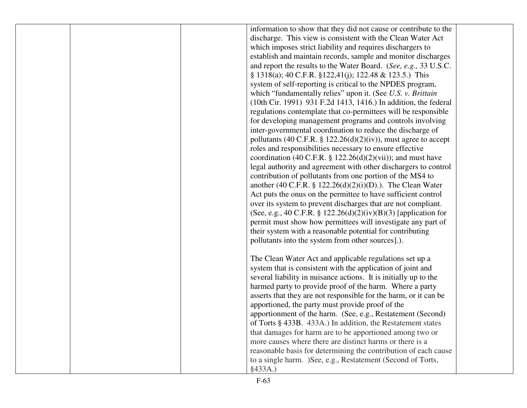|  | information to show that they did not cause or contribute to the |  |
|--|------------------------------------------------------------------|--|
|  | discharge. This view is consistent with the Clean Water Act      |  |
|  | which imposes strict liability and requires dischargers to       |  |
|  | establish and maintain records, sample and monitor discharges    |  |
|  | and report the results to the Water Board. (See, e.g., 33 U.S.C. |  |
|  | $\S$ 1318(a); 40 C.F.R. $\S$ 122,41(j); 122.48 & 123.5.) This    |  |
|  | system of self-reporting is critical to the NPDES program,       |  |
|  | which "fundamentally relies" upon it. (See U.S. v. Brittain      |  |
|  | (10th Cir. 1991) 931 F.2d 1413, 1416.) In addition, the federal  |  |
|  | regulations contemplate that co-permittees will be responsible   |  |
|  | for developing management programs and controls involving        |  |
|  | inter-governmental coordination to reduce the discharge of       |  |
|  | pollutants (40 C.F.R. § 122.26(d)(2)(iv)), must agree to accept  |  |
|  | roles and responsibilities necessary to ensure effective         |  |
|  | coordination (40 C.F.R. § 122.26(d)(2)(vii)); and must have      |  |
|  | legal authority and agreement with other dischargers to control  |  |
|  | contribution of pollutants from one portion of the MS4 to        |  |
|  | another (40 C.F.R. § 122.26(d)(2)(i)(D).). The Clean Water       |  |
|  | Act puts the onus on the permittee to have sufficient control    |  |
|  | over its system to prevent discharges that are not compliant.    |  |
|  |                                                                  |  |
|  | (See, e.g., 40 C.F.R. § 122.26(d)(2)(iv)(B)(3) [application for  |  |
|  | permit must show how permittees will investigate any part of     |  |
|  | their system with a reasonable potential for contributing        |  |
|  | pollutants into the system from other sources].).                |  |
|  |                                                                  |  |
|  | The Clean Water Act and applicable regulations set up a          |  |
|  | system that is consistent with the application of joint and      |  |
|  | several liability in nuisance actions. It is initially up to the |  |
|  | harmed party to provide proof of the harm. Where a party         |  |
|  | asserts that they are not responsible for the harm, or it can be |  |
|  | apportioned, the party must provide proof of the                 |  |
|  | apportionment of the harm. (See, e.g., Restatement (Second)      |  |
|  | of Torts § 433B. 433A.) In addition, the Restatement states      |  |
|  | that damages for harm are to be apportioned among two or         |  |
|  | more causes where there are distinct harms or there is a         |  |
|  | reasonable basis for determining the contribution of each cause  |  |
|  | to a single harm. )See, e.g., Restatement (Second of Torts,      |  |
|  | §433A.                                                           |  |
|  |                                                                  |  |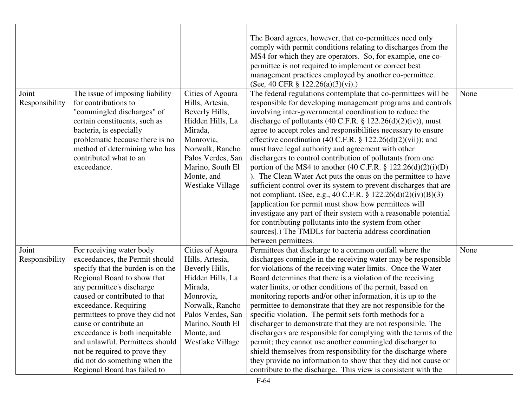|                         |                                                                                                                                                                                                                                                                                                                                                                                                                                                            |                                                                                                                                                                                                 | The Board agrees, however, that co-permittees need only<br>comply with permit conditions relating to discharges from the<br>MS4 for which they are operators. So, for example, one co-<br>permittee is not required to implement or correct best<br>management practices employed by another co-permittee.<br>(See, 40 CFR $\S$ 122.26(a)(3)(vi).)                                                                                                                                                                                                                                                                                                                                                                                                                                                                                                                                                                                                                                                                                                                                 |      |
|-------------------------|------------------------------------------------------------------------------------------------------------------------------------------------------------------------------------------------------------------------------------------------------------------------------------------------------------------------------------------------------------------------------------------------------------------------------------------------------------|-------------------------------------------------------------------------------------------------------------------------------------------------------------------------------------------------|------------------------------------------------------------------------------------------------------------------------------------------------------------------------------------------------------------------------------------------------------------------------------------------------------------------------------------------------------------------------------------------------------------------------------------------------------------------------------------------------------------------------------------------------------------------------------------------------------------------------------------------------------------------------------------------------------------------------------------------------------------------------------------------------------------------------------------------------------------------------------------------------------------------------------------------------------------------------------------------------------------------------------------------------------------------------------------|------|
| Joint<br>Responsibility | The issue of imposing liability<br>for contributions to<br>"commingled discharges" of<br>certain constituents, such as<br>bacteria, is especially<br>problematic because there is no<br>method of determining who has<br>contributed what to an<br>exceedance.                                                                                                                                                                                             | Cities of Agoura<br>Hills, Artesia,<br>Beverly Hills,<br>Hidden Hills, La<br>Mirada,<br>Monrovia,<br>Norwalk, Rancho<br>Palos Verdes, San<br>Marino, South El<br>Monte, and<br>Westlake Village | The federal regulations contemplate that co-permittees will be<br>responsible for developing management programs and controls<br>involving inter-governmental coordination to reduce the<br>discharge of pollutants (40 C.F.R. $\S$ 122.26(d)(2)(iv)), must<br>agree to accept roles and responsibilities necessary to ensure<br>effective coordination (40 C.F.R. $\S$ 122.26(d)(2)(vii)); and<br>must have legal authority and agreement with other<br>dischargers to control contribution of pollutants from one<br>portion of the MS4 to another $(40 \text{ C.F.R.} \S 122.26(d)(2)(i)(D))$<br>). The Clean Water Act puts the onus on the permittee to have<br>sufficient control over its system to prevent discharges that are<br>not compliant. (See, e.g., 40 C.F.R. § $122.26(d)(2)(iv)(B)(3)$<br>[application for permit must show how permittees will]<br>investigate any part of their system with a reasonable potential<br>for contributing pollutants into the system from other<br>sources].) The TMDLs for bacteria address coordination<br>between permittees. | None |
| Joint<br>Responsibility | For receiving water body<br>exceedances, the Permit should<br>specify that the burden is on the<br>Regional Board to show that<br>any permittee's discharge<br>caused or contributed to that<br>exceedance. Requiring<br>permittees to prove they did not<br>cause or contribute an<br>exceedance is both inequitable<br>and unlawful. Permittees should<br>not be required to prove they<br>did not do something when the<br>Regional Board has failed to | Cities of Agoura<br>Hills, Artesia,<br>Beverly Hills,<br>Hidden Hills, La<br>Mirada,<br>Monrovia,<br>Norwalk, Rancho<br>Palos Verdes, San<br>Marino, South El<br>Monte, and<br>Westlake Village | Permittees that discharge to a common outfall where the<br>discharges comingle in the receiving water may be responsible<br>for violations of the receiving water limits. Once the Water<br>Board determines that there is a violation of the receiving<br>water limits, or other conditions of the permit, based on<br>monitoring reports and/or other information, it is up to the<br>permittee to demonstrate that they are not responsible for the<br>specific violation. The permit sets forth methods for a<br>discharger to demonstrate that they are not responsible. The<br>dischargers are responsible for complying with the terms of the<br>permit; they cannot use another commingled discharger to<br>shield themselves from responsibility for the discharge where<br>they provide no information to show that they did not cause or<br>contribute to the discharge. This view is consistent with the                                                                                                                                                               | None |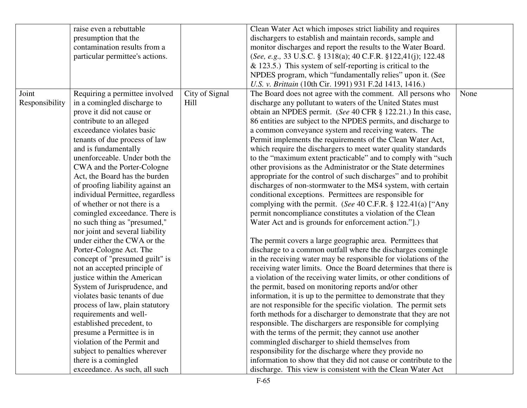|                | raise even a rebuttable          |                | Clean Water Act which imposes strict liability and requires       |      |
|----------------|----------------------------------|----------------|-------------------------------------------------------------------|------|
|                | presumption that the             |                | dischargers to establish and maintain records, sample and         |      |
|                | contamination results from a     |                | monitor discharges and report the results to the Water Board.     |      |
|                | particular permittee's actions.  |                | (See, e.g., 33 U.S.C. § 1318(a); 40 C.F.R. § 122,41(j); 122.48    |      |
|                |                                  |                | $\&$ 123.5.) This system of self-reporting is critical to the     |      |
|                |                                  |                | NPDES program, which "fundamentally relies" upon it. (See         |      |
|                |                                  |                | U.S. v. Brittain (10th Cir. 1991) 931 F.2d 1413, 1416.)           |      |
| Joint          | Requiring a permittee involved   | City of Signal | The Board does not agree with the comment. All persons who        | None |
| Responsibility | in a comingled discharge to      | Hill           | discharge any pollutant to waters of the United States must       |      |
|                | prove it did not cause or        |                | obtain an NPDES permit. (See 40 CFR § 122.21.) In this case,      |      |
|                | contribute to an alleged         |                | 86 entities are subject to the NPDES permits, and discharge to    |      |
|                | exceedance violates basic        |                | a common conveyance system and receiving waters. The              |      |
|                | tenants of due process of law    |                | Permit implements the requirements of the Clean Water Act,        |      |
|                | and is fundamentally             |                | which require the dischargers to meet water quality standards     |      |
|                | unenforceable. Under both the    |                | to the "maximum extent practicable" and to comply with "such      |      |
|                | CWA and the Porter-Cologne       |                | other provisions as the Administrator or the State determines     |      |
|                | Act, the Board has the burden    |                | appropriate for the control of such discharges" and to prohibit   |      |
|                | of proofing liability against an |                | discharges of non-stormwater to the MS4 system, with certain      |      |
|                | individual Permittee, regardless |                | conditional exceptions. Permittees are responsible for            |      |
|                | of whether or not there is a     |                | complying with the permit. (See 40 C.F.R. $\S$ 122.41(a) ["Any    |      |
|                | comingled exceedance. There is   |                | permit noncompliance constitutes a violation of the Clean         |      |
|                | no such thing as "presumed,"     |                | Water Act and is grounds for enforcement action."].)              |      |
|                | nor joint and several liability  |                |                                                                   |      |
|                | under either the CWA or the      |                | The permit covers a large geographic area. Permittees that        |      |
|                | Porter-Cologne Act. The          |                | discharge to a common outfall where the discharges comingle       |      |
|                | concept of "presumed guilt" is   |                | in the receiving water may be responsible for violations of the   |      |
|                | not an accepted principle of     |                | receiving water limits. Once the Board determines that there is   |      |
|                | justice within the American      |                | a violation of the receiving water limits, or other conditions of |      |
|                | System of Jurisprudence, and     |                | the permit, based on monitoring reports and/or other              |      |
|                | violates basic tenants of due    |                | information, it is up to the permittee to demonstrate that they   |      |
|                | process of law, plain statutory  |                | are not responsible for the specific violation. The permit sets   |      |
|                | requirements and well-           |                | forth methods for a discharger to demonstrate that they are not   |      |
|                | established precedent, to        |                | responsible. The dischargers are responsible for complying        |      |
|                | presume a Permittee is in        |                | with the terms of the permit; they cannot use another             |      |
|                | violation of the Permit and      |                | commingled discharger to shield themselves from                   |      |
|                | subject to penalties wherever    |                | responsibility for the discharge where they provide no            |      |
|                | there is a comingled             |                | information to show that they did not cause or contribute to the  |      |
|                | exceedance. As such, all such    |                | discharge. This view is consistent with the Clean Water Act       |      |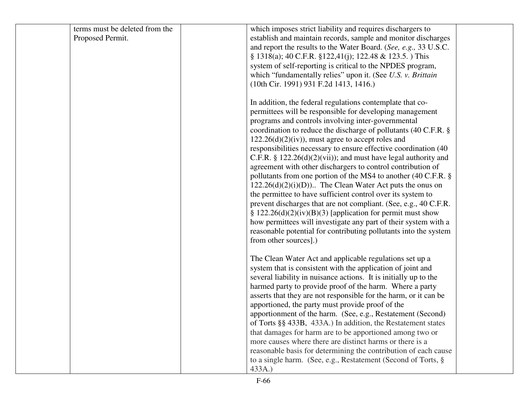| terms must be deleted from the |                       | which imposes strict liability and requires dischargers to        |  |
|--------------------------------|-----------------------|-------------------------------------------------------------------|--|
| Proposed Permit.               |                       | establish and maintain records, sample and monitor discharges     |  |
|                                |                       | and report the results to the Water Board. (See, e.g., 33 U.S.C.  |  |
|                                |                       | $\S$ 1318(a); 40 C.F.R. $\S$ 122,41(j); 122.48 & 123.5.) This     |  |
|                                |                       | system of self-reporting is critical to the NPDES program,        |  |
|                                |                       | which "fundamentally relies" upon it. (See U.S. v. Brittain       |  |
|                                |                       | (10th Cir. 1991) 931 F.2d 1413, 1416.)                            |  |
|                                |                       |                                                                   |  |
|                                |                       | In addition, the federal regulations contemplate that co-         |  |
|                                |                       | permittees will be responsible for developing management          |  |
|                                |                       | programs and controls involving inter-governmental                |  |
|                                |                       | coordination to reduce the discharge of pollutants (40 C.F.R. §   |  |
|                                |                       | $122.26(d)(2)(iv)$ , must agree to accept roles and               |  |
|                                |                       | responsibilities necessary to ensure effective coordination (40)  |  |
|                                |                       | C.F.R. $\S 122.26(d)(2)(vii)$ ; and must have legal authority and |  |
|                                |                       | agreement with other dischargers to control contribution of       |  |
|                                |                       | pollutants from one portion of the MS4 to another (40 C.F.R. §    |  |
|                                |                       | $122.26(d)(2)(i)(D)$ . The Clean Water Act puts the onus on       |  |
|                                |                       | the permittee to have sufficient control over its system to       |  |
|                                |                       | prevent discharges that are not compliant. (See, e.g., 40 C.F.R.  |  |
|                                |                       | § 122.26(d)(2)(iv)(B)(3) [application for permit must show        |  |
|                                |                       |                                                                   |  |
|                                |                       | how permittees will investigate any part of their system with a   |  |
|                                |                       | reasonable potential for contributing pollutants into the system  |  |
|                                | from other sources].) |                                                                   |  |
|                                |                       | The Clean Water Act and applicable regulations set up a           |  |
|                                |                       | system that is consistent with the application of joint and       |  |
|                                |                       | several liability in nuisance actions. It is initially up to the  |  |
|                                |                       | harmed party to provide proof of the harm. Where a party          |  |
|                                |                       |                                                                   |  |
|                                |                       | asserts that they are not responsible for the harm, or it can be  |  |
|                                |                       | apportioned, the party must provide proof of the                  |  |
|                                |                       | apportionment of the harm. (See, e.g., Restatement (Second)       |  |
|                                |                       | of Torts §§ 433B, 433A.) In addition, the Restatement states      |  |
|                                |                       | that damages for harm are to be apportioned among two or          |  |
|                                |                       | more causes where there are distinct harms or there is a          |  |
|                                |                       | reasonable basis for determining the contribution of each cause   |  |
|                                |                       | to a single harm. (See, e.g., Restatement (Second of Torts, §     |  |
|                                | 433A.)                |                                                                   |  |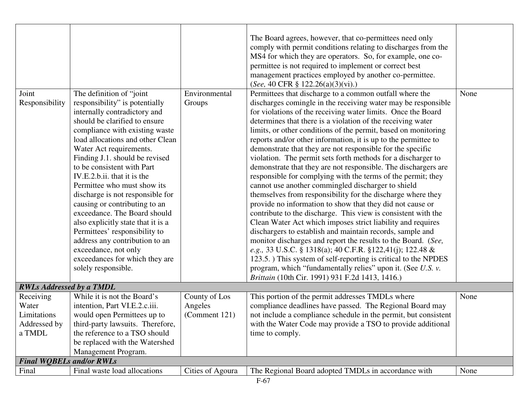|                                 |                                    |                          | The Board agrees, however, that co-permittees need only                                                      |      |
|---------------------------------|------------------------------------|--------------------------|--------------------------------------------------------------------------------------------------------------|------|
|                                 |                                    |                          | comply with permit conditions relating to discharges from the                                                |      |
|                                 |                                    |                          | MS4 for which they are operators. So, for example, one co-                                                   |      |
|                                 |                                    |                          | permittee is not required to implement or correct best                                                       |      |
|                                 |                                    |                          | management practices employed by another co-permittee.                                                       |      |
|                                 |                                    |                          | (See, 40 CFR $\S$ 122.26(a)(3)(vi).)                                                                         |      |
| Joint                           | The definition of "joint"          | Environmental            | Permittees that discharge to a common outfall where the                                                      | None |
| Responsibility                  | responsibility" is potentially     | Groups                   | discharges comingle in the receiving water may be responsible                                                |      |
|                                 | internally contradictory and       |                          | for violations of the receiving water limits. Once the Board                                                 |      |
|                                 | should be clarified to ensure      |                          | determines that there is a violation of the receiving water                                                  |      |
|                                 | compliance with existing waste     |                          | limits, or other conditions of the permit, based on monitoring                                               |      |
|                                 | load allocations and other Clean   |                          | reports and/or other information, it is up to the permittee to                                               |      |
|                                 | Water Act requirements.            |                          | demonstrate that they are not responsible for the specific                                                   |      |
|                                 | Finding J.1. should be revised     |                          | violation. The permit sets forth methods for a discharger to                                                 |      |
|                                 | to be consistent with Part         |                          | demonstrate that they are not responsible. The dischargers are                                               |      |
|                                 | IV.E.2.b.ii. that it is the        |                          | responsible for complying with the terms of the permit; they                                                 |      |
|                                 | Permittee who must show its        |                          | cannot use another commingled discharger to shield                                                           |      |
|                                 | discharge is not responsible for   |                          | themselves from responsibility for the discharge where they                                                  |      |
|                                 | causing or contributing to an      |                          | provide no information to show that they did not cause or                                                    |      |
|                                 | exceedance. The Board should       |                          | contribute to the discharge. This view is consistent with the                                                |      |
|                                 | also explicitly state that it is a |                          | Clean Water Act which imposes strict liability and requires                                                  |      |
|                                 | Permittees' responsibility to      |                          | dischargers to establish and maintain records, sample and                                                    |      |
|                                 | address any contribution to an     |                          | monitor discharges and report the results to the Board. (See,                                                |      |
|                                 | exceedance, not only               |                          | e.g., 33 U.S.C. § 1318(a); 40 C.F.R. §122,41(j); 122.48 &                                                    |      |
|                                 | exceedances for which they are     |                          | 123.5.) This system of self-reporting is critical to the NPDES                                               |      |
|                                 | solely responsible.                |                          | program, which "fundamentally relies" upon it. (See U.S. v.                                                  |      |
|                                 |                                    |                          | Brittain (10th Cir. 1991) 931 F.2d 1413, 1416.)                                                              |      |
| <b>RWLs Addressed by a TMDL</b> |                                    |                          |                                                                                                              |      |
|                                 | While it is not the Board's        |                          |                                                                                                              | None |
| Receiving<br>Water              | intention, Part VI.E.2.c.iii.      | County of Los<br>Angeles | This portion of the permit addresses TMDLs where<br>compliance deadlines have passed. The Regional Board may |      |
| Limitations                     |                                    |                          |                                                                                                              |      |
|                                 | would open Permittees up to        | (Comment 121)            | not include a compliance schedule in the permit, but consistent                                              |      |
| Addressed by<br>a TMDL          | third-party lawsuits. Therefore,   |                          | with the Water Code may provide a TSO to provide additional                                                  |      |
|                                 | the reference to a TSO should      |                          | time to comply.                                                                                              |      |
|                                 | be replaced with the Watershed     |                          |                                                                                                              |      |
|                                 | Management Program.                |                          |                                                                                                              |      |
| <b>Final WOBELs and/or RWLs</b> |                                    |                          |                                                                                                              |      |
| Final                           | Final waste load allocations       | Cities of Agoura         | The Regional Board adopted TMDLs in accordance with                                                          | None |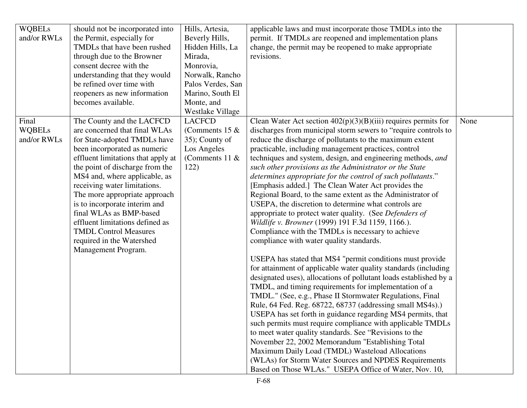| <b>WQBELs</b> | should not be incorporated into    | Hills, Artesia,         | applicable laws and must incorporate those TMDLs into the         |      |
|---------------|------------------------------------|-------------------------|-------------------------------------------------------------------|------|
| and/or RWLs   | the Permit, especially for         | Beverly Hills,          | permit. If TMDLs are reopened and implementation plans            |      |
|               | TMDLs that have been rushed        | Hidden Hills, La        | change, the permit may be reopened to make appropriate            |      |
|               | through due to the Browner         | Mirada,                 | revisions.                                                        |      |
|               | consent decree with the            | Monrovia,               |                                                                   |      |
|               | understanding that they would      | Norwalk, Rancho         |                                                                   |      |
|               | be refined over time with          | Palos Verdes, San       |                                                                   |      |
|               | reopeners as new information       | Marino, South El        |                                                                   |      |
|               | becomes available.                 | Monte, and              |                                                                   |      |
|               |                                    | <b>Westlake Village</b> |                                                                   |      |
| Final         | The County and the LACFCD          | <b>LACFCD</b>           | Clean Water Act section $402(p)(3)(B)(iii)$ requires permits for  | None |
| <b>WQBELs</b> | are concerned that final WLAs      | (Comments 15 $&$        | discharges from municipal storm sewers to "require controls to    |      |
| and/or RWLs   | for State-adopted TMDLs have       | 35); County of          | reduce the discharge of pollutants to the maximum extent          |      |
|               | been incorporated as numeric       | Los Angeles             | practicable, including management practices, control              |      |
|               | effluent limitations that apply at | (Comments 11 $\&$       | techniques and system, design, and engineering methods, and       |      |
|               | the point of discharge from the    | 122)                    | such other provisions as the Administrator or the State           |      |
|               | MS4 and, where applicable, as      |                         | determines appropriate for the control of such pollutants."       |      |
|               | receiving water limitations.       |                         | [Emphasis added.] The Clean Water Act provides the                |      |
|               | The more appropriate approach      |                         | Regional Board, to the same extent as the Administrator of        |      |
|               | is to incorporate interim and      |                         | USEPA, the discretion to determine what controls are              |      |
|               | final WLAs as BMP-based            |                         | appropriate to protect water quality. (See Defenders of           |      |
|               | effluent limitations defined as    |                         | Wildlife v. Browner (1999) 191 F.3d 1159, 1166.).                 |      |
|               | <b>TMDL Control Measures</b>       |                         | Compliance with the TMDLs is necessary to achieve                 |      |
|               | required in the Watershed          |                         | compliance with water quality standards.                          |      |
|               | Management Program.                |                         |                                                                   |      |
|               |                                    |                         | USEPA has stated that MS4 "permit conditions must provide         |      |
|               |                                    |                         | for attainment of applicable water quality standards (including   |      |
|               |                                    |                         | designated uses), allocations of pollutant loads established by a |      |
|               |                                    |                         | TMDL, and timing requirements for implementation of a             |      |
|               |                                    |                         | TMDL." (See, e.g., Phase II Stormwater Regulations, Final         |      |
|               |                                    |                         | Rule, 64 Fed. Reg. 68722, 68737 (addressing small MS4s).)         |      |
|               |                                    |                         | USEPA has set forth in guidance regarding MS4 permits, that       |      |
|               |                                    |                         | such permits must require compliance with applicable TMDLs        |      |
|               |                                    |                         | to meet water quality standards. See "Revisions to the            |      |
|               |                                    |                         | November 22, 2002 Memorandum "Establishing Total                  |      |
|               |                                    |                         | Maximum Daily Load (TMDL) Wasteload Allocations                   |      |
|               |                                    |                         | (WLAs) for Storm Water Sources and NPDES Requirements             |      |
|               |                                    |                         | Based on Those WLAs." USEPA Office of Water, Nov. 10,             |      |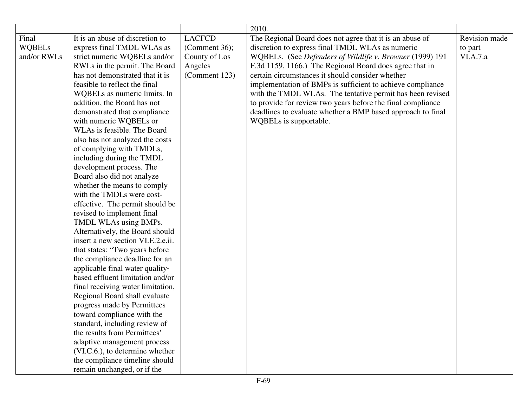|               |                                   |               | 2010.                                                       |               |
|---------------|-----------------------------------|---------------|-------------------------------------------------------------|---------------|
| Final         | It is an abuse of discretion to   | <b>LACFCD</b> | The Regional Board does not agree that it is an abuse of    | Revision made |
| <b>WQBELs</b> | express final TMDL WLAs as        | (Comment 36); | discretion to express final TMDL WLAs as numeric            | to part       |
| and/or RWLs   | strict numeric WQBELs and/or      | County of Los | WQBELs. (See Defenders of Wildlife v. Browner (1999) 191    | VI.A.7.a      |
|               | RWLs in the permit. The Board     | Angeles       | F.3d 1159, 1166.) The Regional Board does agree that in     |               |
|               | has not demonstrated that it is   | (Comment 123) | certain circumstances it should consider whether            |               |
|               | feasible to reflect the final     |               | implementation of BMPs is sufficient to achieve compliance  |               |
|               | WQBELs as numeric limits. In      |               | with the TMDL WLAs. The tentative permit has been revised   |               |
|               | addition, the Board has not       |               | to provide for review two years before the final compliance |               |
|               | demonstrated that compliance      |               | deadlines to evaluate whether a BMP based approach to final |               |
|               | with numeric WQBELs or            |               | WQBELs is supportable.                                      |               |
|               | WLAs is feasible. The Board       |               |                                                             |               |
|               | also has not analyzed the costs   |               |                                                             |               |
|               | of complying with TMDLs,          |               |                                                             |               |
|               | including during the TMDL         |               |                                                             |               |
|               | development process. The          |               |                                                             |               |
|               | Board also did not analyze        |               |                                                             |               |
|               | whether the means to comply       |               |                                                             |               |
|               | with the TMDLs were cost-         |               |                                                             |               |
|               | effective. The permit should be   |               |                                                             |               |
|               | revised to implement final        |               |                                                             |               |
|               | TMDL WLAs using BMPs.             |               |                                                             |               |
|               | Alternatively, the Board should   |               |                                                             |               |
|               | insert a new section VI.E.2.e.ii. |               |                                                             |               |
|               | that states: "Two years before    |               |                                                             |               |
|               | the compliance deadline for an    |               |                                                             |               |
|               | applicable final water quality-   |               |                                                             |               |
|               | based effluent limitation and/or  |               |                                                             |               |
|               | final receiving water limitation, |               |                                                             |               |
|               | Regional Board shall evaluate     |               |                                                             |               |
|               | progress made by Permittees       |               |                                                             |               |
|               | toward compliance with the        |               |                                                             |               |
|               | standard, including review of     |               |                                                             |               |
|               | the results from Permittees'      |               |                                                             |               |
|               | adaptive management process       |               |                                                             |               |
|               | (VI.C.6.), to determine whether   |               |                                                             |               |
|               | the compliance timeline should    |               |                                                             |               |
|               | remain unchanged, or if the       |               |                                                             |               |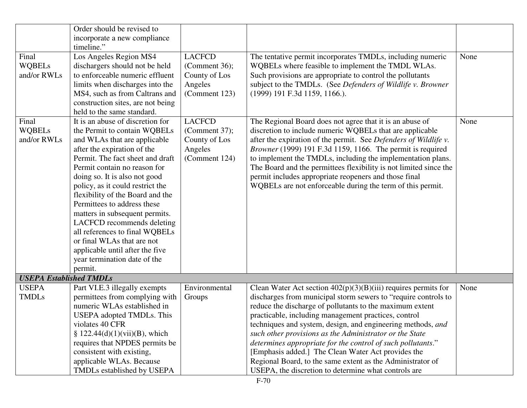|                                                                | Order should be revised to                                                                                                                                                                                                                                                                                                                                                                                                                                                                     |                         |                                                                                                                                                                                                                                                                                                                                                                                                                                                                                                       |      |
|----------------------------------------------------------------|------------------------------------------------------------------------------------------------------------------------------------------------------------------------------------------------------------------------------------------------------------------------------------------------------------------------------------------------------------------------------------------------------------------------------------------------------------------------------------------------|-------------------------|-------------------------------------------------------------------------------------------------------------------------------------------------------------------------------------------------------------------------------------------------------------------------------------------------------------------------------------------------------------------------------------------------------------------------------------------------------------------------------------------------------|------|
|                                                                | incorporate a new compliance                                                                                                                                                                                                                                                                                                                                                                                                                                                                   |                         |                                                                                                                                                                                                                                                                                                                                                                                                                                                                                                       |      |
|                                                                | timeline."                                                                                                                                                                                                                                                                                                                                                                                                                                                                                     |                         |                                                                                                                                                                                                                                                                                                                                                                                                                                                                                                       |      |
| Final                                                          | Los Angeles Region MS4                                                                                                                                                                                                                                                                                                                                                                                                                                                                         | <b>LACFCD</b>           | The tentative permit incorporates TMDLs, including numeric                                                                                                                                                                                                                                                                                                                                                                                                                                            | None |
| <b>WQBELs</b>                                                  | dischargers should not be held                                                                                                                                                                                                                                                                                                                                                                                                                                                                 | (Comment $36$ );        | WQBELs where feasible to implement the TMDL WLAs.                                                                                                                                                                                                                                                                                                                                                                                                                                                     |      |
| and/or RWLs                                                    | to enforceable numeric effluent                                                                                                                                                                                                                                                                                                                                                                                                                                                                | County of Los           | Such provisions are appropriate to control the pollutants                                                                                                                                                                                                                                                                                                                                                                                                                                             |      |
|                                                                | limits when discharges into the                                                                                                                                                                                                                                                                                                                                                                                                                                                                | Angeles                 | subject to the TMDLs. (See Defenders of Wildlife v. Browner                                                                                                                                                                                                                                                                                                                                                                                                                                           |      |
|                                                                | MS4, such as from Caltrans and                                                                                                                                                                                                                                                                                                                                                                                                                                                                 | (Comment 123)           | (1999) 191 F.3d 1159, 1166.).                                                                                                                                                                                                                                                                                                                                                                                                                                                                         |      |
|                                                                | construction sites, are not being                                                                                                                                                                                                                                                                                                                                                                                                                                                              |                         |                                                                                                                                                                                                                                                                                                                                                                                                                                                                                                       |      |
|                                                                | held to the same standard.                                                                                                                                                                                                                                                                                                                                                                                                                                                                     |                         |                                                                                                                                                                                                                                                                                                                                                                                                                                                                                                       |      |
| Final                                                          | It is an abuse of discretion for                                                                                                                                                                                                                                                                                                                                                                                                                                                               | <b>LACFCD</b>           | The Regional Board does not agree that it is an abuse of                                                                                                                                                                                                                                                                                                                                                                                                                                              | None |
| <b>WQBELs</b>                                                  | the Permit to contain WQBELs                                                                                                                                                                                                                                                                                                                                                                                                                                                                   | (Comment 37);           | discretion to include numeric WQBELs that are applicable                                                                                                                                                                                                                                                                                                                                                                                                                                              |      |
| and/or RWLs                                                    |                                                                                                                                                                                                                                                                                                                                                                                                                                                                                                |                         |                                                                                                                                                                                                                                                                                                                                                                                                                                                                                                       |      |
|                                                                | and WLAs that are applicable                                                                                                                                                                                                                                                                                                                                                                                                                                                                   | County of Los           | after the expiration of the permit. See Defenders of Wildlife v.                                                                                                                                                                                                                                                                                                                                                                                                                                      |      |
|                                                                | after the expiration of the<br>Permit. The fact sheet and draft                                                                                                                                                                                                                                                                                                                                                                                                                                | Angeles                 | Browner (1999) 191 F.3d 1159, 1166. The permit is required<br>to implement the TMDLs, including the implementation plans.                                                                                                                                                                                                                                                                                                                                                                             |      |
|                                                                | Permit contain no reason for                                                                                                                                                                                                                                                                                                                                                                                                                                                                   | (Comment 124)           | The Board and the permittees flexibility is not limited since the                                                                                                                                                                                                                                                                                                                                                                                                                                     |      |
|                                                                | doing so. It is also not good                                                                                                                                                                                                                                                                                                                                                                                                                                                                  |                         | permit includes appropriate reopeners and those final                                                                                                                                                                                                                                                                                                                                                                                                                                                 |      |
|                                                                | policy, as it could restrict the                                                                                                                                                                                                                                                                                                                                                                                                                                                               |                         | WQBELs are not enforceable during the term of this permit.                                                                                                                                                                                                                                                                                                                                                                                                                                            |      |
|                                                                | flexibility of the Board and the                                                                                                                                                                                                                                                                                                                                                                                                                                                               |                         |                                                                                                                                                                                                                                                                                                                                                                                                                                                                                                       |      |
|                                                                |                                                                                                                                                                                                                                                                                                                                                                                                                                                                                                |                         |                                                                                                                                                                                                                                                                                                                                                                                                                                                                                                       |      |
|                                                                |                                                                                                                                                                                                                                                                                                                                                                                                                                                                                                |                         |                                                                                                                                                                                                                                                                                                                                                                                                                                                                                                       |      |
|                                                                |                                                                                                                                                                                                                                                                                                                                                                                                                                                                                                |                         |                                                                                                                                                                                                                                                                                                                                                                                                                                                                                                       |      |
|                                                                |                                                                                                                                                                                                                                                                                                                                                                                                                                                                                                |                         |                                                                                                                                                                                                                                                                                                                                                                                                                                                                                                       |      |
|                                                                |                                                                                                                                                                                                                                                                                                                                                                                                                                                                                                |                         |                                                                                                                                                                                                                                                                                                                                                                                                                                                                                                       |      |
|                                                                |                                                                                                                                                                                                                                                                                                                                                                                                                                                                                                |                         |                                                                                                                                                                                                                                                                                                                                                                                                                                                                                                       |      |
|                                                                |                                                                                                                                                                                                                                                                                                                                                                                                                                                                                                |                         |                                                                                                                                                                                                                                                                                                                                                                                                                                                                                                       |      |
|                                                                |                                                                                                                                                                                                                                                                                                                                                                                                                                                                                                |                         |                                                                                                                                                                                                                                                                                                                                                                                                                                                                                                       |      |
|                                                                |                                                                                                                                                                                                                                                                                                                                                                                                                                                                                                |                         |                                                                                                                                                                                                                                                                                                                                                                                                                                                                                                       |      |
|                                                                |                                                                                                                                                                                                                                                                                                                                                                                                                                                                                                |                         |                                                                                                                                                                                                                                                                                                                                                                                                                                                                                                       |      |
|                                                                |                                                                                                                                                                                                                                                                                                                                                                                                                                                                                                |                         |                                                                                                                                                                                                                                                                                                                                                                                                                                                                                                       |      |
|                                                                |                                                                                                                                                                                                                                                                                                                                                                                                                                                                                                |                         |                                                                                                                                                                                                                                                                                                                                                                                                                                                                                                       |      |
|                                                                |                                                                                                                                                                                                                                                                                                                                                                                                                                                                                                |                         |                                                                                                                                                                                                                                                                                                                                                                                                                                                                                                       |      |
|                                                                |                                                                                                                                                                                                                                                                                                                                                                                                                                                                                                |                         |                                                                                                                                                                                                                                                                                                                                                                                                                                                                                                       |      |
|                                                                |                                                                                                                                                                                                                                                                                                                                                                                                                                                                                                |                         |                                                                                                                                                                                                                                                                                                                                                                                                                                                                                                       |      |
|                                                                |                                                                                                                                                                                                                                                                                                                                                                                                                                                                                                |                         |                                                                                                                                                                                                                                                                                                                                                                                                                                                                                                       |      |
|                                                                |                                                                                                                                                                                                                                                                                                                                                                                                                                                                                                |                         |                                                                                                                                                                                                                                                                                                                                                                                                                                                                                                       |      |
|                                                                | applicable WLAs. Because                                                                                                                                                                                                                                                                                                                                                                                                                                                                       |                         | Regional Board, to the same extent as the Administrator of                                                                                                                                                                                                                                                                                                                                                                                                                                            |      |
|                                                                |                                                                                                                                                                                                                                                                                                                                                                                                                                                                                                |                         |                                                                                                                                                                                                                                                                                                                                                                                                                                                                                                       |      |
| <b>USEPA Established TMDLs</b><br><b>USEPA</b><br><b>TMDLs</b> | Permittees to address these<br>matters in subsequent permits.<br>LACFCD recommends deleting<br>all references to final WQBELs<br>or final WLAs that are not<br>applicable until after the five<br>year termination date of the<br>permit.<br>Part VI.E.3 illegally exempts<br>permittees from complying with<br>numeric WLAs established in<br>USEPA adopted TMDLs. This<br>violates 40 CFR<br>$$ 122.44(d)(1)(vii)(B)$ , which<br>requires that NPDES permits be<br>consistent with existing, | Environmental<br>Groups | Clean Water Act section $402(p)(3)(B)(iii)$ requires permits for<br>discharges from municipal storm sewers to "require controls to<br>reduce the discharge of pollutants to the maximum extent<br>practicable, including management practices, control<br>techniques and system, design, and engineering methods, and<br>such other provisions as the Administrator or the State<br>determines appropriate for the control of such pollutants."<br>[Emphasis added.] The Clean Water Act provides the | None |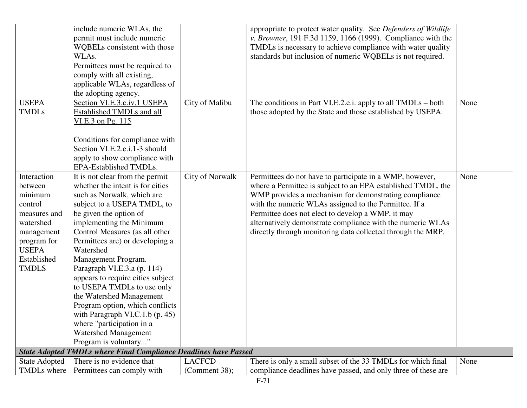|                      | include numeric WLAs, the<br>permit must include numeric                |                        | appropriate to protect water quality. See Defenders of Wildlife<br>v. Browner, 191 F.3d 1159, 1166 (1999). Compliance with the |      |
|----------------------|-------------------------------------------------------------------------|------------------------|--------------------------------------------------------------------------------------------------------------------------------|------|
|                      | WQBELs consistent with those                                            |                        | TMDLs is necessary to achieve compliance with water quality                                                                    |      |
|                      | WLAs.                                                                   |                        | standards but inclusion of numeric WQBELs is not required.                                                                     |      |
|                      | Permittees must be required to                                          |                        |                                                                                                                                |      |
|                      | comply with all existing,                                               |                        |                                                                                                                                |      |
|                      | applicable WLAs, regardless of                                          |                        |                                                                                                                                |      |
|                      | the adopting agency.                                                    |                        |                                                                                                                                |      |
| <b>USEPA</b>         | Section VI.E.3.c.iv.1 USEPA                                             | City of Malibu         | The conditions in Part VI.E.2.e.i. apply to all TMDLs – both                                                                   | None |
| <b>TMDLs</b>         | <b>Established TMDLs and all</b>                                        |                        | those adopted by the State and those established by USEPA.                                                                     |      |
|                      | VI.E.3 on Pg. 115                                                       |                        |                                                                                                                                |      |
|                      |                                                                         |                        |                                                                                                                                |      |
|                      | Conditions for compliance with                                          |                        |                                                                                                                                |      |
|                      | Section VI.E.2.e.i.1-3 should                                           |                        |                                                                                                                                |      |
|                      | apply to show compliance with                                           |                        |                                                                                                                                |      |
|                      | EPA-Established TMDLs.                                                  |                        |                                                                                                                                |      |
| Interaction          | It is not clear from the permit                                         | <b>City of Norwalk</b> | Permittees do not have to participate in a WMP, however,                                                                       | None |
| between              | whether the intent is for cities                                        |                        | where a Permittee is subject to an EPA established TMDL, the                                                                   |      |
| minimum              | such as Norwalk, which are                                              |                        | WMP provides a mechanism for demonstrating compliance                                                                          |      |
| control              | subject to a USEPA TMDL, to                                             |                        | with the numeric WLAs assigned to the Permittee. If a                                                                          |      |
| measures and         | be given the option of                                                  |                        | Permittee does not elect to develop a WMP, it may                                                                              |      |
| watershed            | implementing the Minimum                                                |                        | alternatively demonstrate compliance with the numeric WLAs                                                                     |      |
| management           | Control Measures (as all other                                          |                        | directly through monitoring data collected through the MRP.                                                                    |      |
| program for          | Permittees are) or developing a                                         |                        |                                                                                                                                |      |
| <b>USEPA</b>         | Watershed                                                               |                        |                                                                                                                                |      |
| Established          | Management Program.                                                     |                        |                                                                                                                                |      |
| <b>TMDLS</b>         | Paragraph VI.E.3.a (p. 114)                                             |                        |                                                                                                                                |      |
|                      | appears to require cities subject                                       |                        |                                                                                                                                |      |
|                      | to USEPA TMDLs to use only                                              |                        |                                                                                                                                |      |
|                      | the Watershed Management                                                |                        |                                                                                                                                |      |
|                      | Program option, which conflicts                                         |                        |                                                                                                                                |      |
|                      | with Paragraph VI.C.1.b (p. 45)                                         |                        |                                                                                                                                |      |
|                      | where "participation in a                                               |                        |                                                                                                                                |      |
|                      | <b>Watershed Management</b>                                             |                        |                                                                                                                                |      |
|                      | Program is voluntary"                                                   |                        |                                                                                                                                |      |
|                      | <b>State Adopted TMDLs where Final Compliance Deadlines have Passed</b> |                        |                                                                                                                                |      |
| <b>State Adopted</b> | There is no evidence that                                               | <b>LACFCD</b>          | There is only a small subset of the 33 TMDLs for which final                                                                   | None |
| TMDLs where          | Permittees can comply with                                              | (Comment 38);          | compliance deadlines have passed, and only three of these are                                                                  |      |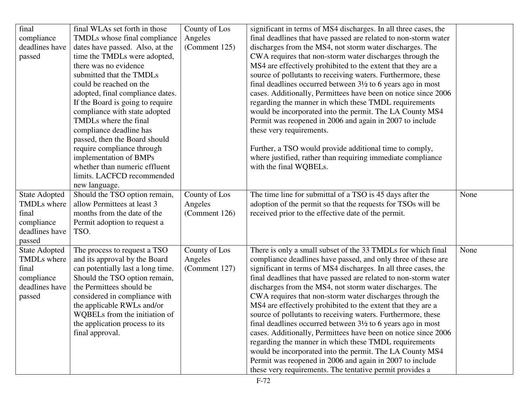| final                | final WLAs set forth in those     | County of Los | significant in terms of MS4 discharges. In all three cases, the        |      |
|----------------------|-----------------------------------|---------------|------------------------------------------------------------------------|------|
| compliance           | TMDLs whose final compliance      | Angeles       | final deadlines that have passed are related to non-storm water        |      |
| deadlines have       | dates have passed. Also, at the   | (Comment 125) | discharges from the MS4, not storm water discharges. The               |      |
| passed               | time the TMDLs were adopted,      |               | CWA requires that non-storm water discharges through the               |      |
|                      | there was no evidence             |               | MS4 are effectively prohibited to the extent that they are a           |      |
|                      | submitted that the TMDLs          |               | source of pollutants to receiving waters. Furthermore, these           |      |
|                      | could be reached on the           |               | final deadlines occurred between $3\frac{1}{2}$ to 6 years ago in most |      |
|                      | adopted, final compliance dates.  |               | cases. Additionally, Permittees have been on notice since 2006         |      |
|                      | If the Board is going to require  |               | regarding the manner in which these TMDL requirements                  |      |
|                      | compliance with state adopted     |               | would be incorporated into the permit. The LA County MS4               |      |
|                      | TMDLs where the final             |               | Permit was reopened in 2006 and again in 2007 to include               |      |
|                      | compliance deadline has           |               | these very requirements.                                               |      |
|                      | passed, then the Board should     |               |                                                                        |      |
|                      | require compliance through        |               | Further, a TSO would provide additional time to comply,                |      |
|                      | implementation of BMPs            |               | where justified, rather than requiring immediate compliance            |      |
|                      | whether than numeric effluent     |               | with the final WQBELs.                                                 |      |
|                      | limits. LACFCD recommended        |               |                                                                        |      |
|                      | new language.                     |               |                                                                        |      |
| <b>State Adopted</b> | Should the TSO option remain,     | County of Los | The time line for submittal of a TSO is 45 days after the              | None |
| <b>TMDLs</b> where   | allow Permittees at least 3       | Angeles       | adoption of the permit so that the requests for TSOs will be           |      |
| final                | months from the date of the       | (Comment 126) | received prior to the effective date of the permit.                    |      |
| compliance           | Permit adoption to request a      |               |                                                                        |      |
| deadlines have       | TSO.                              |               |                                                                        |      |
| passed               |                                   |               |                                                                        |      |
| <b>State Adopted</b> | The process to request a TSO      | County of Los | There is only a small subset of the 33 TMDLs for which final           | None |
| <b>TMDLs</b> where   | and its approval by the Board     | Angeles       | compliance deadlines have passed, and only three of these are          |      |
| final                | can potentially last a long time. | (Comment 127) | significant in terms of MS4 discharges. In all three cases, the        |      |
| compliance           | Should the TSO option remain,     |               | final deadlines that have passed are related to non-storm water        |      |
| deadlines have       | the Permittees should be          |               | discharges from the MS4, not storm water discharges. The               |      |
| passed               | considered in compliance with     |               | CWA requires that non-storm water discharges through the               |      |
|                      | the applicable RWLs and/or        |               | MS4 are effectively prohibited to the extent that they are a           |      |
|                      | WQBELs from the initiation of     |               | source of pollutants to receiving waters. Furthermore, these           |      |
|                      | the application process to its    |               | final deadlines occurred between $3\frac{1}{2}$ to 6 years ago in most |      |
|                      | final approval.                   |               | cases. Additionally, Permittees have been on notice since 2006         |      |
|                      |                                   |               | regarding the manner in which these TMDL requirements                  |      |
|                      |                                   |               | would be incorporated into the permit. The LA County MS4               |      |
|                      |                                   |               | Permit was reopened in 2006 and again in 2007 to include               |      |
|                      |                                   |               | these very requirements. The tentative permit provides a               |      |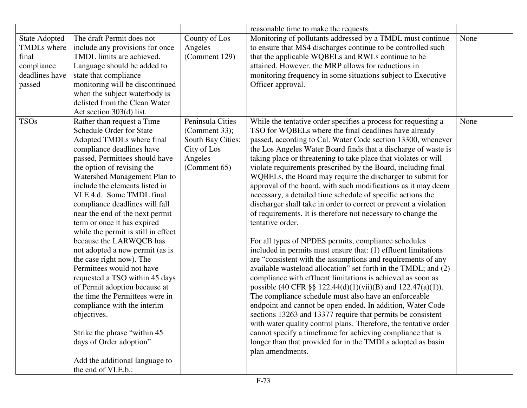|                                                                                        |                                                                                                                                                                                                                                                                                                                                                                                                                                                                                                                                                                                                                                                                                                                                                                                                                                   |                                                                                                  | reasonable time to make the requests.                                                                                                                                                                                                                                                                                                                                                                                                                                                                                                                                                                                                                                                                                                                                                                                                                                                                                                                                                                                                                                                                                                                                                                                                                                                                                                                                                                                                                                                                                                                     |      |
|----------------------------------------------------------------------------------------|-----------------------------------------------------------------------------------------------------------------------------------------------------------------------------------------------------------------------------------------------------------------------------------------------------------------------------------------------------------------------------------------------------------------------------------------------------------------------------------------------------------------------------------------------------------------------------------------------------------------------------------------------------------------------------------------------------------------------------------------------------------------------------------------------------------------------------------|--------------------------------------------------------------------------------------------------|-----------------------------------------------------------------------------------------------------------------------------------------------------------------------------------------------------------------------------------------------------------------------------------------------------------------------------------------------------------------------------------------------------------------------------------------------------------------------------------------------------------------------------------------------------------------------------------------------------------------------------------------------------------------------------------------------------------------------------------------------------------------------------------------------------------------------------------------------------------------------------------------------------------------------------------------------------------------------------------------------------------------------------------------------------------------------------------------------------------------------------------------------------------------------------------------------------------------------------------------------------------------------------------------------------------------------------------------------------------------------------------------------------------------------------------------------------------------------------------------------------------------------------------------------------------|------|
| <b>State Adopted</b><br>TMDLs where<br>final<br>compliance<br>deadlines have<br>passed | The draft Permit does not<br>include any provisions for once<br>TMDL limits are achieved.<br>Language should be added to<br>state that compliance<br>monitoring will be discontinued<br>when the subject waterbody is<br>delisted from the Clean Water<br>Act section 303(d) list.                                                                                                                                                                                                                                                                                                                                                                                                                                                                                                                                                | County of Los<br>Angeles<br>(Comment 129)                                                        | Monitoring of pollutants addressed by a TMDL must continue<br>to ensure that MS4 discharges continue to be controlled such<br>that the applicable WQBELs and RWLs continue to be<br>attained. However, the MRP allows for reductions in<br>monitoring frequency in some situations subject to Executive<br>Officer approval.                                                                                                                                                                                                                                                                                                                                                                                                                                                                                                                                                                                                                                                                                                                                                                                                                                                                                                                                                                                                                                                                                                                                                                                                                              | None |
| <b>TSOs</b>                                                                            | Rather than request a Time<br><b>Schedule Order for State</b><br>Adopted TMDLs where final<br>compliance deadlines have<br>passed, Permittees should have<br>the option of revising the<br>Watershed Management Plan to<br>include the elements listed in<br>VI.E.4.d. Some TMDL final<br>compliance deadlines will fall<br>near the end of the next permit<br>term or once it has expired<br>while the permit is still in effect<br>because the LARWQCB has<br>not adopted a new permit (as is<br>the case right now). The<br>Permittees would not have<br>requested a TSO within 45 days<br>of Permit adoption because at<br>the time the Permittees were in<br>compliance with the interim<br>objectives.<br>Strike the phrase "within 45"<br>days of Order adoption"<br>Add the additional language to<br>the end of VI.E.b.: | Peninsula Cities<br>(Comment 33);<br>South Bay Cities;<br>City of Los<br>Angeles<br>(Comment 65) | While the tentative order specifies a process for requesting a<br>TSO for WQBELs where the final deadlines have already<br>passed, according to Cal. Water Code section 13300, whenever<br>the Los Angeles Water Board finds that a discharge of waste is<br>taking place or threatening to take place that violates or will<br>violate requirements prescribed by the Board, including final<br>WQBELs, the Board may require the discharger to submit for<br>approval of the board, with such modifications as it may deem<br>necessary, a detailed time schedule of specific actions the<br>discharger shall take in order to correct or prevent a violation<br>of requirements. It is therefore not necessary to change the<br>tentative order.<br>For all types of NPDES permits, compliance schedules<br>included in permits must ensure that: (1) effluent limitations<br>are "consistent with the assumptions and requirements of any<br>available wasteload allocation" set forth in the TMDL; and (2)<br>compliance with effluent limitations is achieved as soon as<br>possible (40 CFR §§ 122.44(d)(1)(vii)(B) and 122.47(a)(1)).<br>The compliance schedule must also have an enforceable<br>endpoint and cannot be open-ended. In addition, Water Code<br>sections 13263 and 13377 require that permits be consistent<br>with water quality control plans. Therefore, the tentative order<br>cannot specify a timeframe for achieving compliance that is<br>longer than that provided for in the TMDLs adopted as basin<br>plan amendments. | None |